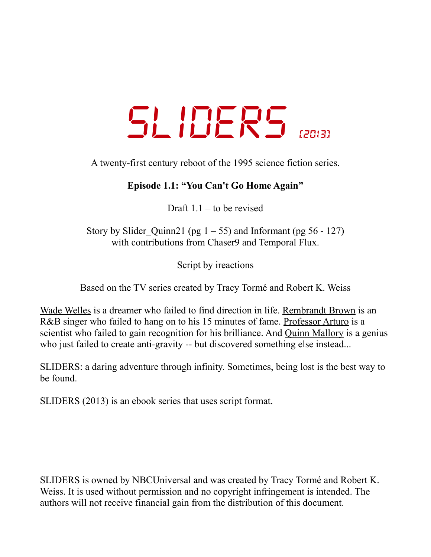# *SLIDERS [2013]*

A twenty-first century reboot of the 1995 science fiction series.

## **Episode 1.1: "You Can't Go Home Again"**

Draft  $1.1$  – to be revised

Story by Slider Quinn21 (pg  $1 - 55$ ) and Informant (pg 56 - 127) with contributions from Chaser<sub>9</sub> and Temporal Flux.

Script by ireactions

Based on the TV series created by Tracy Tormé and Robert K. Weiss

Wade Welles is a dreamer who failed to find direction in life. Rembrandt Brown is an R&B singer who failed to hang on to his 15 minutes of fame. Professor Arturo is a scientist who failed to gain recognition for his brilliance. And Quinn Mallory is a genius who just failed to create anti-gravity -- but discovered something else instead...

SLIDERS: a daring adventure through infinity. Sometimes, being lost is the best way to be found.

SLIDERS (2013) is an ebook series that uses script format.

SLIDERS is owned by NBCUniversal and was created by Tracy Tormé and Robert K. Weiss. It is used without permission and no copyright infringement is intended. The authors will not receive financial gain from the distribution of this document.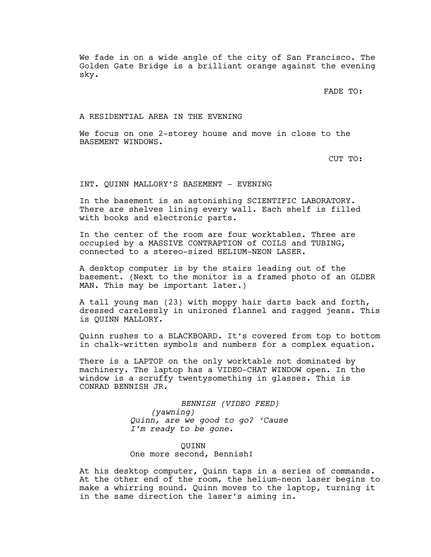We fade in on a wide angle of the city of San Francisco. The Golden Gate Bridge is a brilliant orange against the evening sky.

FADE TO:

#### A RESIDENTIAL AREA IN THE EVENING

We focus on one 2-storey house and move in close to the BASEMENT WINDOWS.

CUT TO:

INT. QUINN MALLORY'S BASEMENT - EVENING

In the basement is an astonishing SCIENTIFIC LABORATORY. There are shelves lining every wall. Each shelf is filled with books and electronic parts.

In the center of the room are four worktables. Three are occupied by a MASSIVE CONTRAPTION of COILS and TUBING, connected to a stereo-sized HELIUM-NEON LASER.

A desktop computer is by the stairs leading out of the basement. (Next to the monitor is a framed photo of an OLDER MAN. This may be important later.)

A tall young man (23) with moppy hair darts back and forth, dressed carelessly in unironed flannel and ragged jeans. This is QUINN MALLORY.

Quinn rushes to a BLACKBOARD. It's covered from top to bottom in chalk-written symbols and numbers for a complex equation.

There is a LAPTOP on the only worktable not dominated by machinery. The laptop has a VIDEO-CHAT WINDOW open. In the window is a scruffy twentysomething in glasses. This is CONRAD BENNISH JR.

> *BENNISH (VIDEO FEED) (yawning) Quinn, are we good to go? 'Cause I'm ready to be gone.*

> > QUINN

One more second, Bennish!

At his desktop computer, Quinn taps in a series of commands. At the other end of the room, the helium-neon laser begins to make a whirring sound. Quinn moves to the laptop, turning it in the same direction the laser's aiming in.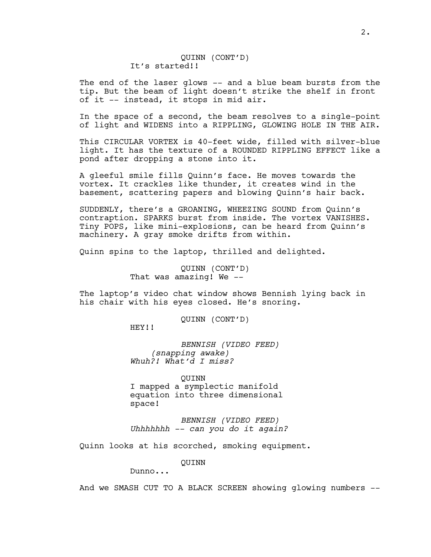QUINN (CONT'D) It's started!!

The end of the laser glows -- and a blue beam bursts from the tip. But the beam of light doesn't strike the shelf in front of it -- instead, it stops in mid air.

In the space of a second, the beam resolves to a single-point of light and WIDENS into a RIPPLING, GLOWING HOLE IN THE AIR.

This CIRCULAR VORTEX is 40-feet wide, filled with silver-blue light. It has the texture of a ROUNDED RIPPLING EFFECT like a pond after dropping a stone into it.

A gleeful smile fills Quinn's face. He moves towards the vortex. It crackles like thunder, it creates wind in the basement, scattering papers and blowing Quinn's hair back.

SUDDENLY, there's a GROANING, WHEEZING SOUND from Quinn's contraption. SPARKS burst from inside. The vortex VANISHES. Tiny POPS, like mini-explosions, can be heard from Quinn's machinery. A gray smoke drifts from within.

Quinn spins to the laptop, thrilled and delighted.

QUINN (CONT'D) That was amazing! We --

The laptop's video chat window shows Bennish lying back in his chair with his eyes closed. He's snoring.

QUINN (CONT'D)

HEY!!

*BENNISH (VIDEO FEED) (snapping awake) Whuh?! What'd I miss?*

QUINN I mapped a symplectic manifold equation into three dimensional space!

*BENNISH (VIDEO FEED) Uhhhhhhh -- can you do it again?*

Quinn looks at his scorched, smoking equipment.

QUINN

Dunno...

And we SMASH CUT TO A BLACK SCREEN showing glowing numbers --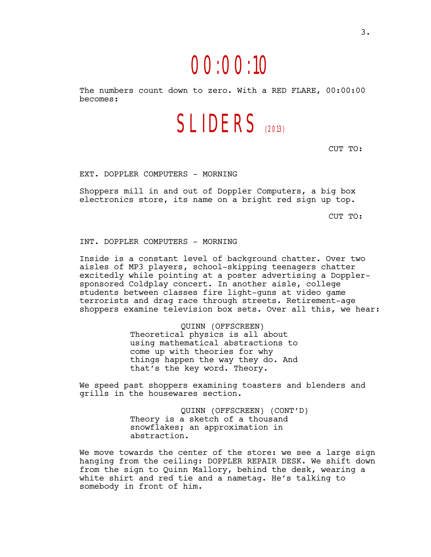# *00:00:10*

The numbers count down to zero. With a RED FLARE, 00:00:00 becomes:

*SLIDERS (2013)*

CUT TO:

EXT. DOPPLER COMPUTERS - MORNING

Shoppers mill in and out of Doppler Computers, a big box electronics store, its name on a bright red sign up top.

CUT TO:

INT. DOPPLER COMPUTERS - MORNING

Inside is a constant level of background chatter. Over two aisles of MP3 players, school-skipping teenagers chatter excitedly while pointing at a poster advertising a Dopplersponsored Coldplay concert. In another aisle, college students between classes fire light-guns at video game terrorists and drag race through streets. Retirement-age shoppers examine television box sets. Over all this, we hear:

> QUINN (OFFSCREEN) Theoretical physics is all about using mathematical abstractions to come up with theories for why things happen the way they do. And that's the key word. Theory.

We speed past shoppers examining toasters and blenders and grills in the housewares section.

> QUINN (OFFSCREEN) (CONT'D) Theory is a sketch of a thousand snowflakes; an approximation in abstraction.

We move towards the center of the store: we see a large sign hanging from the ceiling: DOPPLER REPAIR DESK. We shift down from the sign to Quinn Mallory, behind the desk, wearing a white shirt and red tie and a nametag. He's talking to somebody in front of him.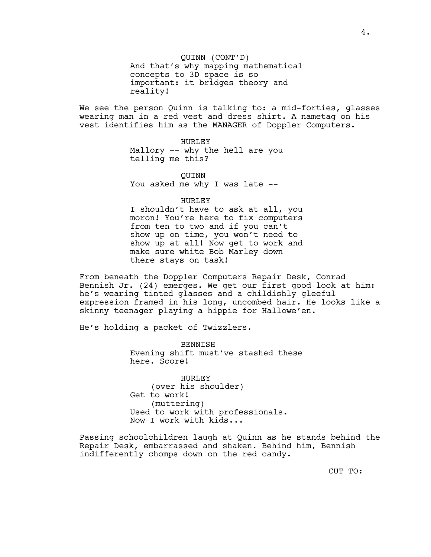QUINN (CONT'D) And that's why mapping mathematical concepts to 3D space is so important: it bridges theory and reality!

We see the person Quinn is talking to: a mid-forties, glasses wearing man in a red vest and dress shirt. A nametag on his vest identifies him as the MANAGER of Doppler Computers.

> HURLEY Mallory -- why the hell are you telling me this?

QUINN You asked me why I was late --

HURLEY

I shouldn't have to ask at all, you moron! You're here to fix computers from ten to two and if you can't show up on time, you won't need to show up at all! Now get to work and make sure white Bob Marley down there stays on task!

From beneath the Doppler Computers Repair Desk, Conrad Bennish Jr. (24) emerges. We get our first good look at him: he's wearing tinted glasses and a childishly gleeful expression framed in his long, uncombed hair. He looks like a skinny teenager playing a hippie for Hallowe'en.

He's holding a packet of Twizzlers.

BENNISH Evening shift must've stashed these here. Score!

HURLEY (over his shoulder) Get to work! (muttering) Used to work with professionals. Now I work with kids...

Passing schoolchildren laugh at Quinn as he stands behind the Repair Desk, embarrassed and shaken. Behind him, Bennish indifferently chomps down on the red candy.

CUT TO: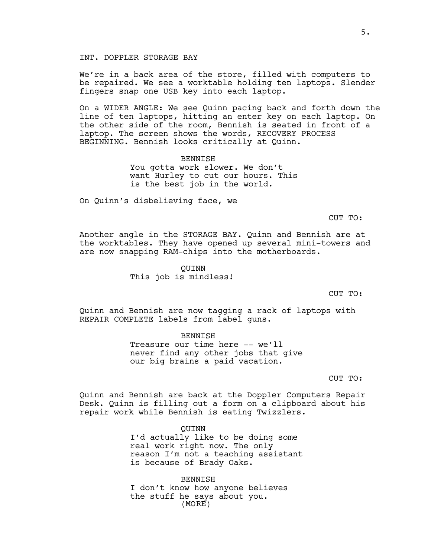#### INT. DOPPLER STORAGE BAY

We're in a back area of the store, filled with computers to be repaired. We see a worktable holding ten laptops. Slender fingers snap one USB key into each laptop.

On a WIDER ANGLE: We see Quinn pacing back and forth down the line of ten laptops, hitting an enter key on each laptop. On the other side of the room, Bennish is seated in front of a laptop. The screen shows the words, RECOVERY PROCESS BEGINNING. Bennish looks critically at Quinn.

> BENNISH You gotta work slower. We don't want Hurley to cut our hours. This is the best job in the world.

On Quinn's disbelieving face, we

CUT TO:

Another angle in the STORAGE BAY. Quinn and Bennish are at the worktables. They have opened up several mini-towers and are now snapping RAM-chips into the motherboards.

> QUINN This job is mindless!

> > CUT TO:

Quinn and Bennish are now tagging a rack of laptops with REPAIR COMPLETE labels from label guns.

**BENNISH** 

Treasure our time here -- we'll never find any other jobs that give our big brains a paid vacation.

CUT TO:

Quinn and Bennish are back at the Doppler Computers Repair Desk. Quinn is filling out a form on a clipboard about his repair work while Bennish is eating Twizzlers.

> QUINN I'd actually like to be doing some real work right now. The only reason I'm not a teaching assistant is because of Brady Oaks.

BENNISH I don't know how anyone believes the stuff he says about you. (MORE)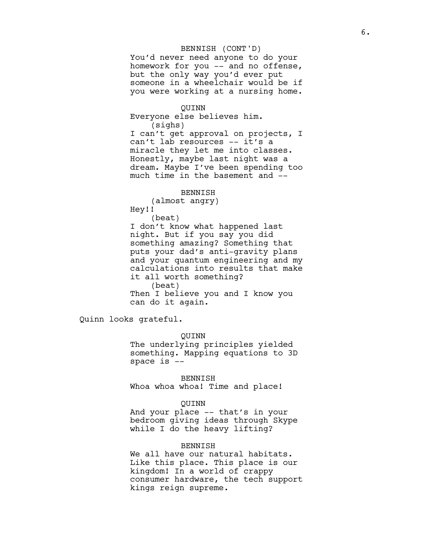#### BENNISH (CONT'D)

You'd never need anyone to do your homework for you -- and no offense, but the only way you'd ever put someone in a wheelchair would be if you were working at a nursing home.

#### QUINN

Everyone else believes him. (sighs)

I can't get approval on projects, I can't lab resources -- it's a miracle they let me into classes. Honestly, maybe last night was a dream. Maybe I've been spending too much time in the basement and --

#### BENNISH

(almost angry) Hey!!

(beat)

I don't know what happened last night. But if you say you did something amazing? Something that puts your dad's anti-gravity plans and your quantum engineering and my calculations into results that make it all worth something? (beat) Then I believe you and I know you

can do it again.

Quinn looks grateful.

#### QUINN

The underlying principles yielded something. Mapping equations to 3D space is --

BENNISH

Whoa whoa whoa! Time and place!

#### QUINN

And your place -- that's in your bedroom giving ideas through Skype while I do the heavy lifting?

#### BENNISH

We all have our natural habitats. Like this place. This place is our kingdom! In a world of crappy consumer hardware, the tech support kings reign supreme.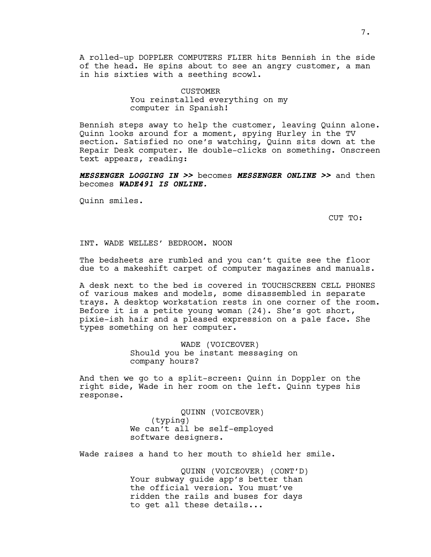A rolled-up DOPPLER COMPUTERS FLIER hits Bennish in the side of the head. He spins about to see an angry customer, a man in his sixties with a seething scowl.

> **CUSTOMER** You reinstalled everything on my computer in Spanish!

Bennish steps away to help the customer, leaving Quinn alone. Quinn looks around for a moment, spying Hurley in the TV section. Satisfied no one's watching, Quinn sits down at the Repair Desk computer. He double-clicks on something. Onscreen text appears, reading:

**MESSENGER LOGGING IN >>** becomes **MESSENGER ONLINE >>** and then becomes **WADE491 IS ONLINE.**

Quinn smiles.

CUT TO:

#### INT. WADE WELLES' BEDROOM. NOON

The bedsheets are rumbled and you can't quite see the floor due to a makeshift carpet of computer magazines and manuals.

A desk next to the bed is covered in TOUCHSCREEN CELL PHONES of various makes and models, some disassembled in separate trays. A desktop workstation rests in one corner of the room. Before it is a petite young woman (24). She's got short, pixie-ish hair and a pleased expression on a pale face. She types something on her computer.

> WADE (VOICEOVER) Should you be instant messaging on company hours?

And then we go to a split-screen: Quinn in Doppler on the right side, Wade in her room on the left. Quinn types his response.

> QUINN (VOICEOVER) (typing) We can't all be self-employed software designers.

Wade raises a hand to her mouth to shield her smile.

QUINN (VOICEOVER) (CONT'D) Your subway guide app's better than the official version. You must've ridden the rails and buses for days to get all these details...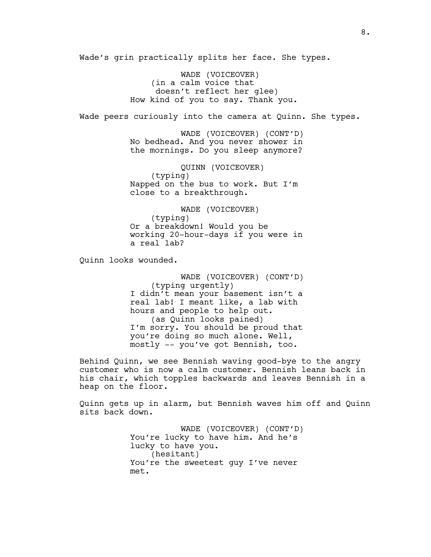Wade's grin practically splits her face. She types.

WADE (VOICEOVER) (in a calm voice that doesn't reflect her glee) How kind of you to say. Thank you.

Wade peers curiously into the camera at Quinn. She types.

WADE (VOICEOVER) (CONT'D) No bedhead. And you never shower in the mornings. Do you sleep anymore?

QUINN (VOICEOVER) (typing) Napped on the bus to work. But I'm close to a breakthrough.

WADE (VOICEOVER) (typing) Or a breakdown! Would you be working 20-hour-days if you were in a real lab?

Quinn looks wounded.

WADE (VOICEOVER) (CONT'D) (typing urgently) I didn't mean your basement isn't a real lab! I meant like, a lab with hours and people to help out. (as Quinn looks pained) I'm sorry. You should be proud that you're doing so much alone. Well, mostly -- you've got Bennish, too.

Behind Quinn, we see Bennish waving good-bye to the angry customer who is now a calm customer. Bennish leans back in his chair, which topples backwards and leaves Bennish in a heap on the floor.

Quinn gets up in alarm, but Bennish waves him off and Quinn sits back down.

> WADE (VOICEOVER) (CONT'D) You're lucky to have him. And he's lucky to have you. (hesitant) You're the sweetest guy I've never met.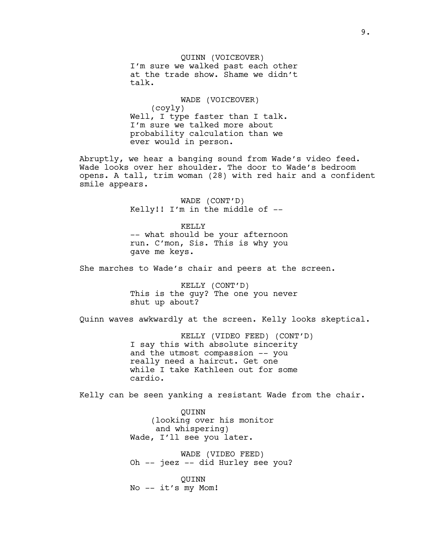### QUINN (VOICEOVER) I'm sure we walked past each other

at the trade show. Shame we didn't talk.

WADE (VOICEOVER) (coyly) Well, I type faster than I talk. I'm sure we talked more about probability calculation than we ever would in person.

Abruptly, we hear a banging sound from Wade's video feed. Wade looks over her shoulder. The door to Wade's bedroom opens. A tall, trim woman (28) with red hair and a confident smile appears.

> WADE (CONT'D) Kelly!! I'm in the middle of --

KELLY -- what should be your afternoon run. C'mon, Sis. This is why you gave me keys.

She marches to Wade's chair and peers at the screen.

KELLY (CONT'D) This is the guy? The one you never shut up about?

Quinn waves awkwardly at the screen. Kelly looks skeptical.

KELLY (VIDEO FEED) (CONT'D) I say this with absolute sincerity and the utmost compassion -- you really need a haircut. Get one while I take Kathleen out for some cardio.

Kelly can be seen yanking a resistant Wade from the chair.

QUINN (looking over his monitor and whispering) Wade, I'll see you later.

WADE (VIDEO FEED) Oh -- jeez -- did Hurley see you?

QUINN No -- it's my Mom!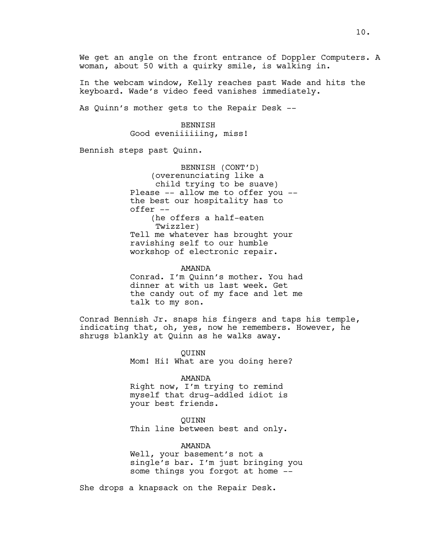We get an angle on the front entrance of Doppler Computers. A woman, about 50 with a quirky smile, is walking in.

In the webcam window, Kelly reaches past Wade and hits the keyboard. Wade's video feed vanishes immediately.

As Quinn's mother gets to the Repair Desk --

**BENNISH** Good eveniiiiiing, miss!

Bennish steps past Quinn.

BENNISH (CONT'D) (overenunciating like a child trying to be suave) Please -- allow me to offer you - the best our hospitality has to offer -- (he offers a half-eaten Twizzler) Tell me whatever has brought your ravishing self to our humble workshop of electronic repair.

AMANDA Conrad. I'm Quinn's mother. You had dinner at with us last week. Get the candy out of my face and let me talk to my son.

Conrad Bennish Jr. snaps his fingers and taps his temple, indicating that, oh, yes, now he remembers. However, he shrugs blankly at Quinn as he walks away.

> QUINN Mom! Hi! What are you doing here?

> > AMANDA

Right now, I'm trying to remind myself that drug-addled idiot is your best friends.

QUINN Thin line between best and only.

AMANDA

Well, your basement's not a single's bar. I'm just bringing you some things you forgot at home --

She drops a knapsack on the Repair Desk.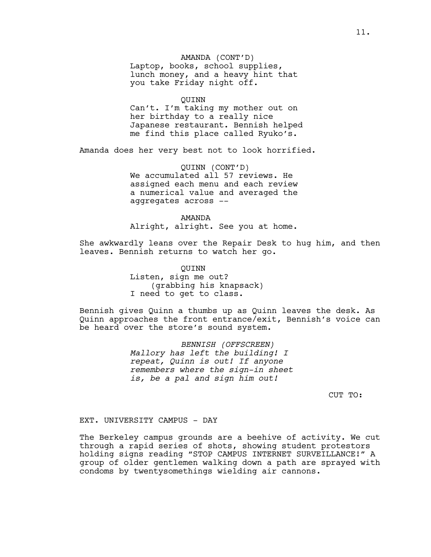#### AMANDA (CONT'D)

Laptop, books, school supplies, lunch money, and a heavy hint that you take Friday night off.

#### QUINN

Can't. I'm taking my mother out on her birthday to a really nice Japanese restaurant. Bennish helped me find this place called Ryuko's.

Amanda does her very best not to look horrified.

QUINN (CONT'D) We accumulated all 57 reviews. He assigned each menu and each review a numerical value and averaged the aggregates across --

#### AMANDA

Alright, alright. See you at home.

She awkwardly leans over the Repair Desk to hug him, and then leaves. Bennish returns to watch her go.

> QUINN Listen, sign me out? (grabbing his knapsack) I need to get to class.

Bennish gives Quinn a thumbs up as Quinn leaves the desk. As Quinn approaches the front entrance/exit, Bennish's voice can be heard over the store's sound system.

> *BENNISH (OFFSCREEN) Mallory has left the building! I repeat, Quinn is out! If anyone remembers where the sign-in sheet is, be a pal and sign him out!*

> > CUT TO:

#### EXT. UNIVERSITY CAMPUS - DAY

The Berkeley campus grounds are a beehive of activity. We cut through a rapid series of shots, showing student protestors holding signs reading "STOP CAMPUS INTERNET SURVEILLANCE!" A group of older gentlemen walking down a path are sprayed with condoms by twentysomethings wielding air cannons.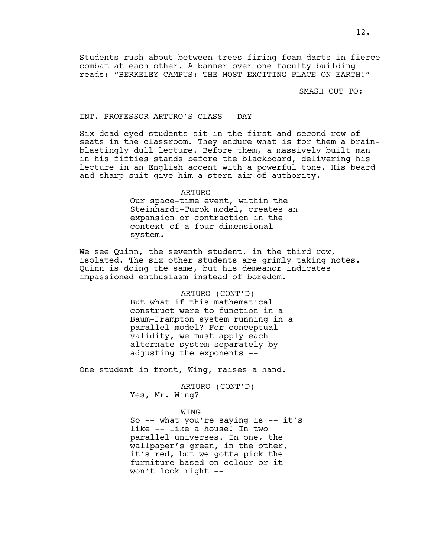Students rush about between trees firing foam darts in fierce combat at each other. A banner over one faculty building reads: "BERKELEY CAMPUS: THE MOST EXCITING PLACE ON EARTH!"

SMASH CUT TO:

#### INT. PROFESSOR ARTURO'S CLASS - DAY

Six dead-eyed students sit in the first and second row of seats in the classroom. They endure what is for them a brainblastingly dull lecture. Before them, a massively built man in his fifties stands before the blackboard, delivering his lecture in an English accent with a powerful tone. His beard and sharp suit give him a stern air of authority.

ARTURO

Our space-time event, within the Steinhardt-Turok model, creates an expansion or contraction in the context of a four-dimensional system.

We see Quinn, the seventh student, in the third row, isolated. The six other students are grimly taking notes. Quinn is doing the same, but his demeanor indicates impassioned enthusiasm instead of boredom.

> ARTURO (CONT'D) But what if this mathematical construct were to function in a Baum-Frampton system running in a parallel model? For conceptual validity, we must apply each alternate system separately by adjusting the exponents --

One student in front, Wing, raises a hand.

ARTURO (CONT'D) Yes, Mr. Wing?

WING So  $-$  what you're saying is  $-$  it's

like -- like a house! In two parallel universes. In one, the wallpaper's green, in the other, it's red, but we gotta pick the furniture based on colour or it won't look right --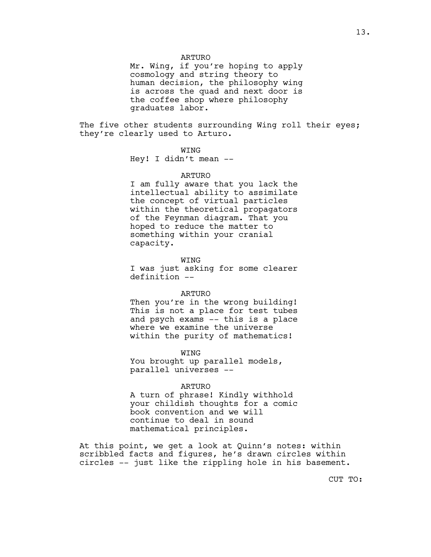#### ARTURO

Mr. Wing, if you're hoping to apply cosmology and string theory to human decision, the philosophy wing is across the quad and next door is the coffee shop where philosophy graduates labor.

The five other students surrounding Wing roll their eyes; they're clearly used to Arturo.

#### WING

Hey! I didn't mean --

#### ARTURO

I am fully aware that you lack the intellectual ability to assimilate the concept of virtual particles within the theoretical propagators of the Feynman diagram. That you hoped to reduce the matter to something within your cranial capacity.

WING

I was just asking for some clearer definition --

#### ARTURO

Then you're in the wrong building! This is not a place for test tubes and psych exams -- this is a place where we examine the universe within the purity of mathematics!

WING

You brought up parallel models, parallel universes --

#### ARTURO

A turn of phrase! Kindly withhold your childish thoughts for a comic book convention and we will continue to deal in sound mathematical principles.

At this point, we get a look at Quinn's notes: within scribbled facts and figures, he's drawn circles within circles -- just like the rippling hole in his basement.

13.

CUT TO: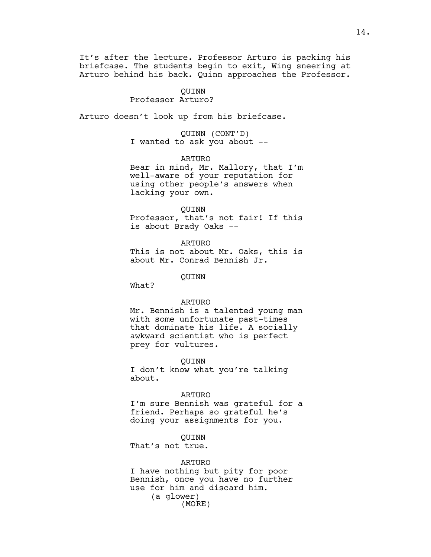It's after the lecture. Professor Arturo is packing his briefcase. The students begin to exit, Wing sneering at Arturo behind his back. Quinn approaches the Professor.

#### QUINN Professor Arturo?

Arturo doesn't look up from his briefcase.

QUINN (CONT'D) I wanted to ask you about --

ARTURO

Bear in mind, Mr. Mallory, that I'm well-aware of your reputation for using other people's answers when lacking your own.

#### QUINN

Professor, that's not fair! If this is about Brady Oaks --

ARTURO This is not about Mr. Oaks, this is about Mr. Conrad Bennish Jr.

QUINN

What?

#### ARTURO

Mr. Bennish is a talented young man with some unfortunate past-times that dominate his life. A socially awkward scientist who is perfect prey for vultures.

QUINN

I don't know what you're talking about.

#### ARTURO

I'm sure Bennish was grateful for a friend. Perhaps so grateful he's doing your assignments for you.

#### QUINN

That's not true.

#### ARTURO

I have nothing but pity for poor Bennish, once you have no further use for him and discard him. (a glower) (MORE)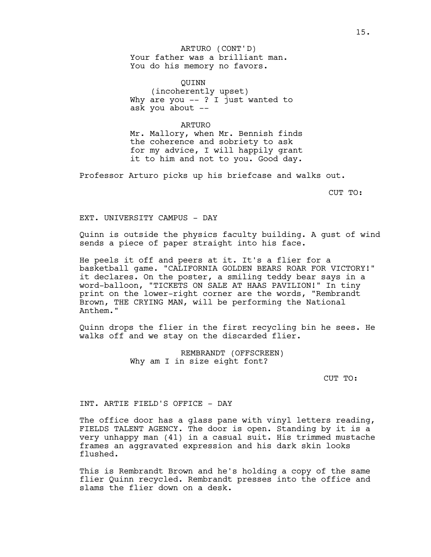Your father was a brilliant man. You do his memory no favors. ARTURO (CONT'D)

QUINN (incoherently upset) Why are you -- ? I just wanted to ask you about --

#### ARTURO

Mr. Mallory, when Mr. Bennish finds the coherence and sobriety to ask for my advice, I will happily grant it to him and not to you. Good day.

Professor Arturo picks up his briefcase and walks out.

CUT TO:

EXT. UNIVERSITY CAMPUS - DAY

Quinn is outside the physics faculty building. A gust of wind sends a piece of paper straight into his face.

He peels it off and peers at it. It's a flier for a basketball game. "CALIFORNIA GOLDEN BEARS ROAR FOR VICTORY!" it declares. On the poster, a smiling teddy bear says in a word-balloon, "TICKETS ON SALE AT HAAS PAVILION!" In tiny print on the lower-right corner are the words, "Rembrandt Brown, THE CRYING MAN, will be performing the National Anthem."

Quinn drops the flier in the first recycling bin he sees. He walks off and we stay on the discarded flier.

> REMBRANDT (OFFSCREEN) Why am I in size eight font?

> > CUT TO:

INT. ARTIE FIELD'S OFFICE - DAY

The office door has a glass pane with vinyl letters reading, FIELDS TALENT AGENCY. The door is open. Standing by it is a very unhappy man (41) in a casual suit. His trimmed mustache frames an aggravated expression and his dark skin looks flushed.

This is Rembrandt Brown and he's holding a copy of the same flier Quinn recycled. Rembrandt presses into the office and slams the flier down on a desk.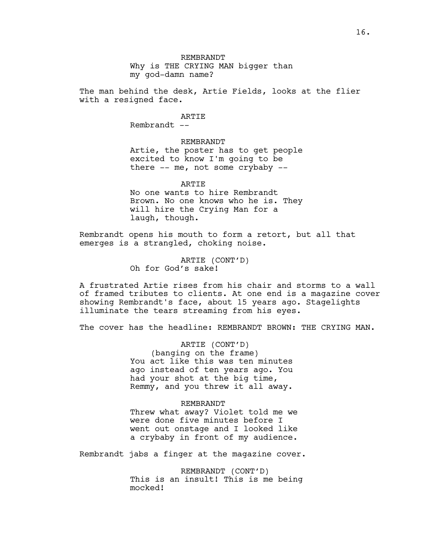Why is THE CRYING MAN bigger than my god-damn name?

The man behind the desk, Artie Fields, looks at the flier with a resigned face.

ARTIE

Rembrandt --

REMBRANDT Artie, the poster has to get people excited to know I'm going to be there -- me, not some crybaby --

ARTIE

No one wants to hire Rembrandt Brown. No one knows who he is. They will hire the Crying Man for a laugh, though.

Rembrandt opens his mouth to form a retort, but all that emerges is a strangled, choking noise.

> ARTIE (CONT'D) Oh for God's sake!

A frustrated Artie rises from his chair and storms to a wall of framed tributes to clients. At one end is a magazine cover showing Rembrandt's face, about 15 years ago. Stagelights illuminate the tears streaming from his eyes.

The cover has the headline: REMBRANDT BROWN: THE CRYING MAN.

ARTIE (CONT'D) (banging on the frame) You act like this was ten minutes ago instead of ten years ago. You had your shot at the big time, Remmy, and you threw it all away.

#### REMBRANDT

Threw what away? Violet told me we were done five minutes before I went out onstage and I looked like a crybaby in front of my audience.

Rembrandt jabs a finger at the magazine cover.

REMBRANDT (CONT'D) This is an insult! This is me being mocked!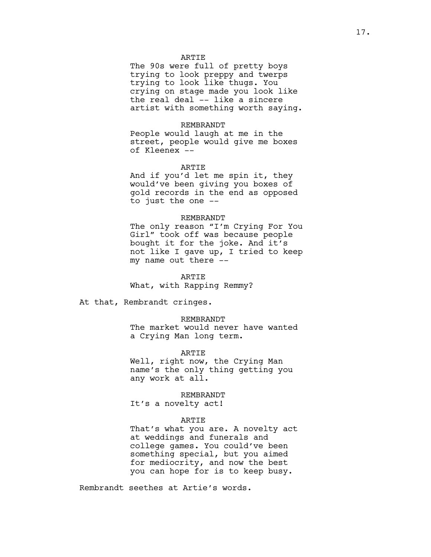#### ARTIE

The 90s were full of pretty boys trying to look preppy and twerps trying to look like thugs. You crying on stage made you look like the real deal -- like a sincere artist with something worth saying.

#### REMBRANDT

People would laugh at me in the street, people would give me boxes of Kleenex --

#### ARTIE

And if you'd let me spin it, they would've been giving you boxes of gold records in the end as opposed to just the one --

#### REMBRANDT

The only reason "I'm Crying For You Girl" took off was because people bought it for the joke. And it's not like I gave up, I tried to keep my name out there --

**ARTIE** What, with Rapping Remmy?

At that, Rembrandt cringes.

#### REMBRANDT

The market would never have wanted a Crying Man long term.

ARTIE

Well, right now, the Crying Man name's the only thing getting you any work at all.

#### REMBRANDT

It's a novelty act!

#### ARTIE

That's what you are. A novelty act at weddings and funerals and college games. You could've been something special, but you aimed for mediocrity, and now the best you can hope for is to keep busy.

Rembrandt seethes at Artie's words.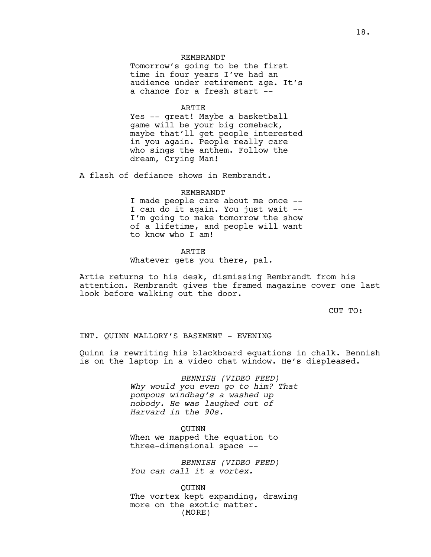#### REMBRANDT

Tomorrow's going to be the first time in four years I've had an audience under retirement age. It's a chance for a fresh start --

#### **ARTIE**

Yes -- great! Maybe a basketball game will be your big comeback, maybe that'll get people interested in you again. People really care who sings the anthem. Follow the dream, Crying Man!

A flash of defiance shows in Rembrandt.

#### REMBRANDT

I made people care about me once -- I can do it again. You just wait -- I'm going to make tomorrow the show of a lifetime, and people will want to know who I am!

#### ARTIE

Whatever gets you there, pal.

Artie returns to his desk, dismissing Rembrandt from his attention. Rembrandt gives the framed magazine cover one last look before walking out the door.

CUT TO:

#### INT. QUINN MALLORY'S BASEMENT - EVENING

Quinn is rewriting his blackboard equations in chalk. Bennish is on the laptop in a video chat window. He's displeased.

> *BENNISH (VIDEO FEED) Why would you even go to him? That pompous windbag's a washed up nobody. He was laughed out of Harvard in the 90s.*

> > QUINN

When we mapped the equation to three-dimensional space --

*BENNISH (VIDEO FEED) You can call it a vortex.* 

QUINN The vortex kept expanding, drawing more on the exotic matter. (MORE)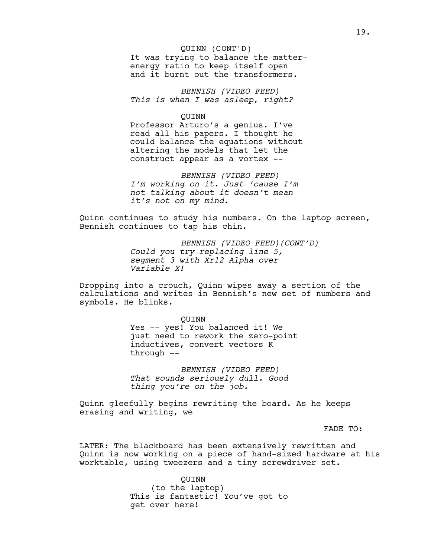#### QUINN (CONT'D)

It was trying to balance the matterenergy ratio to keep itself open and it burnt out the transformers.

*BENNISH (VIDEO FEED) This is when I was asleep, right?*

QUINN

Professor Arturo's a genius. I've read all his papers. I thought he could balance the equations without altering the models that let the construct appear as a vortex --

*BENNISH (VIDEO FEED) I'm working on it. Just 'cause I'm not talking about it doesn't mean it's not on my mind.* 

Quinn continues to study his numbers. On the laptop screen, Bennish continues to tap his chin.

> *BENNISH (VIDEO FEED)(CONT'D) Could you try replacing line 5, segment 3 with Xr12 Alpha over Variable X!*

Dropping into a crouch, Quinn wipes away a section of the calculations and writes in Bennish's new set of numbers and symbols. He blinks.

> QUINN Yes -- yes! You balanced it! We just need to rework the zero-point inductives, convert vectors K through --

*BENNISH (VIDEO FEED) That sounds seriously dull. Good thing you're on the job.*

Quinn gleefully begins rewriting the board. As he keeps erasing and writing, we

FADE TO:

LATER: The blackboard has been extensively rewritten and Quinn is now working on a piece of hand-sized hardware at his worktable, using tweezers and a tiny screwdriver set.

> QUINN (to the laptop) This is fantastic! You've got to get over here!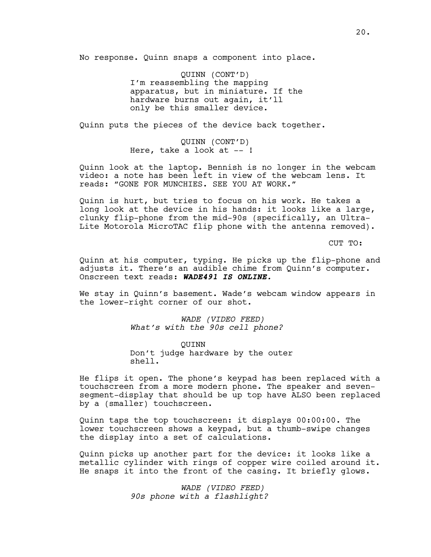No response. Quinn snaps a component into place.

QUINN (CONT'D) I'm reassembling the mapping apparatus, but in miniature. If the hardware burns out again, it'll only be this smaller device.

Quinn puts the pieces of the device back together.

QUINN (CONT'D) Here, take a look at --!

Quinn look at the laptop. Bennish is no longer in the webcam video: a note has been left in view of the webcam lens. It reads: "GONE FOR MUNCHIES. SEE YOU AT WORK."

Quinn is hurt, but tries to focus on his work. He takes a long look at the device in his hands: it looks like a large, clunky flip-phone from the mid-90s (specifically, an Ultra-Lite Motorola MicroTAC flip phone with the antenna removed).

CUT TO:

Quinn at his computer, typing. He picks up the flip-phone and adjusts it. There's an audible chime from Quinn's computer. Onscreen text reads: **WADE491 IS ONLINE.**

We stay in Quinn's basement. Wade's webcam window appears in the lower-right corner of our shot.

> *WADE (VIDEO FEED) What's with the 90s cell phone?*

QUINN Don't judge hardware by the outer shell.

He flips it open. The phone's keypad has been replaced with a touchscreen from a more modern phone. The speaker and sevensegment-display that should be up top have ALSO been replaced by a (smaller) touchscreen.

Quinn taps the top touchscreen: it displays 00:00:00. The lower touchscreen shows a keypad, but a thumb-swipe changes the display into a set of calculations.

Quinn picks up another part for the device: it looks like a metallic cylinder with rings of copper wire coiled around it. He snaps it into the front of the casing. It briefly glows.

> *WADE (VIDEO FEED) 90s phone with a flashlight?*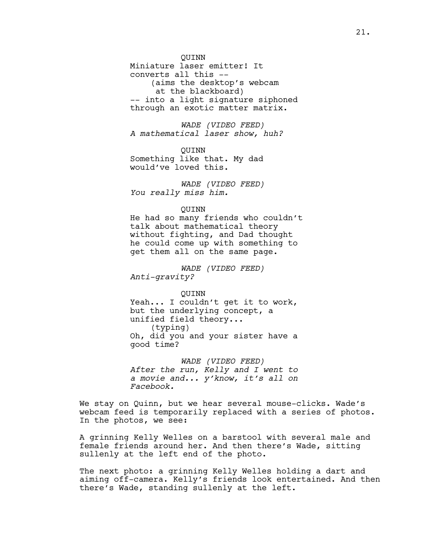#### QUINN

Miniature laser emitter! It converts all this -- (aims the desktop's webcam at the blackboard) -- into a light signature siphoned through an exotic matter matrix.

*WADE (VIDEO FEED) A mathematical laser show, huh?*

QUINN Something like that. My dad would've loved this.

*WADE (VIDEO FEED) You really miss him.*

#### QUINN

He had so many friends who couldn't talk about mathematical theory without fighting, and Dad thought he could come up with something to get them all on the same page.

*WADE (VIDEO FEED) Anti-gravity?*

QUINN Yeah... I couldn't get it to work, but the underlying concept, a unified field theory... (typing) Oh, did you and your sister have a good time?

*WADE (VIDEO FEED) After the run, Kelly and I went to a movie and... y'know, it's all on Facebook.*

We stay on Quinn, but we hear several mouse-clicks. Wade's webcam feed is temporarily replaced with a series of photos. In the photos, we see:

A grinning Kelly Welles on a barstool with several male and female friends around her. And then there's Wade, sitting sullenly at the left end of the photo.

The next photo: a grinning Kelly Welles holding a dart and aiming off-camera. Kelly's friends look entertained. And then there's Wade, standing sullenly at the left.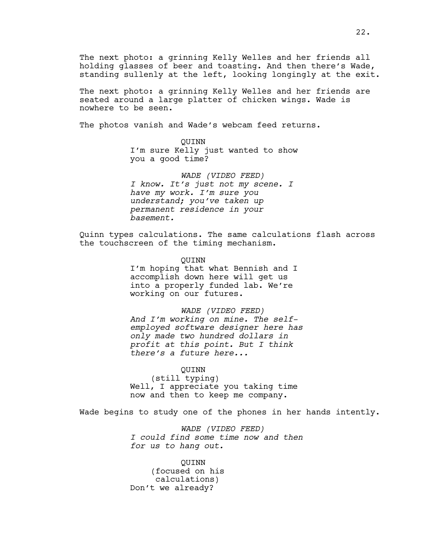The next photo: a grinning Kelly Welles and her friends all holding glasses of beer and toasting. And then there's Wade, standing sullenly at the left, looking longingly at the exit.

The next photo: a grinning Kelly Welles and her friends are seated around a large platter of chicken wings. Wade is nowhere to be seen.

The photos vanish and Wade's webcam feed returns.

QUINN I'm sure Kelly just wanted to show you a good time?

*WADE (VIDEO FEED) I know. It's just not my scene. I have my work. I'm sure you understand; you've taken up permanent residence in your basement.*

Quinn types calculations. The same calculations flash across the touchscreen of the timing mechanism.

> QUINN I'm hoping that what Bennish and I accomplish down here will get us into a properly funded lab. We're working on our futures.

*WADE (VIDEO FEED) And I'm working on mine. The selfemployed software designer here has only made two hundred dollars in profit at this point. But I think there's a future here...*

QUINN (still typing) Well, I appreciate you taking time now and then to keep me company.

Wade begins to study one of the phones in her hands intently.

*WADE (VIDEO FEED) I could find some time now and then for us to hang out.*

QUINN (focused on his calculations) Don't we already?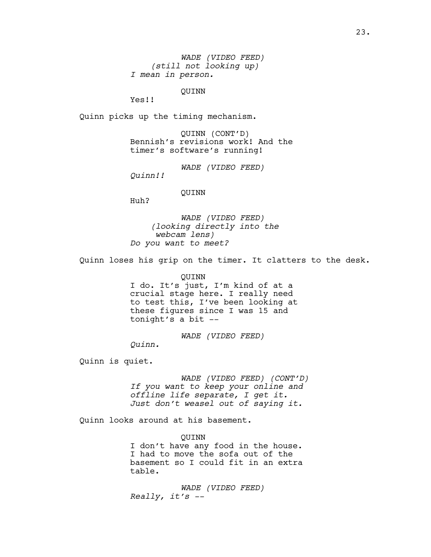*WADE (VIDEO FEED) (still not looking up) I mean in person.*

QUINN

Yes!!

Quinn picks up the timing mechanism.

QUINN (CONT'D) Bennish's revisions work! And the timer's software's running!

*WADE (VIDEO FEED)*

*Quinn!!*

#### QUINN

Huh?

*WADE (VIDEO FEED) (looking directly into the webcam lens) Do you want to meet?*

Quinn loses his grip on the timer. It clatters to the desk.

#### QUINN

I do. It's just, I'm kind of at a crucial stage here. I really need to test this, I've been looking at these figures since I was 15 and tonight's a bit --

*WADE (VIDEO FEED)*

*Quinn.*

Quinn is quiet.

*WADE (VIDEO FEED) (CONT'D) If you want to keep your online and offline life separate, I get it. Just don't weasel out of saying it.*

Quinn looks around at his basement.

QUINN I don't have any food in the house. I had to move the sofa out of the basement so I could fit in an extra table.

*WADE (VIDEO FEED) Really, it's --*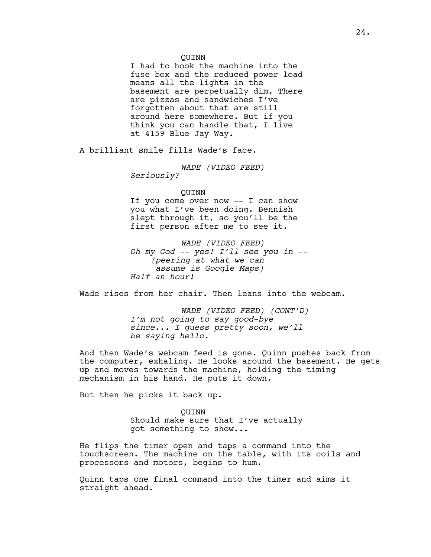#### QUINN

I had to hook the machine into the fuse box and the reduced power load means all the lights in the basement are perpetually dim. There are pizzas and sandwiches I've forgotten about that are still around here somewhere. But if you think you can handle that, I live at 4159 Blue Jay Way.

A brilliant smile fills Wade's face.

*WADE (VIDEO FEED)*

*Seriously?* 

#### QUINN

If you come over now -- I can show you what I've been doing. Bennish slept through it, so you'll be the first person after me to see it.

*WADE (VIDEO FEED) Oh my God -- yes! I'll see you in -- (peering at what we can assume is Google Maps) Half an hour!*

Wade rises from her chair. Then leans into the webcam.

*WADE (VIDEO FEED) (CONT'D) I'm not going to say good-bye since... I guess pretty soon, we'll be saying hello.*

And then Wade's webcam feed is gone. Quinn pushes back from the computer, exhaling. He looks around the basement. He gets up and moves towards the machine, holding the timing mechanism in his hand. He puts it down.

But then he picks it back up.

QUINN Should make sure that I've actually got something to show...

He flips the timer open and taps a command into the touchscreen. The machine on the table, with its coils and processors and motors, begins to hum.

Quinn taps one final command into the timer and aims it straight ahead.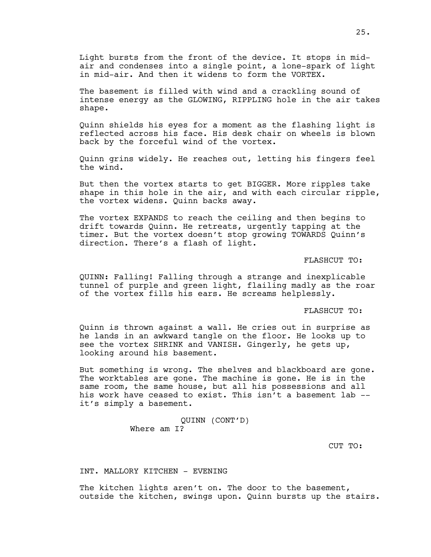Light bursts from the front of the device. It stops in midair and condenses into a single point, a lone-spark of light in mid-air. And then it widens to form the VORTEX.

The basement is filled with wind and a crackling sound of intense energy as the GLOWING, RIPPLING hole in the air takes shape.

Quinn shields his eyes for a moment as the flashing light is reflected across his face. His desk chair on wheels is blown back by the forceful wind of the vortex.

Quinn grins widely. He reaches out, letting his fingers feel the wind.

But then the vortex starts to get BIGGER. More ripples take shape in this hole in the air, and with each circular ripple, the vortex widens. Quinn backs away.

The vortex EXPANDS to reach the ceiling and then begins to drift towards Quinn. He retreats, urgently tapping at the timer. But the vortex doesn't stop growing TOWARDS Quinn's direction. There's a flash of light.

FLASHCUT TO:

QUINN: Falling! Falling through a strange and inexplicable tunnel of purple and green light, flailing madly as the roar of the vortex fills his ears. He screams helplessly.

FLASHCUT TO:

Quinn is thrown against a wall. He cries out in surprise as he lands in an awkward tangle on the floor. He looks up to see the vortex SHRINK and VANISH. Gingerly, he gets up, looking around his basement.

But something is wrong. The shelves and blackboard are gone. The worktables are gone. The machine is gone. He is in the same room, the same house, but all his possessions and all his work have ceased to exist. This isn't a basement lab -it's simply a basement.

> QUINN (CONT'D) Where am I?

> > CUT TO:

INT. MALLORY KITCHEN - EVENING

The kitchen lights aren't on. The door to the basement, outside the kitchen, swings upon. Quinn bursts up the stairs.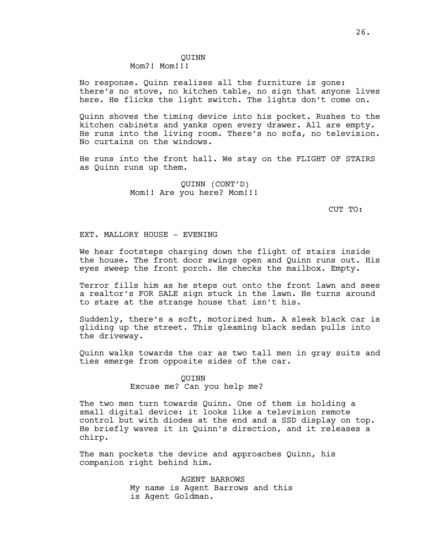No response. Quinn realizes all the furniture is gone: there's no stove, no kitchen table, no sign that anyone lives here. He flicks the light switch. The lights don't come on.

Quinn shoves the timing device into his pocket. Rushes to the kitchen cabinets and yanks open every drawer. All are empty. He runs into the living room. There's no sofa, no television. No curtains on the windows.

He runs into the front hall. We stay on the FLIGHT OF STAIRS as Quinn runs up them.

> QUINN (CONT'D) Mom!! Are you here? Mom!!!

> > CUT TO:

#### EXT. MALLORY HOUSE - EVENING

We hear footsteps charging down the flight of stairs inside the house. The front door swings open and Quinn runs out. His eyes sweep the front porch. He checks the mailbox. Empty.

Terror fills him as he steps out onto the front lawn and sees a realtor's FOR SALE sign stuck in the lawn. He turns around to stare at the strange house that isn't his.

Suddenly, there's a soft, motorized hum. A sleek black car is gliding up the street. This gleaming black sedan pulls into the driveway.

Quinn walks towards the car as two tall men in gray suits and ties emerge from opposite sides of the car.

#### QUINN

#### Excuse me? Can you help me?

The two men turn towards Quinn. One of them is holding a small digital device: it looks like a television remote control but with diodes at the end and a SSD display on top. He briefly waves it in Quinn's direction, and it releases a chirp.

The man pockets the device and approaches Quinn, his companion right behind him.

> AGENT BARROWS My name is Agent Barrows and this is Agent Goldman.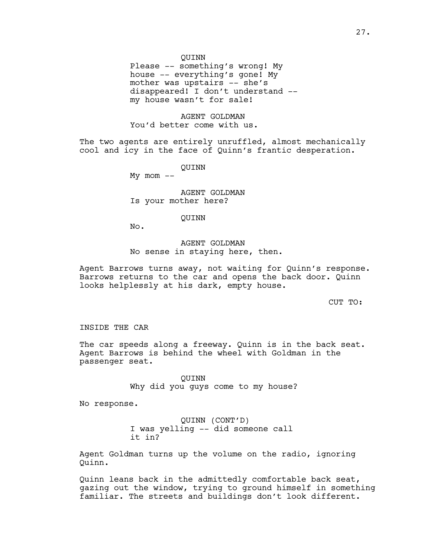#### QUINN

Please -- something's wrong! My house -- everything's gone! My mother was upstairs -- she's disappeared! I don't understand - my house wasn't for sale!

#### AGENT GOLDMAN You'd better come with us.

The two agents are entirely unruffled, almost mechanically cool and icy in the face of Quinn's frantic desperation.

QUINN

My  $mom$   $--$ 

AGENT GOLDMAN Is your mother here?

#### QUINN

No.

#### AGENT GOLDMAN No sense in staying here, then.

Agent Barrows turns away, not waiting for Quinn's response. Barrows returns to the car and opens the back door. Quinn looks helplessly at his dark, empty house.

CUT TO:

INSIDE THE CAR

The car speeds along a freeway. Quinn is in the back seat. Agent Barrows is behind the wheel with Goldman in the passenger seat.

> QUINN Why did you guys come to my house?

No response.

QUINN (CONT'D) I was yelling -- did someone call it in?

Agent Goldman turns up the volume on the radio, ignoring Quinn.

Quinn leans back in the admittedly comfortable back seat, gazing out the window, trying to ground himself in something familiar. The streets and buildings don't look different.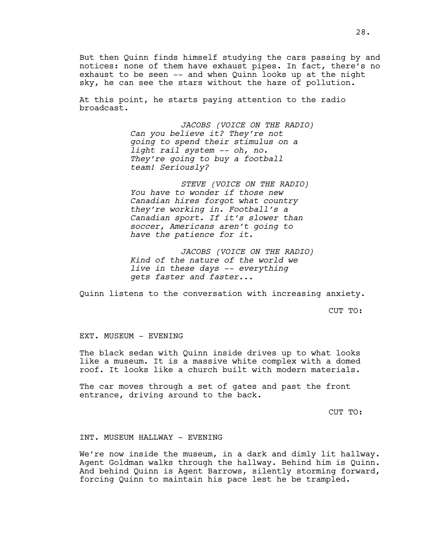But then Quinn finds himself studying the cars passing by and notices: none of them have exhaust pipes. In fact, there's no exhaust to be seen -- and when Quinn looks up at the night sky, he can see the stars without the haze of pollution.

At this point, he starts paying attention to the radio broadcast.

> *JACOBS (VOICE ON THE RADIO) Can you believe it? They're not going to spend their stimulus on a light rail system -- oh, no. They're going to buy a football team! Seriously?*

*STEVE (VOICE ON THE RADIO) You have to wonder if those new Canadian hires forgot what country they're working in. Football's a Canadian sport. If it's slower than soccer, Americans aren't going to have the patience for it.*

*JACOBS (VOICE ON THE RADIO) Kind of the nature of the world we live in these days -- everything gets faster and faster...*

Quinn listens to the conversation with increasing anxiety.

CUT TO:

#### EXT. MUSEUM - EVENING

The black sedan with Quinn inside drives up to what looks like a museum. It is a massive white complex with a domed roof. It looks like a church built with modern materials.

The car moves through a set of gates and past the front entrance, driving around to the back.

CUT TO:

#### INT. MUSEUM HALLWAY - EVENING

We're now inside the museum, in a dark and dimly lit hallway. Agent Goldman walks through the hallway. Behind him is Quinn. And behind Quinn is Agent Barrows, silently storming forward, forcing Quinn to maintain his pace lest he be trampled.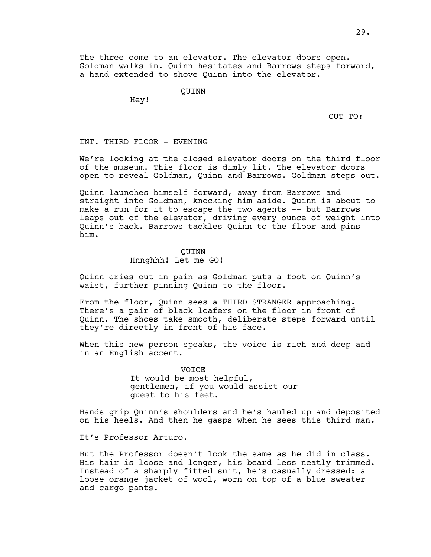The three come to an elevator. The elevator doors open. Goldman walks in. Quinn hesitates and Barrows steps forward, a hand extended to shove Quinn into the elevator.

QUINN

Hey!

CUT TO:

#### INT. THIRD FLOOR - EVENING

We're looking at the closed elevator doors on the third floor of the museum. This floor is dimly lit. The elevator doors open to reveal Goldman, Quinn and Barrows. Goldman steps out.

Quinn launches himself forward, away from Barrows and straight into Goldman, knocking him aside. Quinn is about to make a run for it to escape the two agents -- but Barrows leaps out of the elevator, driving every ounce of weight into Quinn's back. Barrows tackles Quinn to the floor and pins him.

#### QUINN

#### Hnnghhh! Let me GO!

Quinn cries out in pain as Goldman puts a foot on Quinn's waist, further pinning Quinn to the floor.

From the floor, Quinn sees a THIRD STRANGER approaching. There's a pair of black loafers on the floor in front of Quinn. The shoes take smooth, deliberate steps forward until they're directly in front of his face.

When this new person speaks, the voice is rich and deep and in an English accent.

> **VOTCE** It would be most helpful, gentlemen, if you would assist our guest to his feet.

Hands grip Quinn's shoulders and he's hauled up and deposited on his heels. And then he gasps when he sees this third man.

It's Professor Arturo.

But the Professor doesn't look the same as he did in class. His hair is loose and longer, his beard less neatly trimmed. Instead of a sharply fitted suit, he's casually dressed: a loose orange jacket of wool, worn on top of a blue sweater and cargo pants.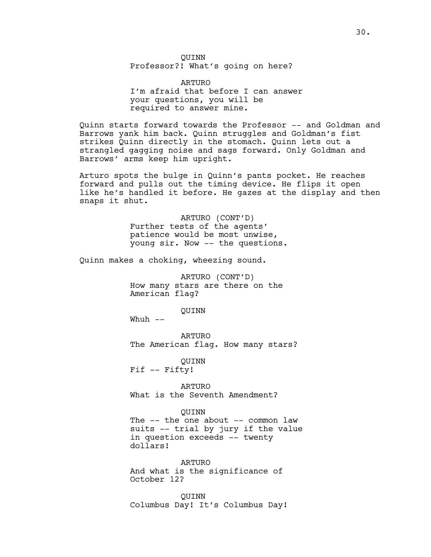QUINN Professor?! What's going on here?

ARTURO I'm afraid that before I can answer your questions, you will be required to answer mine.

Quinn starts forward towards the Professor -- and Goldman and Barrows yank him back. Quinn struggles and Goldman's fist strikes Quinn directly in the stomach. Quinn lets out a strangled gagging noise and sags forward. Only Goldman and Barrows' arms keep him upright.

Arturo spots the bulge in Quinn's pants pocket. He reaches forward and pulls out the timing device. He flips it open like he's handled it before. He gazes at the display and then snaps it shut.

> ARTURO (CONT'D) Further tests of the agents' patience would be most unwise, young sir. Now -- the questions.

Quinn makes a choking, wheezing sound.

ARTURO (CONT'D) How many stars are there on the American flag?

QUINN

Whuh  $--$ 

ARTURO The American flag. How many stars?

QUINN Fif -- Fifty!

ARTURO What is the Seventh Amendment?

QUINN

The -- the one about -- common law suits -- trial by jury if the value in question exceeds -- twenty dollars!

ARTURO And what is the significance of October 12?

QUINN Columbus Day! It's Columbus Day!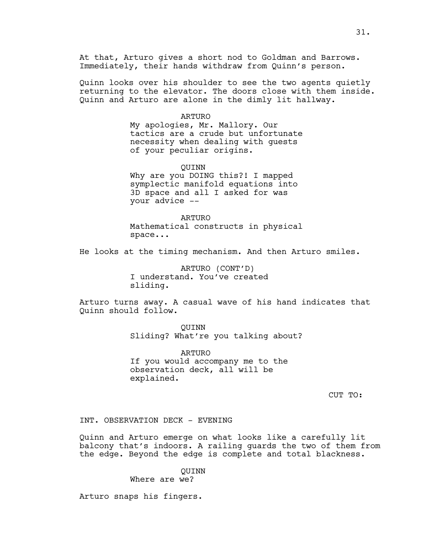At that, Arturo gives a short nod to Goldman and Barrows. Immediately, their hands withdraw from Quinn's person.

Quinn looks over his shoulder to see the two agents quietly returning to the elevator. The doors close with them inside. Quinn and Arturo are alone in the dimly lit hallway.

#### ARTURO

My apologies, Mr. Mallory. Our tactics are a crude but unfortunate necessity when dealing with guests of your peculiar origins.

QUINN

Why are you DOING this?! I mapped symplectic manifold equations into 3D space and all I asked for was your advice --

ARTURO Mathematical constructs in physical space...

He looks at the timing mechanism. And then Arturo smiles.

ARTURO (CONT'D) I understand. You've created sliding.

Arturo turns away. A casual wave of his hand indicates that Quinn should follow.

> QUINN Sliding? What're you talking about?

ARTURO If you would accompany me to the observation deck, all will be explained.

CUT TO:

INT. OBSERVATION DECK - EVENING

Quinn and Arturo emerge on what looks like a carefully lit balcony that's indoors. A railing guards the two of them from the edge. Beyond the edge is complete and total blackness.

> QUINN Where are we?

Arturo snaps his fingers.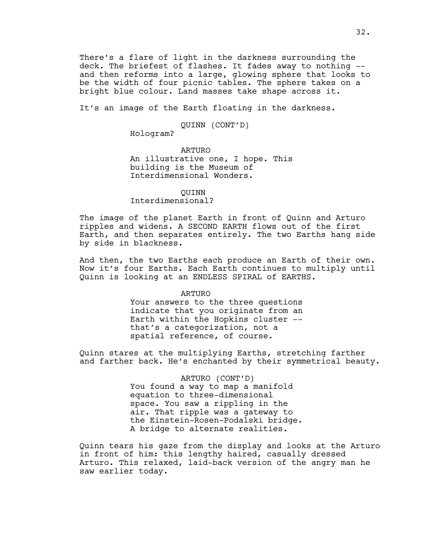There's a flare of light in the darkness surrounding the deck. The briefest of flashes. It fades away to nothing - and then reforms into a large, glowing sphere that looks to be the width of four picnic tables. The sphere takes on a bright blue colour. Land masses take shape across it.

It's an image of the Earth floating in the darkness.

#### QUINN (CONT'D)

Hologram?

ARTURO An illustrative one, I hope. This building is the Museum of Interdimensional Wonders.

#### QUINN

Interdimensional?

The image of the planet Earth in front of Quinn and Arturo ripples and widens. A SECOND EARTH flows out of the first Earth, and then separates entirely. The two Earths hang side by side in blackness.

And then, the two Earths each produce an Earth of their own. Now it's four Earths. Each Earth continues to multiply until Quinn is looking at an ENDLESS SPIRAL of EARTHS.

#### ARTURO

Your answers to the three questions indicate that you originate from an Earth within the Hopkins cluster - that's a categorization, not a spatial reference, of course.

Quinn stares at the multiplying Earths, stretching farther and farther back. He's enchanted by their symmetrical beauty.

> ARTURO (CONT'D) You found a way to map a manifold equation to three-dimensional space. You saw a rippling in the air. That ripple was a gateway to the Einstein-Rosen-Podalski bridge. A bridge to alternate realities.

Quinn tears his gaze from the display and looks at the Arturo in front of him: this lengthy haired, casually dressed Arturo. This relaxed, laid-back version of the angry man he saw earlier today.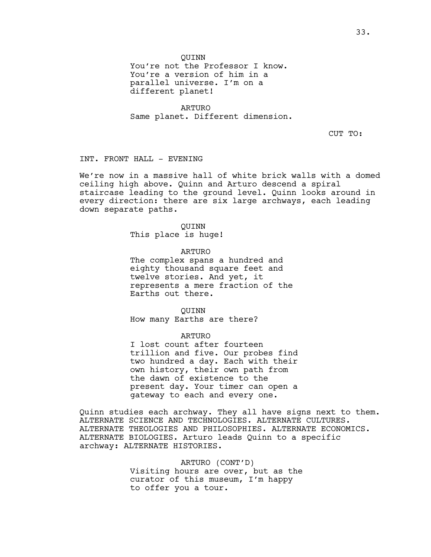#### QUINN

You're not the Professor I know. You're a version of him in a parallel universe. I'm on a different planet!

ARTURO Same planet. Different dimension.

CUT TO:

INT. FRONT HALL - EVENING

We're now in a massive hall of white brick walls with a domed ceiling high above. Quinn and Arturo descend a spiral staircase leading to the ground level. Quinn looks around in every direction: there are six large archways, each leading down separate paths.

#### QUINN

This place is huge!

ARTURO The complex spans a hundred and eighty thousand square feet and twelve stories. And yet, it represents a mere fraction of the Earths out there.

QUINN How many Earths are there?

#### ARTURO

I lost count after fourteen trillion and five. Our probes find two hundred a day. Each with their own history, their own path from the dawn of existence to the present day. Your timer can open a gateway to each and every one.

Quinn studies each archway. They all have signs next to them. ALTERNATE SCIENCE AND TECHNOLOGIES. ALTERNATE CULTURES. ALTERNATE THEOLOGIES AND PHILOSOPHIES. ALTERNATE ECONOMICS. ALTERNATE BIOLOGIES. Arturo leads Quinn to a specific archway: ALTERNATE HISTORIES.

> ARTURO (CONT'D) Visiting hours are over, but as the curator of this museum, I'm happy to offer you a tour.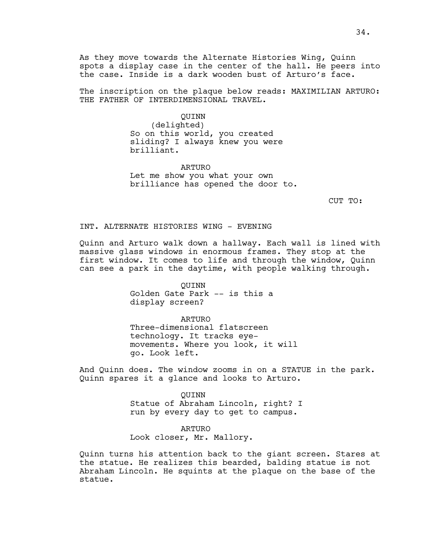As they move towards the Alternate Histories Wing, Quinn spots a display case in the center of the hall. He peers into the case. Inside is a dark wooden bust of Arturo's face.

The inscription on the plaque below reads: MAXIMILIAN ARTURO: THE FATHER OF INTERDIMENSIONAL TRAVEL.

QUINN

(delighted) So on this world, you created sliding? I always knew you were brilliant.

ARTURO Let me show you what your own brilliance has opened the door to.

CUT TO:

#### INT. ALTERNATE HISTORIES WING - EVENING

Quinn and Arturo walk down a hallway. Each wall is lined with massive glass windows in enormous frames. They stop at the first window. It comes to life and through the window, Quinn can see a park in the daytime, with people walking through.

> QUINN Golden Gate Park -- is this a display screen?

ARTURO Three-dimensional flatscreen technology. It tracks eyemovements. Where you look, it will go. Look left.

And Quinn does. The window zooms in on a STATUE in the park. Quinn spares it a glance and looks to Arturo.

> QUINN Statue of Abraham Lincoln, right? I run by every day to get to campus.

#### ARTURO

Look closer, Mr. Mallory.

Quinn turns his attention back to the giant screen. Stares at the statue. He realizes this bearded, balding statue is not Abraham Lincoln. He squints at the plaque on the base of the statue.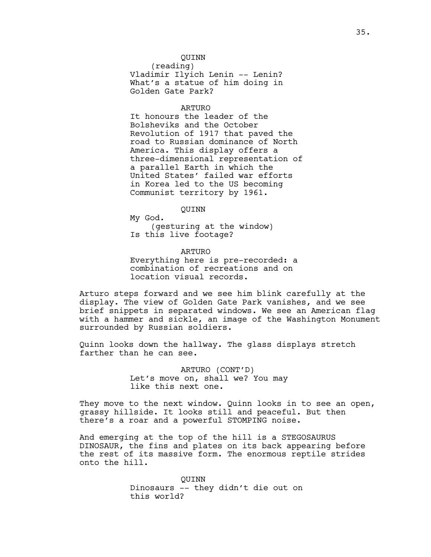#### QUINN

(reading) Vladimir Ilyich Lenin -- Lenin? What's a statue of him doing in Golden Gate Park?

#### ARTURO

It honours the leader of the Bolsheviks and the October Revolution of 1917 that paved the road to Russian dominance of North America. This display offers a three-dimensional representation of a parallel Earth in which the United States' failed war efforts in Korea led to the US becoming Communist territory by 1961.

QUINN

My God. (gesturing at the window) Is this live footage?

ARTURO Everything here is pre-recorded: a combination of recreations and on location visual records.

Arturo steps forward and we see him blink carefully at the display. The view of Golden Gate Park vanishes, and we see brief snippets in separated windows. We see an American flag with a hammer and sickle, an image of the Washington Monument surrounded by Russian soldiers.

Quinn looks down the hallway. The glass displays stretch farther than he can see.

> ARTURO (CONT'D) Let's move on, shall we? You may like this next one.

They move to the next window. Quinn looks in to see an open, grassy hillside. It looks still and peaceful. But then there's a roar and a powerful STOMPING noise.

And emerging at the top of the hill is a STEGOSAURUS DINOSAUR, the fins and plates on its back appearing before the rest of its massive form. The enormous reptile strides onto the hill.

> QUINN Dinosaurs -- they didn't die out on this world?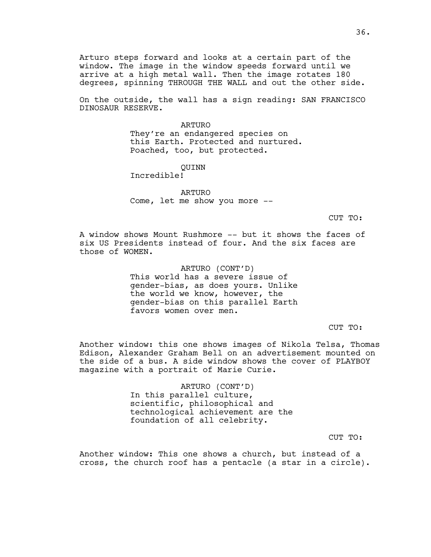Arturo steps forward and looks at a certain part of the window. The image in the window speeds forward until we arrive at a high metal wall. Then the image rotates 180 degrees, spinning THROUGH THE WALL and out the other side.

On the outside, the wall has a sign reading: SAN FRANCISCO DINOSAUR RESERVE.

# ARTURO

They're an endangered species on this Earth. Protected and nurtured. Poached, too, but protected.

# QUINN

Incredible!

ARTURO Come, let me show you more --

CUT TO:

A window shows Mount Rushmore -- but it shows the faces of six US Presidents instead of four. And the six faces are those of WOMEN.

> ARTURO (CONT'D) This world has a severe issue of gender-bias, as does yours. Unlike the world we know, however, the gender-bias on this parallel Earth favors women over men.

> > CUT TO:

Another window: this one shows images of Nikola Telsa, Thomas Edison, Alexander Graham Bell on an advertisement mounted on the side of a bus. A side window shows the cover of PLAYBOY magazine with a portrait of Marie Curie.

> ARTURO (CONT'D) In this parallel culture, scientific, philosophical and technological achievement are the foundation of all celebrity.

> > CUT TO:

Another window: This one shows a church, but instead of a cross, the church roof has a pentacle (a star in a circle).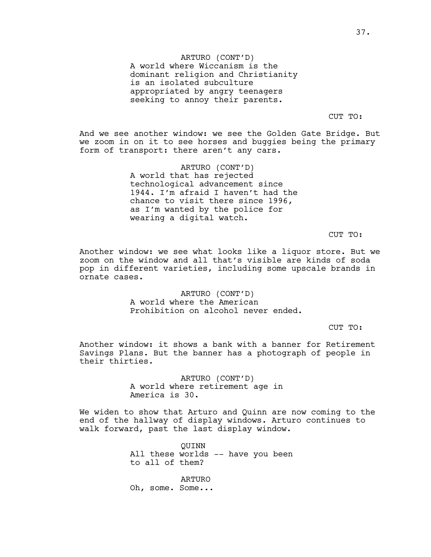ARTURO (CONT'D) A world where Wiccanism is the dominant religion and Christianity is an isolated subculture appropriated by angry teenagers seeking to annoy their parents.

CUT TO:

And we see another window: we see the Golden Gate Bridge. But we zoom in on it to see horses and buggies being the primary form of transport: there aren't any cars.

> ARTURO (CONT'D) A world that has rejected technological advancement since 1944. I'm afraid I haven't had the chance to visit there since 1996, as I'm wanted by the police for wearing a digital watch.

> > CUT TO:

Another window: we see what looks like a liquor store. But we zoom on the window and all that's visible are kinds of soda pop in different varieties, including some upscale brands in ornate cases.

> ARTURO (CONT'D) A world where the American Prohibition on alcohol never ended.

> > CUT TO:

Another window: it shows a bank with a banner for Retirement Savings Plans. But the banner has a photograph of people in their thirties.

> ARTURO (CONT'D) A world where retirement age in America is 30.

We widen to show that Arturo and Quinn are now coming to the end of the hallway of display windows. Arturo continues to walk forward, past the last display window.

> QUINN All these worlds -- have you been to all of them?

ARTURO Oh, some. Some...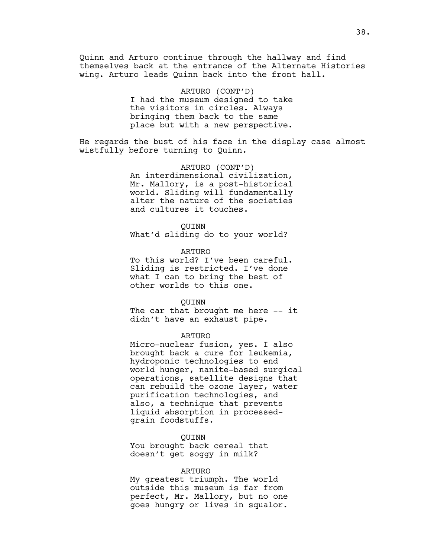Quinn and Arturo continue through the hallway and find themselves back at the entrance of the Alternate Histories wing. Arturo leads Quinn back into the front hall.

> ARTURO (CONT'D) I had the museum designed to take the visitors in circles. Always bringing them back to the same place but with a new perspective.

He regards the bust of his face in the display case almost wistfully before turning to Quinn.

> ARTURO (CONT'D) An interdimensional civilization, Mr. Mallory, is a post-historical world. Sliding will fundamentally alter the nature of the societies and cultures it touches.

## QUINN

What'd sliding do to your world?

ARTURO

To this world? I've been careful. Sliding is restricted. I've done what I can to bring the best of other worlds to this one.

#### QUINN

The car that brought me here -- it didn't have an exhaust pipe.

## ARTURO

Micro-nuclear fusion, yes. I also brought back a cure for leukemia, hydroponic technologies to end world hunger, nanite-based surgical operations, satellite designs that can rebuild the ozone layer, water purification technologies, and also, a technique that prevents liquid absorption in processedgrain foodstuffs.

# QUINN

You brought back cereal that doesn't get soggy in milk?

#### ARTURO

My greatest triumph. The world outside this museum is far from perfect, Mr. Mallory, but no one goes hungry or lives in squalor.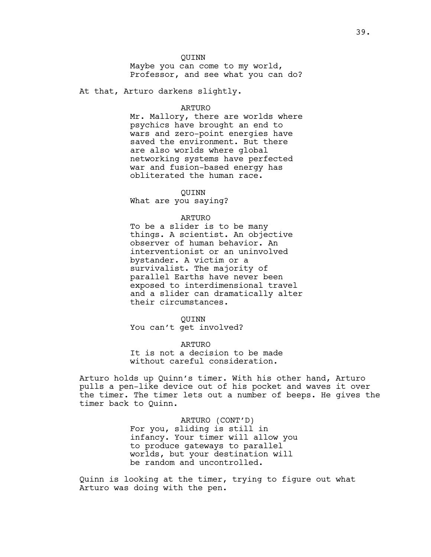## QUINN

Maybe you can come to my world, Professor, and see what you can do?

At that, Arturo darkens slightly.

# ARTURO

Mr. Mallory, there are worlds where psychics have brought an end to wars and zero-point energies have saved the environment. But there are also worlds where global networking systems have perfected war and fusion-based energy has obliterated the human race.

QUINN

What are you saying?

#### ARTURO

To be a slider is to be many things. A scientist. An objective observer of human behavior. An interventionist or an uninvolved bystander. A victim or a survivalist. The majority of parallel Earths have never been exposed to interdimensional travel and a slider can dramatically alter their circumstances.

## QUINN

You can't get involved?

ARTURO It is not a decision to be made without careful consideration.

Arturo holds up Quinn's timer. With his other hand, Arturo pulls a pen-like device out of his pocket and waves it over the timer. The timer lets out a number of beeps. He gives the timer back to Quinn.

> ARTURO (CONT'D) For you, sliding is still in infancy. Your timer will allow you to produce gateways to parallel worlds, but your destination will be random and uncontrolled.

Quinn is looking at the timer, trying to figure out what Arturo was doing with the pen.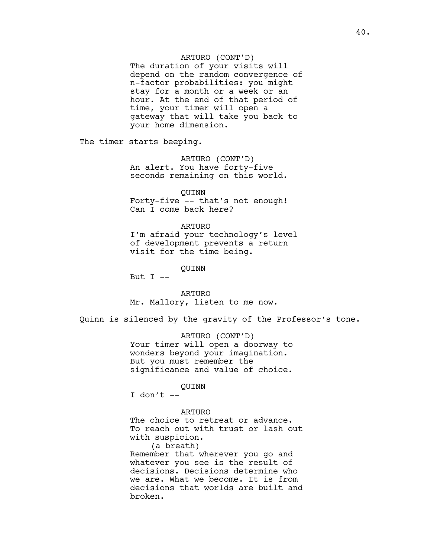# ARTURO (CONT'D)

The duration of your visits will depend on the random convergence of n-factor probabilities: you might stay for a month or a week or an hour. At the end of that period of time, your timer will open a gateway that will take you back to your home dimension.

The timer starts beeping.

ARTURO (CONT'D) An alert. You have forty-five seconds remaining on this world.

QUINN Forty-five -- that's not enough! Can I come back here?

## ARTURO

I'm afraid your technology's level of development prevents a return visit for the time being.

QUINN

But  $I$  --

ARTURO Mr. Mallory, listen to me now.

Quinn is silenced by the gravity of the Professor's tone.

ARTURO (CONT'D) Your timer will open a doorway to wonders beyond your imagination. But you must remember the significance and value of choice.

## QUINN

I don't  $--$ 

ARTURO

The choice to retreat or advance. To reach out with trust or lash out with suspicion.

(a breath) Remember that wherever you go and whatever you see is the result of decisions. Decisions determine who we are. What we become. It is from decisions that worlds are built and broken.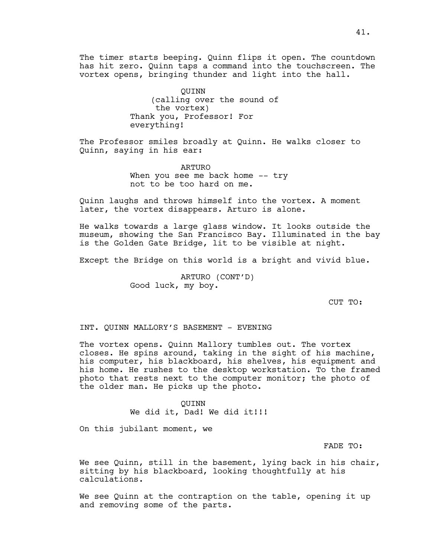The timer starts beeping. Quinn flips it open. The countdown has hit zero. Quinn taps a command into the touchscreen. The vortex opens, bringing thunder and light into the hall.

> QUINN (calling over the sound of the vortex) Thank you, Professor! For everything!

The Professor smiles broadly at Quinn. He walks closer to Quinn, saying in his ear:

> ARTURO When you see me back home -- try not to be too hard on me.

Quinn laughs and throws himself into the vortex. A moment later, the vortex disappears. Arturo is alone.

He walks towards a large glass window. It looks outside the museum, showing the San Francisco Bay. Illuminated in the bay is the Golden Gate Bridge, lit to be visible at night.

Except the Bridge on this world is a bright and vivid blue.

ARTURO (CONT'D) Good luck, my boy.

CUT TO:

INT. QUINN MALLORY'S BASEMENT - EVENING

The vortex opens. Quinn Mallory tumbles out. The vortex closes. He spins around, taking in the sight of his machine, his computer, his blackboard, his shelves, his equipment and his home. He rushes to the desktop workstation. To the framed photo that rests next to the computer monitor; the photo of the older man. He picks up the photo.

> QUINN We did it, Dad! We did it!!!

On this jubilant moment, we

FADE TO:

We see Quinn, still in the basement, lying back in his chair, sitting by his blackboard, looking thoughtfully at his calculations.

We see Quinn at the contraption on the table, opening it up and removing some of the parts.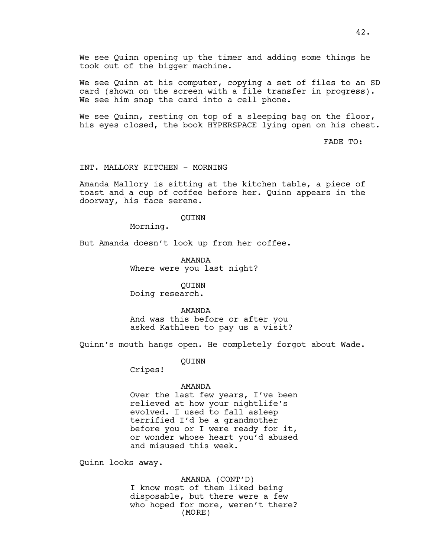We see Quinn opening up the timer and adding some things he took out of the bigger machine.

We see Quinn at his computer, copying a set of files to an SD card (shown on the screen with a file transfer in progress). We see him snap the card into a cell phone.

We see Quinn, resting on top of a sleeping bag on the floor, his eyes closed, the book HYPERSPACE lying open on his chest.

FADE TO:

# INT. MALLORY KITCHEN - MORNING

Amanda Mallory is sitting at the kitchen table, a piece of toast and a cup of coffee before her. Quinn appears in the doorway, his face serene.

#### QUINN

Morning.

But Amanda doesn't look up from her coffee.

AMANDA Where were you last night?

QUINN

Doing research.

## AMANDA

And was this before or after you asked Kathleen to pay us a visit?

Quinn's mouth hangs open. He completely forgot about Wade.

QUINN

Cripes!

## AMANDA

Over the last few years, I've been relieved at how your nightlife's evolved. I used to fall asleep terrified I'd be a grandmother before you or I were ready for it, or wonder whose heart you'd abused and misused this week.

Quinn looks away.

AMANDA (CONT'D) I know most of them liked being disposable, but there were a few who hoped for more, weren't there? (MORE)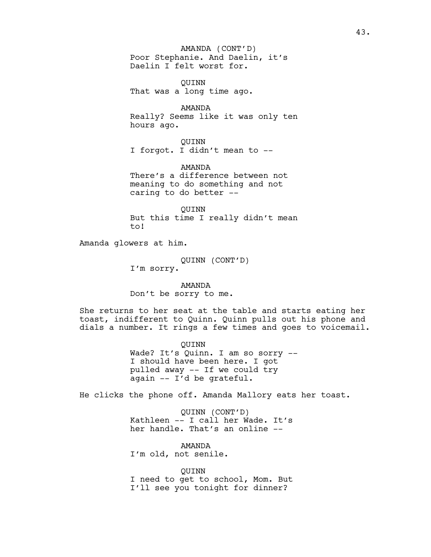# AMANDA (CONT'D)

Poor Stephanie. And Daelin, it's Daelin I felt worst for.

QUINN That was a long time ago.

AMANDA Really? Seems like it was only ten hours ago.

QUINN I forgot. I didn't mean to --

AMANDA There's a difference between not meaning to do something and not caring to do better --

QUINN But this time I really didn't mean to!

Amanda glowers at him.

QUINN (CONT'D) I'm sorry.

AMANDA

Don't be sorry to me.

She returns to her seat at the table and starts eating her toast, indifferent to Quinn. Quinn pulls out his phone and dials a number. It rings a few times and goes to voicemail.

> QUINN Wade? It's Quinn. I am so sorry -- I should have been here. I got pulled away -- If we could try again -- I'd be grateful.

He clicks the phone off. Amanda Mallory eats her toast.

QUINN (CONT'D) Kathleen -- I call her Wade. It's her handle. That's an online --

AMANDA I'm old, not senile.

QUINN I need to get to school, Mom. But I'll see you tonight for dinner?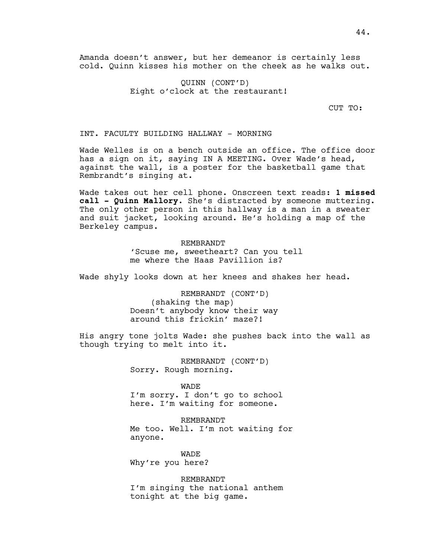Amanda doesn't answer, but her demeanor is certainly less cold. Quinn kisses his mother on the cheek as he walks out.

> QUINN (CONT'D) Eight o'clock at the restaurant!

> > CUT TO:

INT. FACULTY BUILDING HALLWAY - MORNING

Wade Welles is on a bench outside an office. The office door has a sign on it, saying IN A MEETING. Over Wade's head, against the wall, is a poster for the basketball game that Rembrandt's singing at.

Wade takes out her cell phone. Onscreen text reads: **1 missed call - Quinn Mallory.** She's distracted by someone muttering. The only other person in this hallway is a man in a sweater and suit jacket, looking around. He's holding a map of the Berkeley campus.

# REMBRANDT

'Scuse me, sweetheart? Can you tell me where the Haas Pavillion is?

Wade shyly looks down at her knees and shakes her head.

REMBRANDT (CONT'D) (shaking the map) Doesn't anybody know their way around this frickin' maze?!

His angry tone jolts Wade: she pushes back into the wall as though trying to melt into it.

> REMBRANDT (CONT'D) Sorry. Rough morning.

WADE I'm sorry. I don't go to school here. I'm waiting for someone.

REMBRANDT Me too. Well. I'm not waiting for anyone.

WADE Why're you here?

REMBRANDT I'm singing the national anthem tonight at the big game.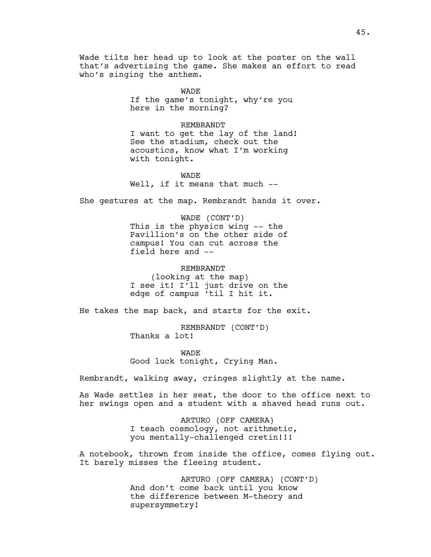Wade tilts her head up to look at the poster on the wall that's advertising the game. She makes an effort to read who's singing the anthem.

> WADE If the game's tonight, why're you here in the morning?

## REMBRANDT

I want to get the lay of the land! See the stadium, check out the acoustics, know what I'm working with tonight.

WADE Well, if it means that much --

She gestures at the map. Rembrandt hands it over.

WADE (CONT'D) This is the physics wing -- the Pavillion's on the other side of campus! You can cut across the field here and --

REMBRANDT

(looking at the map) I see it! I'll just drive on the edge of campus 'til I hit it.

He takes the map back, and starts for the exit.

REMBRANDT (CONT'D) Thanks a lot!

WADE Good luck tonight, Crying Man.

Rembrandt, walking away, cringes slightly at the name.

As Wade settles in her seat, the door to the office next to her swings open and a student with a shaved head runs out.

> ARTURO (OFF CAMERA) I teach cosmology, not arithmetic, you mentally-challenged cretin!!!

A notebook, thrown from inside the office, comes flying out. It barely misses the fleeing student.

> ARTURO (OFF CAMERA) (CONT'D) And don't come back until you know the difference between M-theory and supersymmetry!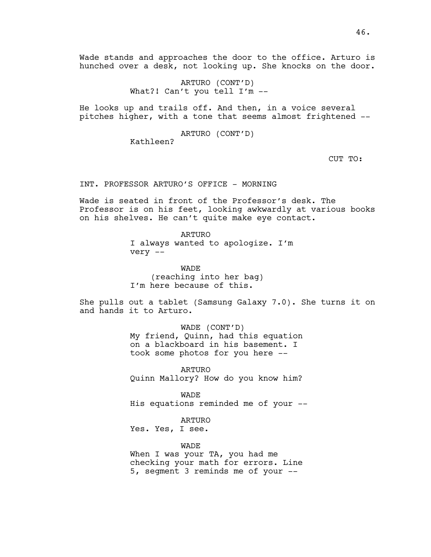Wade stands and approaches the door to the office. Arturo is hunched over a desk, not looking up. She knocks on the door.

> ARTURO (CONT'D) What?! Can't you tell I'm --

He looks up and trails off. And then, in a voice several pitches higher, with a tone that seems almost frightened --

ARTURO (CONT'D)

Kathleen?

CUT TO:

INT. PROFESSOR ARTURO'S OFFICE - MORNING

Wade is seated in front of the Professor's desk. The Professor is on his feet, looking awkwardly at various books on his shelves. He can't quite make eye contact.

> ARTURO I always wanted to apologize. I'm very --

WADE (reaching into her bag) I'm here because of this.

She pulls out a tablet (Samsung Galaxy 7.0). She turns it on and hands it to Arturo.

> WADE (CONT'D) My friend, Quinn, had this equation on a blackboard in his basement. I took some photos for you here --

> ARTURO Quinn Mallory? How do you know him?

WADE His equations reminded me of your --

ARTURO

Yes. Yes, I see.

WADE

When I was your TA, you had me checking your math for errors. Line 5, segment 3 reminds me of your --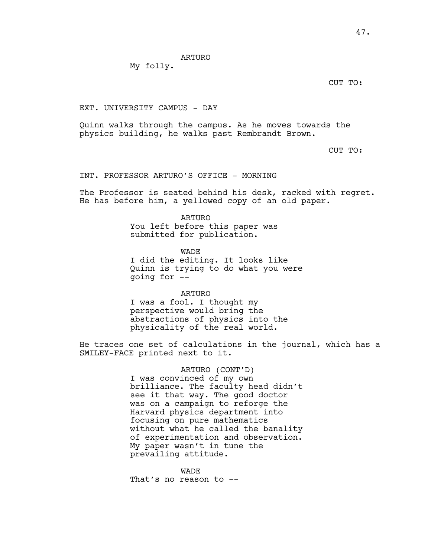My folly.

CUT TO:

# EXT. UNIVERSITY CAMPUS - DAY

Quinn walks through the campus. As he moves towards the physics building, he walks past Rembrandt Brown.

CUT TO:

# INT. PROFESSOR ARTURO'S OFFICE - MORNING

The Professor is seated behind his desk, racked with regret. He has before him, a yellowed copy of an old paper.

> ARTURO You left before this paper was submitted for publication.

WADE I did the editing. It looks like Quinn is trying to do what you were going for --

ARTURO I was a fool. I thought my perspective would bring the abstractions of physics into the physicality of the real world.

He traces one set of calculations in the journal, which has a SMILEY-FACE printed next to it.

> ARTURO (CONT'D) I was convinced of my own brilliance. The faculty head didn't see it that way. The good doctor was on a campaign to reforge the Harvard physics department into focusing on pure mathematics without what he called the banality of experimentation and observation. My paper wasn't in tune the prevailing attitude.

WADE That's no reason to --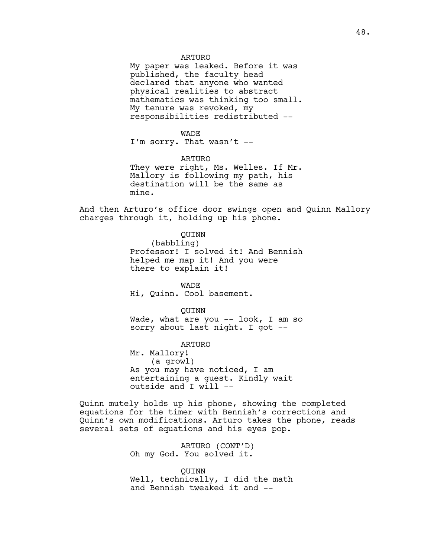My paper was leaked. Before it was published, the faculty head declared that anyone who wanted physical realities to abstract mathematics was thinking too small. My tenure was revoked, my responsibilities redistributed --

#### WADE

I'm sorry. That wasn't --

# ARTURO

They were right, Ms. Welles. If Mr. Mallory is following my path, his destination will be the same as mine.

And then Arturo's office door swings open and Quinn Mallory charges through it, holding up his phone.

QUINN

(babbling) Professor! I solved it! And Bennish helped me map it! And you were there to explain it!

WADE Hi, Quinn. Cool basement.

QUINN

Wade, what are you -- look, I am so sorry about last night. I got --

ARTURO Mr. Mallory! (a growl) As you may have noticed, I am entertaining a guest. Kindly wait outside and I will --

Quinn mutely holds up his phone, showing the completed equations for the timer with Bennish's corrections and Quinn's own modifications. Arturo takes the phone, reads several sets of equations and his eyes pop.

> ARTURO (CONT'D) Oh my God. You solved it.

QUINN Well, technically, I did the math and Bennish tweaked it and --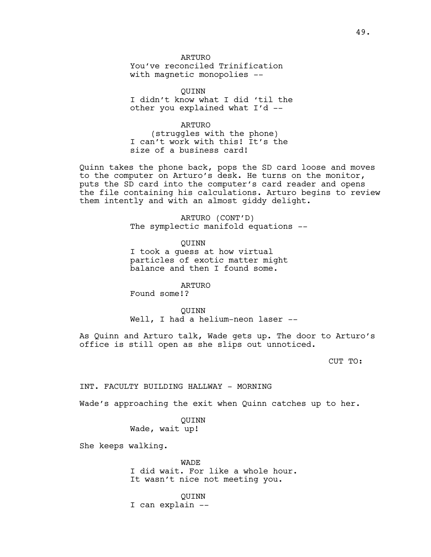You've reconciled Trinification with magnetic monopolies --

QUINN

I didn't know what I did 'til the other you explained what I'd --

ARTURO (struggles with the phone) I can't work with this! It's the size of a business card!

Quinn takes the phone back, pops the SD card loose and moves to the computer on Arturo's desk. He turns on the monitor, puts the SD card into the computer's card reader and opens the file containing his calculations. Arturo begins to review them intently and with an almost giddy delight.

> ARTURO (CONT'D) The symplectic manifold equations --

> > QUINN

I took a guess at how virtual particles of exotic matter might balance and then I found some.

ARTURO

Found some!?

QUINN

Well, I had a helium-neon laser --

As Quinn and Arturo talk, Wade gets up. The door to Arturo's office is still open as she slips out unnoticed.

CUT TO:

INT. FACULTY BUILDING HALLWAY - MORNING

Wade's approaching the exit when Quinn catches up to her.

QUINN Wade, wait up!

She keeps walking.

WADE I did wait. For like a whole hour. It wasn't nice not meeting you.

QUINN I can explain --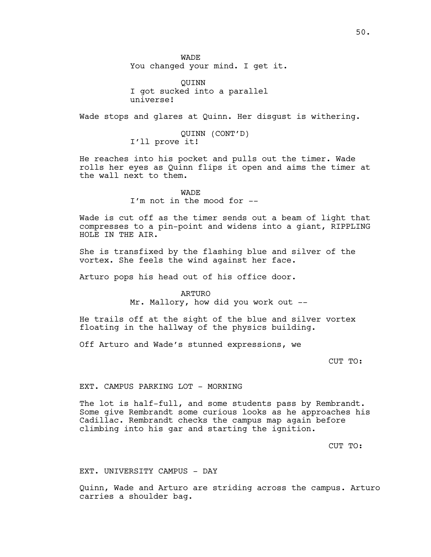WADE You changed your mind. I get it.

QUINN I got sucked into a parallel universe!

Wade stops and glares at Quinn. Her disgust is withering.

QUINN (CONT'D) I'll prove it!

He reaches into his pocket and pulls out the timer. Wade rolls her eyes as Quinn flips it open and aims the timer at the wall next to them.

> WADE I'm not in the mood for --

Wade is cut off as the timer sends out a beam of light that compresses to a pin-point and widens into a giant, RIPPLING HOLE IN THE AIR.

She is transfixed by the flashing blue and silver of the vortex. She feels the wind against her face.

Arturo pops his head out of his office door.

ARTURO Mr. Mallory, how did you work out --

He trails off at the sight of the blue and silver vortex floating in the hallway of the physics building.

Off Arturo and Wade's stunned expressions, we

CUT TO:

EXT. CAMPUS PARKING LOT - MORNING

The lot is half-full, and some students pass by Rembrandt. Some give Rembrandt some curious looks as he approaches his Cadillac. Rembrandt checks the campus map again before climbing into his gar and starting the ignition.

CUT TO:

EXT. UNIVERSITY CAMPUS - DAY

Quinn, Wade and Arturo are striding across the campus. Arturo carries a shoulder bag.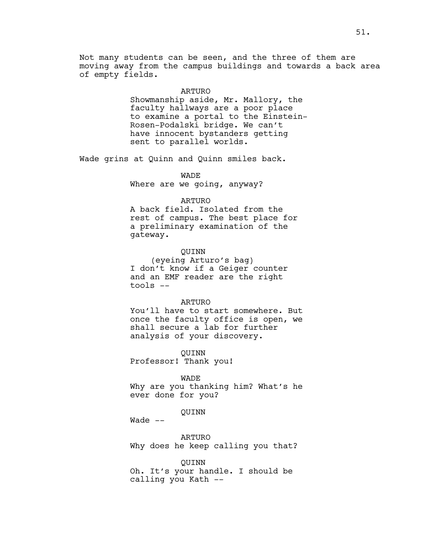Not many students can be seen, and the three of them are moving away from the campus buildings and towards a back area of empty fields.

#### ARTURO

Showmanship aside, Mr. Mallory, the faculty hallways are a poor place to examine a portal to the Einstein-Rosen-Podalski bridge. We can't have innocent bystanders getting sent to parallel worlds.

Wade grins at Quinn and Quinn smiles back.

# WADE

Where are we going, anyway?

# ARTURO

A back field. Isolated from the rest of campus. The best place for a preliminary examination of the gateway.

## QUINN

(eyeing Arturo's bag) I don't know if a Geiger counter and an EMF reader are the right tools --

## ARTURO

You'll have to start somewhere. But once the faculty office is open, we shall secure a lab for further analysis of your discovery.

QUINN

Professor! Thank you!

# WADE

Why are you thanking him? What's he ever done for you?

## QUINN

Wade  $--$ 

ARTURO Why does he keep calling you that?

#### QUINN

Oh. It's your handle. I should be calling you Kath --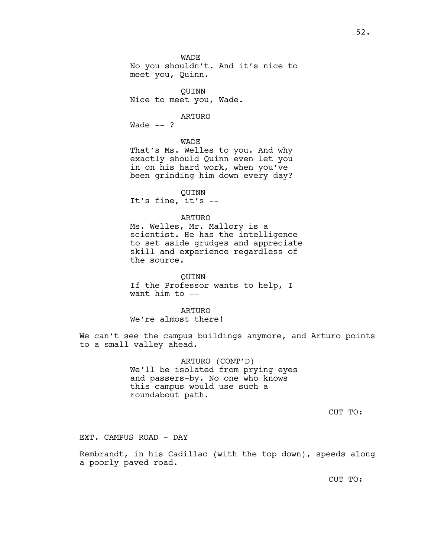WADE No you shouldn't. And it's nice to meet you, Quinn.

QUINN Nice to meet you, Wade.

ARTURO

Wade  $--$  ?

WADE

That's Ms. Welles to you. And why exactly should Quinn even let you in on his hard work, when you've been grinding him down every day?

QUINN

It's fine, it's --

## ARTURO

Ms. Welles, Mr. Mallory is a scientist. He has the intelligence to set aside grudges and appreciate skill and experience regardless of the source.

QUINN If the Professor wants to help, I want him to --

ARTURO

We're almost there!

We can't see the campus buildings anymore, and Arturo points to a small valley ahead.

> ARTURO (CONT'D) We'll be isolated from prying eyes and passers-by. No one who knows this campus would use such a roundabout path.

> > CUT TO:

EXT. CAMPUS ROAD - DAY

Rembrandt, in his Cadillac (with the top down), speeds along a poorly paved road.

CUT TO: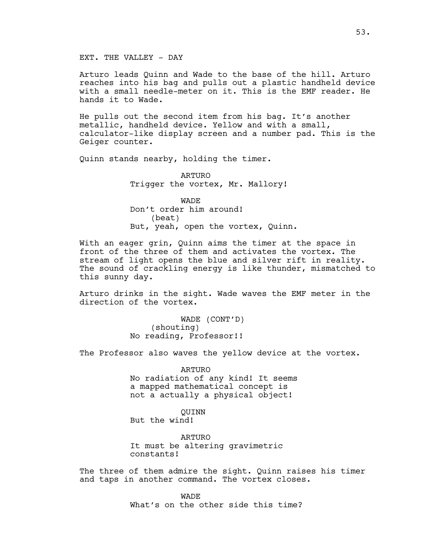# EXT. THE VALLEY - DAY

Arturo leads Quinn and Wade to the base of the hill. Arturo reaches into his bag and pulls out a plastic handheld device with a small needle-meter on it. This is the EMF reader. He hands it to Wade.

He pulls out the second item from his bag. It's another metallic, handheld device. Yellow and with a small, calculator-like display screen and a number pad. This is the Geiger counter.

Quinn stands nearby, holding the timer.

ARTURO Trigger the vortex, Mr. Mallory!

**WADE** Don't order him around! (beat) But, yeah, open the vortex, Quinn.

With an eager grin, Quinn aims the timer at the space in front of the three of them and activates the vortex. The stream of light opens the blue and silver rift in reality. The sound of crackling energy is like thunder, mismatched to this sunny day.

Arturo drinks in the sight. Wade waves the EMF meter in the direction of the vortex.

> WADE (CONT'D) (shouting) No reading, Professor!!

The Professor also waves the yellow device at the vortex.

ARTURO No radiation of any kind! It seems a mapped mathematical concept is not a actually a physical object!

QUINN

But the wind!

ARTURO It must be altering gravimetric constants!

The three of them admire the sight. Quinn raises his timer and taps in another command. The vortex closes.

> **WADE** What's on the other side this time?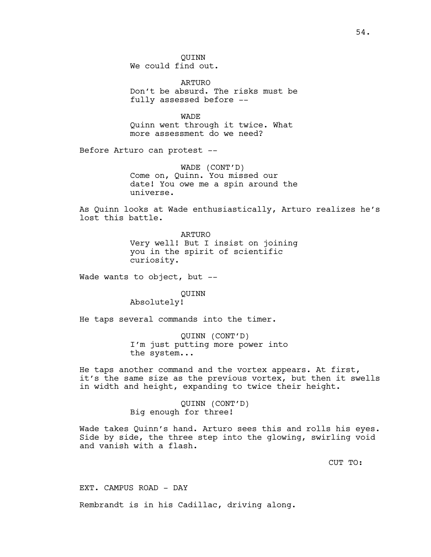QUINN We could find out.

ARTURO Don't be absurd. The risks must be fully assessed before --

WADE Quinn went through it twice. What more assessment do we need?

Before Arturo can protest --

WADE (CONT'D) Come on, Quinn. You missed our date! You owe me a spin around the universe.

As Quinn looks at Wade enthusiastically, Arturo realizes he's lost this battle.

> ARTURO Very well! But I insist on joining you in the spirit of scientific curiosity.

Wade wants to object, but --

QUINN

Absolutely!

He taps several commands into the timer.

QUINN (CONT'D) I'm just putting more power into the system...

He taps another command and the vortex appears. At first, it's the same size as the previous vortex, but then it swells in width and height, expanding to twice their height.

> QUINN (CONT'D) Big enough for three!

Wade takes Quinn's hand. Arturo sees this and rolls his eyes. Side by side, the three step into the glowing, swirling void and vanish with a flash.

CUT TO:

EXT. CAMPUS ROAD - DAY

Rembrandt is in his Cadillac, driving along.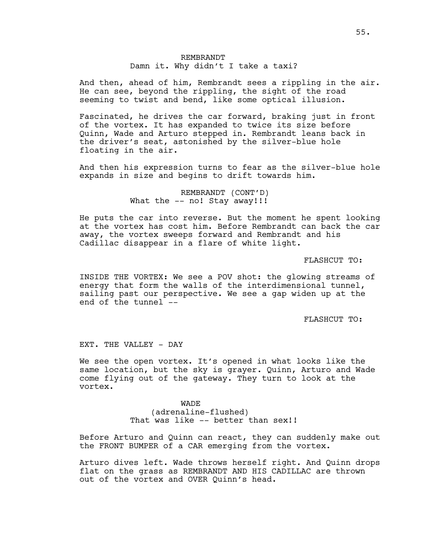# REMBRANDT Damn it. Why didn't I take a taxi?

And then, ahead of him, Rembrandt sees a rippling in the air. He can see, beyond the rippling, the sight of the road seeming to twist and bend, like some optical illusion.

Fascinated, he drives the car forward, braking just in front of the vortex. It has expanded to twice its size before Quinn, Wade and Arturo stepped in. Rembrandt leans back in the driver's seat, astonished by the silver-blue hole floating in the air.

And then his expression turns to fear as the silver-blue hole expands in size and begins to drift towards him.

> REMBRANDT (CONT'D) What the -- no! Stay away!!!

He puts the car into reverse. But the moment he spent looking at the vortex has cost him. Before Rembrandt can back the car away, the vortex sweeps forward and Rembrandt and his Cadillac disappear in a flare of white light.

FLASHCUT TO:

INSIDE THE VORTEX: We see a POV shot: the glowing streams of energy that form the walls of the interdimensional tunnel, sailing past our perspective. We see a gap widen up at the end of the tunnel --

FLASHCUT TO:

EXT. THE VALLEY - DAY

We see the open vortex. It's opened in what looks like the same location, but the sky is grayer. Quinn, Arturo and Wade come flying out of the gateway. They turn to look at the vortex.

> WADE (adrenaline-flushed) That was like -- better than sex!!

Before Arturo and Quinn can react, they can suddenly make out the FRONT BUMPER of a CAR emerging from the vortex.

Arturo dives left. Wade throws herself right. And Quinn drops flat on the grass as REMBRANDT AND HIS CADILLAC are thrown out of the vortex and OVER Quinn's head.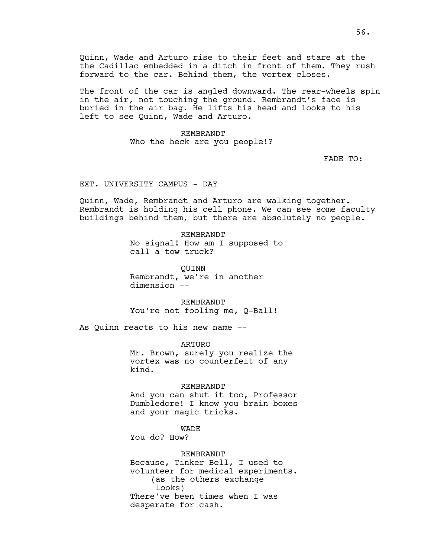Quinn, Wade and Arturo rise to their feet and stare at the the Cadillac embedded in a ditch in front of them. They rush forward to the car. Behind them, the vortex closes.

The front of the car is angled downward. The rear-wheels spin in the air, not touching the ground. Rembrandt's face is buried in the air bag. He lifts his head and looks to his left to see Quinn, Wade and Arturo.

> REMBRANDT Who the heck are you people!?

> > FADE TO:

EXT. UNIVERSITY CAMPUS - DAY

Quinn, Wade, Rembrandt and Arturo are walking together. Rembrandt is holding his cell phone. We can see some faculty buildings behind them, but there are absolutely no people.

> REMBRANDT No signal! How am I supposed to call a tow truck?

QUINN Rembrandt, we're in another dimension --

REMBRANDT You're not fooling me, Q-Ball!

As Quinn reacts to his new name --

ARTURO Mr. Brown, surely you realize the vortex was no counterfeit of any kind.

REMBRANDT

And you can shut it too, Professor Dumbledore! I know you brain boxes and your magic tricks.

**WADE** 

You do? How?

REMBRANDT

Because, Tinker Bell, I used to volunteer for medical experiments. (as the others exchange looks) There've been times when I was desperate for cash.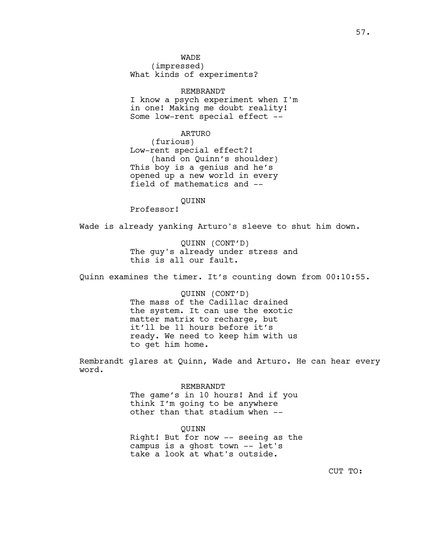WADE

(impressed) What kinds of experiments?

# REMBRANDT

I know a psych experiment when I'm in one! Making me doubt reality! Some low-rent special effect --

## ARTURO

(furious) Low-rent special effect?! (hand on Quinn's shoulder) This boy is a genius and he's opened up a new world in every field of mathematics and --

QUINN

Professor!

Wade is already yanking Arturo's sleeve to shut him down.

QUINN (CONT'D) The guy's already under stress and this is all our fault.

Quinn examines the timer. It's counting down from 00:10:55.

QUINN (CONT'D) The mass of the Cadillac drained the system. It can use the exotic matter matrix to recharge, but it'll be 11 hours before it's ready. We need to keep him with us to get him home.

Rembrandt glares at Quinn, Wade and Arturo. He can hear every word.

## REMBRANDT

The game's in 10 hours! And if you think I'm going to be anywhere other than that stadium when --

#### QUINN

Right! But for now -- seeing as the campus is a ghost town -- let's take a look at what's outside.

CUT TO: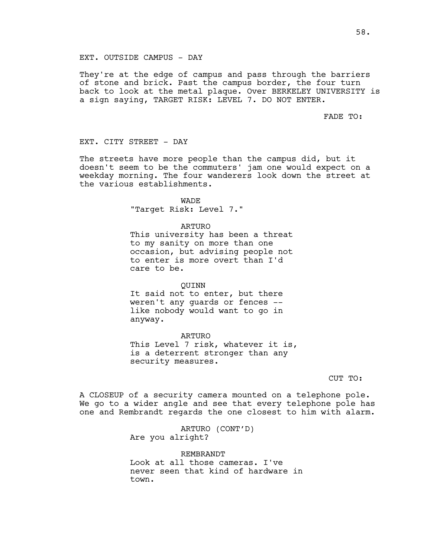## EXT. OUTSIDE CAMPUS - DAY

They're at the edge of campus and pass through the barriers of stone and brick. Past the campus border, the four turn back to look at the metal plaque. Over BERKELEY UNIVERSITY is a sign saying, TARGET RISK: LEVEL 7. DO NOT ENTER.

## FADE TO:

EXT. CITY STREET - DAY

The streets have more people than the campus did, but it doesn't seem to be the commuters' jam one would expect on a weekday morning. The four wanderers look down the street at the various establishments.

> **WADE** "Target Risk: Level 7."

## ARTURO

This university has been a threat to my sanity on more than one occasion, but advising people not to enter is more overt than I'd care to be.

## QUINN

It said not to enter, but there weren't any guards or fences - like nobody would want to go in anyway.

ARTURO

This Level 7 risk, whatever it is, is a deterrent stronger than any security measures.

CUT TO:

A CLOSEUP of a security camera mounted on a telephone pole. We go to a wider angle and see that every telephone pole has one and Rembrandt regards the one closest to him with alarm.

> ARTURO (CONT'D) Are you alright?

REMBRANDT Look at all those cameras. I've never seen that kind of hardware in town.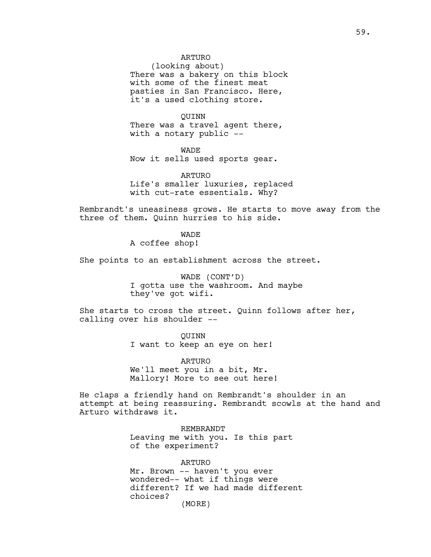(looking about) There was a bakery on this block with some of the finest meat pasties in San Francisco. Here, it's a used clothing store.

QUINN There was a travel agent there, with a notary public --

WADE Now it sells used sports gear.

ARTURO Life's smaller luxuries, replaced with cut-rate essentials. Why?

Rembrandt's uneasiness grows. He starts to move away from the three of them. Quinn hurries to his side.

WADE

A coffee shop!

She points to an establishment across the street.

WADE (CONT'D) I gotta use the washroom. And maybe they've got wifi.

She starts to cross the street. Quinn follows after her, calling over his shoulder --

> QUINN I want to keep an eye on her!

ARTURO We'll meet you in a bit, Mr. Mallory! More to see out here!

He claps a friendly hand on Rembrandt's shoulder in an attempt at being reassuring. Rembrandt scowls at the hand and Arturo withdraws it.

> REMBRANDT Leaving me with you. Is this part of the experiment?

ARTURO Mr. Brown -- haven't you ever wondered-- what if things were different? If we had made different choices? (MORE)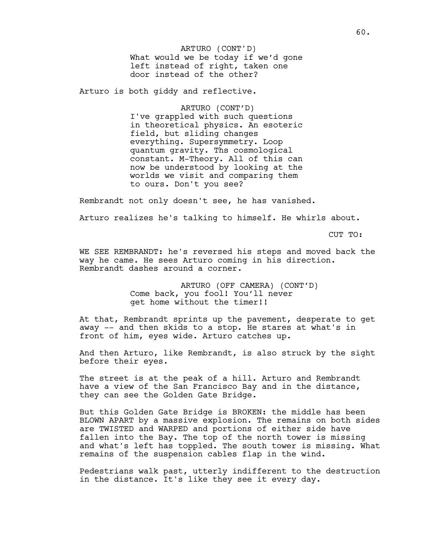What would we be today if we'd gone left instead of right, taken one door instead of the other? ARTURO (CONT'D)

Arturo is both giddy and reflective.

ARTURO (CONT'D) I've grappled with such questions in theoretical physics. An esoteric field, but sliding changes everything. Supersymmetry. Loop quantum gravity. Ths cosmological constant. M-Theory. All of this can now be understood by looking at the worlds we visit and comparing them to ours. Don't you see?

Rembrandt not only doesn't see, he has vanished.

Arturo realizes he's talking to himself. He whirls about.

CUT TO:

WE SEE REMBRANDT: he's reversed his steps and moved back the way he came. He sees Arturo coming in his direction. Rembrandt dashes around a corner.

> ARTURO (OFF CAMERA) (CONT'D) Come back, you fool! You'll never get home without the timer!!

At that, Rembrandt sprints up the pavement, desperate to get away -- and then skids to a stop. He stares at what's in front of him, eyes wide. Arturo catches up.

And then Arturo, like Rembrandt, is also struck by the sight before their eyes.

The street is at the peak of a hill. Arturo and Rembrandt have a view of the San Francisco Bay and in the distance, they can see the Golden Gate Bridge.

But this Golden Gate Bridge is BROKEN: the middle has been BLOWN APART by a massive explosion. The remains on both sides are TWISTED and WARPED and portions of either side have fallen into the Bay. The top of the north tower is missing and what's left has toppled. The south tower is missing. What remains of the suspension cables flap in the wind.

Pedestrians walk past, utterly indifferent to the destruction in the distance. It's like they see it every day.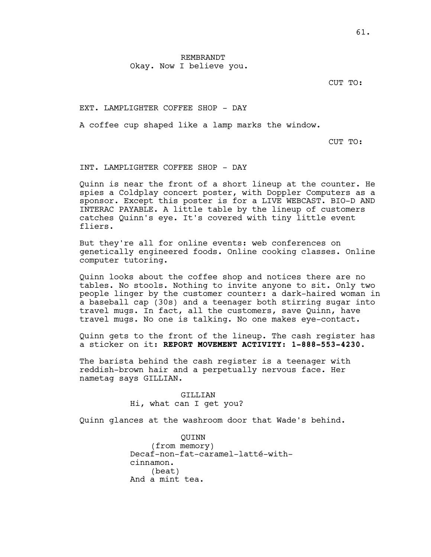CUT TO:

EXT. LAMPLIGHTER COFFEE SHOP - DAY

A coffee cup shaped like a lamp marks the window.

CUT TO:

INT. LAMPLIGHTER COFFEE SHOP - DAY

Quinn is near the front of a short lineup at the counter. He spies a Coldplay concert poster, with Doppler Computers as a sponsor. Except this poster is for a LIVE WEBCAST. BIO-D AND INTERAC PAYABLE. A little table by the lineup of customers catches Quinn's eye. It's covered with tiny little event fliers.

But they're all for online events: web conferences on genetically engineered foods. Online cooking classes. Online computer tutoring.

Quinn looks about the coffee shop and notices there are no tables. No stools. Nothing to invite anyone to sit. Only two people linger by the customer counter: a dark-haired woman in a baseball cap (30s) and a teenager both stirring sugar into travel mugs. In fact, all the customers, save Quinn, have travel mugs. No one is talking. No one makes eye-contact.

Quinn gets to the front of the lineup. The cash register has a sticker on it: **REPORT MOVEMENT ACTIVITY: 1-888-553-4230.** 

The barista behind the cash register is a teenager with reddish-brown hair and a perpetually nervous face. Her nametag says GILLIAN.

> GILLIAN Hi, what can I get you?

Quinn glances at the washroom door that Wade's behind.

QUINN (from memory) Decaf-non-fat-caramel-latté-withcinnamon. (beat) And a mint tea.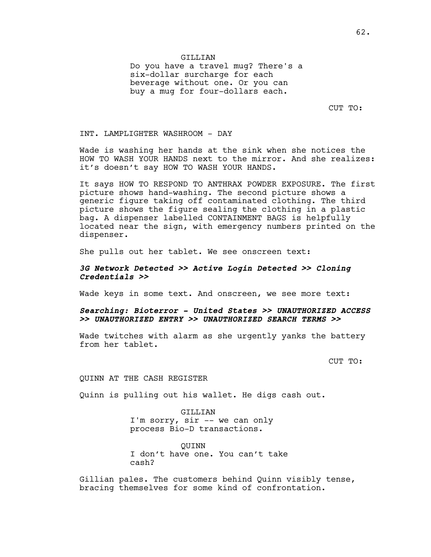Do you have a travel mug? There's a six-dollar surcharge for each beverage without one. Or you can buy a mug for four-dollars each.

CUT TO:

INT. LAMPLIGHTER WASHROOM - DAY

Wade is washing her hands at the sink when she notices the HOW TO WASH YOUR HANDS next to the mirror. And she realizes: it's doesn't say HOW TO WASH YOUR HANDS.

It says HOW TO RESPOND TO ANTHRAX POWDER EXPOSURE. The first picture shows hand-washing. The second picture shows a generic figure taking off contaminated clothing. The third picture shows the figure sealing the clothing in a plastic bag. A dispenser labelled CONTAINMENT BAGS is helpfully located near the sign, with emergency numbers printed on the dispenser.

She pulls out her tablet. We see onscreen text:

# **3G Network Detected >> Active Login Detected >> Cloning Credentials >>**

Wade keys in some text. And onscreen, we see more text:

# **Searching: Bioterror - United States >> UNAUTHORIZED ACCESS >> UNAUTHORIZED ENTRY >> UNAUTHORIZED SEARCH TERMS >>**

Wade twitches with alarm as she urgently yanks the battery from her tablet.

CUT TO:

QUINN AT THE CASH REGISTER

Quinn is pulling out his wallet. He digs cash out.

GILLIAN I'm sorry, sir -- we can only process Bio-D transactions.

QUINN I don't have one. You can't take cash?

Gillian pales. The customers behind Quinn visibly tense, bracing themselves for some kind of confrontation.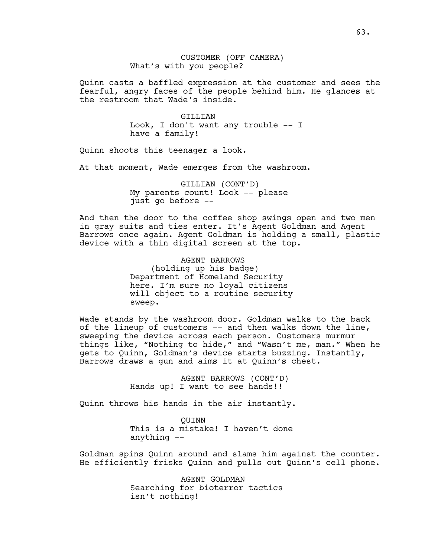CUSTOMER (OFF CAMERA) What's with you people?

Quinn casts a baffled expression at the customer and sees the fearful, angry faces of the people behind him. He glances at the restroom that Wade's inside.

> GILLIAN Look, I don't want any trouble -- I have a family!

Quinn shoots this teenager a look.

At that moment, Wade emerges from the washroom.

GILLIAN (CONT'D) My parents count! Look -- please just go before --

And then the door to the coffee shop swings open and two men in gray suits and ties enter. It's Agent Goldman and Agent Barrows once again. Agent Goldman is holding a small, plastic device with a thin digital screen at the top.

> AGENT BARROWS (holding up his badge) Department of Homeland Security here. I'm sure no loyal citizens will object to a routine security sweep.

Wade stands by the washroom door. Goldman walks to the back of the lineup of customers -- and then walks down the line, sweeping the device across each person. Customers murmur things like, "Nothing to hide," and "Wasn't me, man." When he gets to Quinn, Goldman's device starts buzzing. Instantly, Barrows draws a gun and aims it at Quinn's chest.

> AGENT BARROWS (CONT'D) Hands up! I want to see hands!!

Quinn throws his hands in the air instantly.

QUINN This is a mistake! I haven't done anything --

Goldman spins Quinn around and slams him against the counter. He efficiently frisks Quinn and pulls out Quinn's cell phone.

> AGENT GOLDMAN Searching for bioterror tactics isn't nothing!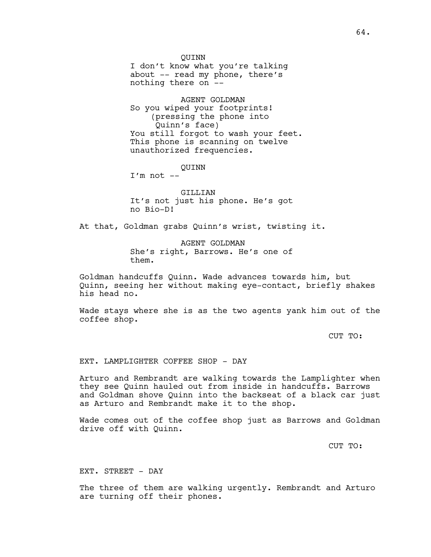QUINN

I don't know what you're talking about -- read my phone, there's nothing there on --

AGENT GOLDMAN So you wiped your footprints! (pressing the phone into Quinn's face) You still forgot to wash your feet. This phone is scanning on twelve unauthorized frequencies.

QUINN

 $I'm not --$ 

GILLIAN It's not just his phone. He's got no Bio-D!

At that, Goldman grabs Quinn's wrist, twisting it.

AGENT GOLDMAN She's right, Barrows. He's one of them.

Goldman handcuffs Quinn. Wade advances towards him, but Quinn, seeing her without making eye-contact, briefly shakes his head no.

Wade stays where she is as the two agents yank him out of the coffee shop.

CUT TO:

# EXT. LAMPLIGHTER COFFEE SHOP - DAY

Arturo and Rembrandt are walking towards the Lamplighter when they see Quinn hauled out from inside in handcuffs. Barrows and Goldman shove Quinn into the backseat of a black car just as Arturo and Rembrandt make it to the shop.

Wade comes out of the coffee shop just as Barrows and Goldman drive off with Quinn.

CUT TO:

EXT. STREET - DAY

The three of them are walking urgently. Rembrandt and Arturo are turning off their phones.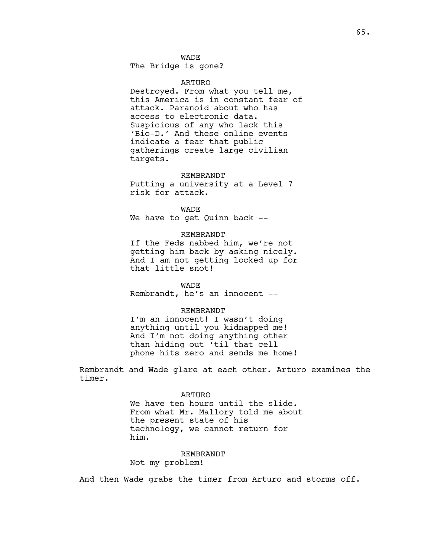# WADE

The Bridge is gone?

#### ARTURO

Destroyed. From what you tell me, this America is in constant fear of attack. Paranoid about who has access to electronic data. Suspicious of any who lack this 'Bio-D.' And these online events indicate a fear that public gatherings create large civilian targets.

#### REMBRANDT

Putting a university at a Level 7 risk for attack.

WADE We have to get Quinn back --

#### REMBRANDT

If the Feds nabbed him, we're not getting him back by asking nicely. And I am not getting locked up for that little snot!

# WADE

Rembrandt, he's an innocent --

## REMBRANDT

I'm an innocent! I wasn't doing anything until you kidnapped me! And I'm not doing anything other than hiding out 'til that cell phone hits zero and sends me home!

Rembrandt and Wade glare at each other. Arturo examines the timer.

#### ARTURO

We have ten hours until the slide. From what Mr. Mallory told me about the present state of his technology, we cannot return for him.

#### REMBRANDT

Not my problem!

And then Wade grabs the timer from Arturo and storms off.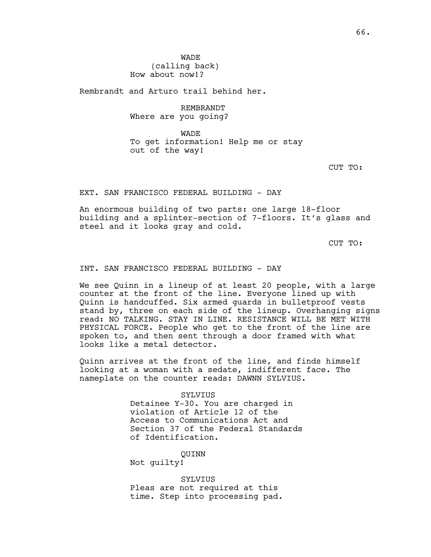Rembrandt and Arturo trail behind her.

REMBRANDT Where are you going?

WADE To get information! Help me or stay out of the way!

CUT TO:

## EXT. SAN FRANCISCO FEDERAL BUILDING - DAY

An enormous building of two parts: one large 18-floor building and a splinter-section of 7-floors. It's glass and steel and it looks gray and cold.

CUT TO:

# INT. SAN FRANCISCO FEDERAL BUILDING - DAY

We see Quinn in a lineup of at least 20 people, with a large counter at the front of the line. Everyone lined up with Quinn is handcuffed. Six armed guards in bulletproof vests stand by, three on each side of the lineup. Overhanging signs read: NO TALKING. STAY IN LINE. RESISTANCE WILL BE MET WITH PHYSICAL FORCE. People who get to the front of the line are spoken to, and then sent through a door framed with what looks like a metal detector.

Quinn arrives at the front of the line, and finds himself looking at a woman with a sedate, indifferent face. The nameplate on the counter reads: DAWNN SYLVIUS.

SYLVIUS

Detainee Y-30. You are charged in violation of Article 12 of the Access to Communications Act and Section 37 of the Federal Standards of Identification.

QUINN

Not guilty!

SYLVIUS Pleas are not required at this time. Step into processing pad.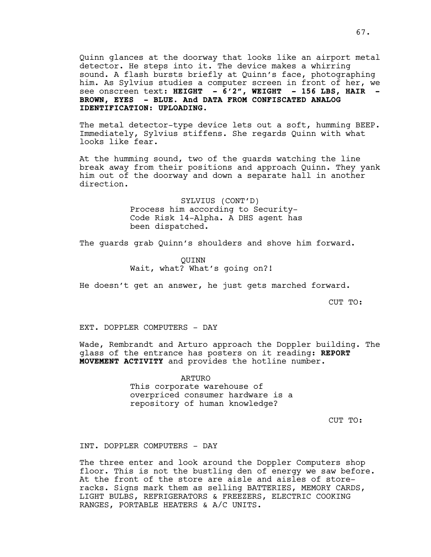Quinn glances at the doorway that looks like an airport metal detector. He steps into it. The device makes a whirring sound. A flash bursts briefly at Quinn's face, photographing him. As Sylvius studies a computer screen in front of her, we see onscreen text: HEIGHT - 6'2", WEIGHT - 156 LBS, HAIR -**BROWN, EYES - BLUE. And DATA FROM CONFISCATED ANALOG IDENTIFICATION: UPLOADING.**

The metal detector-type device lets out a soft, humming BEEP. Immediately, Sylvius stiffens. She regards Quinn with what looks like fear.

At the humming sound, two of the guards watching the line break away from their positions and approach Quinn. They yank him out of the doorway and down a separate hall in another direction.

> SYLVIUS (CONT'D) Process him according to Security-Code Risk 14-Alpha. A DHS agent has been dispatched.

The guards grab Quinn's shoulders and shove him forward.

QUINN Wait, what? What's going on?!

He doesn't get an answer, he just gets marched forward.

CUT TO:

EXT. DOPPLER COMPUTERS - DAY

Wade, Rembrandt and Arturo approach the Doppler building. The glass of the entrance has posters on it reading: **REPORT MOVEMENT ACTIVITY** and provides the hotline number.

> ARTURO This corporate warehouse of overpriced consumer hardware is a repository of human knowledge?

> > CUT TO:

INT. DOPPLER COMPUTERS - DAY

The three enter and look around the Doppler Computers shop floor. This is not the bustling den of energy we saw before. At the front of the store are aisle and aisles of storeracks. Signs mark them as selling BATTERIES, MEMORY CARDS, LIGHT BULBS, REFRIGERATORS & FREEZERS, ELECTRIC COOKING RANGES, PORTABLE HEATERS & A/C UNITS.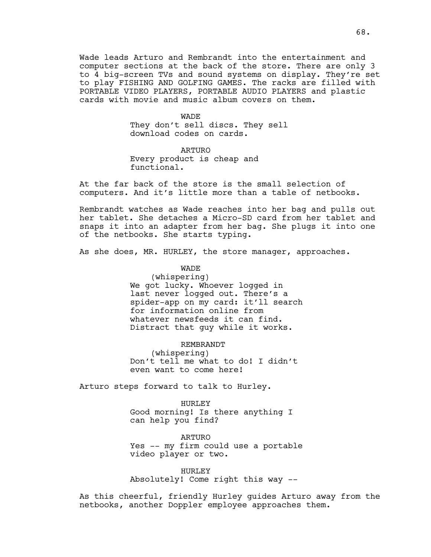Wade leads Arturo and Rembrandt into the entertainment and computer sections at the back of the store. There are only 3 to 4 big-screen TVs and sound systems on display. They're set to play FISHING AND GOLFING GAMES. The racks are filled with PORTABLE VIDEO PLAYERS, PORTABLE AUDIO PLAYERS and plastic cards with movie and music album covers on them.

#### WADE

They don't sell discs. They sell download codes on cards.

ARTURO Every product is cheap and functional.

At the far back of the store is the small selection of computers. And it's little more than a table of netbooks.

Rembrandt watches as Wade reaches into her bag and pulls out her tablet. She detaches a Micro-SD card from her tablet and snaps it into an adapter from her bag. She plugs it into one of the netbooks. She starts typing.

As she does, MR. HURLEY, the store manager, approaches.

# WADE

(whispering) We got lucky. Whoever logged in last never logged out. There's a spider-app on my card: it'll search for information online from whatever newsfeeds it can find. Distract that guy while it works.

## REMBRANDT

(whispering) Don't tell me what to do! I didn't even want to come here!

Arturo steps forward to talk to Hurley.

HURLEY

Good morning! Is there anything I can help you find?

ARTURO Yes -- my firm could use a portable video player or two.

HURLEY Absolutely! Come right this way --

As this cheerful, friendly Hurley guides Arturo away from the netbooks, another Doppler employee approaches them.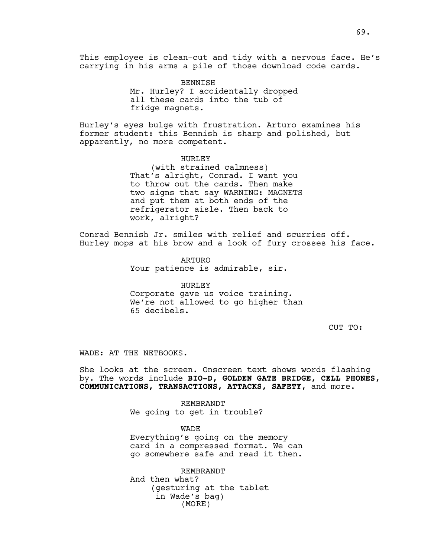This employee is clean-cut and tidy with a nervous face. He's carrying in his arms a pile of those download code cards.

> BENNISH Mr. Hurley? I accidentally dropped all these cards into the tub of fridge magnets.

Hurley's eyes bulge with frustration. Arturo examines his former student: this Bennish is sharp and polished, but apparently, no more competent.

## HURLEY

(with strained calmness) That's alright, Conrad. I want you to throw out the cards. Then make two signs that say WARNING: MAGNETS and put them at both ends of the refrigerator aisle. Then back to work, alright?

Conrad Bennish Jr. smiles with relief and scurries off. Hurley mops at his brow and a look of fury crosses his face.

> ARTURO Your patience is admirable, sir.

> > HURLEY

Corporate gave us voice training. We're not allowed to go higher than 65 decibels.

CUT TO:

WADE: AT THE NETBOOKS.

She looks at the screen. Onscreen text shows words flashing by. The words include **BIO-D, GOLDEN GATE BRIDGE, CELL PHONES, COMMUNICATIONS, TRANSACTIONS, ATTACKS, SAFETY,** and more.

> REMBRANDT We going to get in trouble?

WADE Everything's going on the memory card in a compressed format. We can go somewhere safe and read it then.

REMBRANDT And then what? (gesturing at the tablet in Wade's bag) (MORE)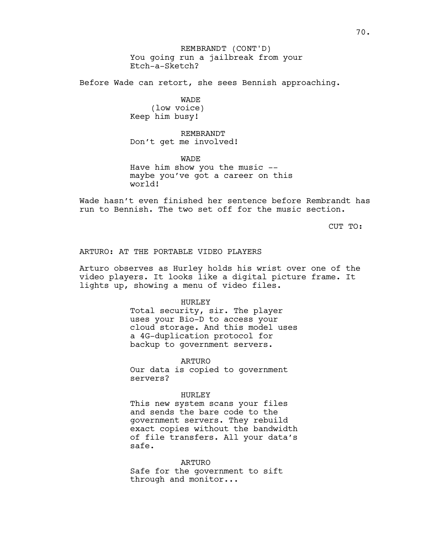Before Wade can retort, she sees Bennish approaching.

# WADE

(low voice) Keep him busy!

# REMBRANDT Don't get me involved!

WADE Have him show you the music - maybe you've got a career on this world!

Wade hasn't even finished her sentence before Rembrandt has run to Bennish. The two set off for the music section.

CUT TO:

# ARTURO: AT THE PORTABLE VIDEO PLAYERS

Arturo observes as Hurley holds his wrist over one of the video players. It looks like a digital picture frame. It lights up, showing a menu of video files.

## HURLEY

Total security, sir. The player uses your Bio-D to access your cloud storage. And this model uses a 4G-duplication protocol for backup to government servers.

#### ARTURO

Our data is copied to government servers?

#### HURLEY

This new system scans your files and sends the bare code to the government servers. They rebuild exact copies without the bandwidth of file transfers. All your data's safe.

ARTURO

Safe for the government to sift through and monitor...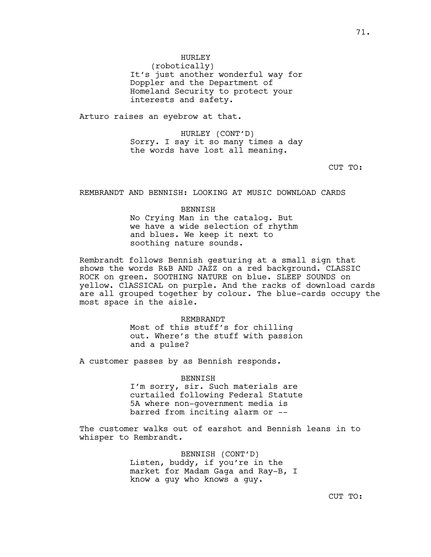# HURLEY

(robotically) It's just another wonderful way for Doppler and the Department of Homeland Security to protect your interests and safety.

Arturo raises an eyebrow at that.

HURLEY (CONT'D) Sorry. I say it so many times a day the words have lost all meaning.

CUT TO:

REMBRANDT AND BENNISH: LOOKING AT MUSIC DOWNLOAD CARDS

# BENNISH No Crying Man in the catalog. But we have a wide selection of rhythm and blues. We keep it next to soothing nature sounds.

Rembrandt follows Bennish gesturing at a small sign that shows the words R&B AND JAZZ on a red background. CLASSIC ROCK on green. SOOTHING NATURE on blue. SLEEP SOUNDS on yellow. ClASSICAL on purple. And the racks of download cards are all grouped together by colour. The blue-cards occupy the most space in the aisle.

> REMBRANDT Most of this stuff's for chilling out. Where's the stuff with passion and a pulse?

A customer passes by as Bennish responds.

## BENNISH

I'm sorry, sir. Such materials are curtailed following Federal Statute 5A where non-government media is barred from inciting alarm or --

The customer walks out of earshot and Bennish leans in to whisper to Rembrandt.

> BENNISH (CONT'D) Listen, buddy, if you're in the market for Madam Gaga and Ray-B, I know a guy who knows a guy.

> > CUT TO: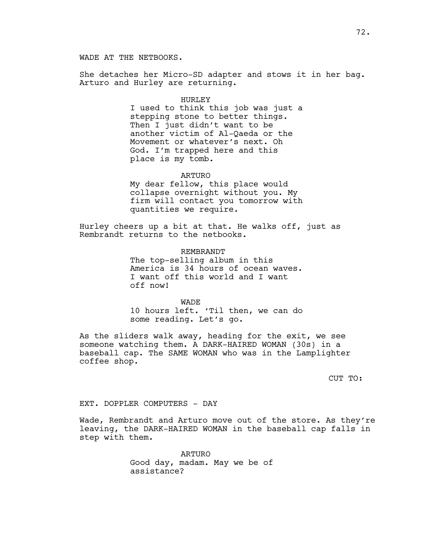WADE AT THE NETBOOKS.

She detaches her Micro-SD adapter and stows it in her bag. Arturo and Hurley are returning.

#### HURLEY

I used to think this job was just a stepping stone to better things. Then I just didn't want to be another victim of Al-Qaeda or the Movement or whatever's next. Oh God. I'm trapped here and this place is my tomb.

#### ARTURO

My dear fellow, this place would collapse overnight without you. My firm will contact you tomorrow with quantities we require.

Hurley cheers up a bit at that. He walks off, just as Rembrandt returns to the netbooks.

#### REMBRANDT

The top-selling album in this America is 34 hours of ocean waves. I want off this world and I want off now!

#### WADE

10 hours left. 'Til then, we can do some reading. Let's go.

As the sliders walk away, heading for the exit, we see someone watching them. A DARK-HAIRED WOMAN (30s) in a baseball cap. The SAME WOMAN who was in the Lamplighter coffee shop.

CUT TO:

### EXT. DOPPLER COMPUTERS - DAY

Wade, Rembrandt and Arturo move out of the store. As they're leaving, the DARK-HAIRED WOMAN in the baseball cap falls in step with them.

> ARTURO Good day, madam. May we be of assistance?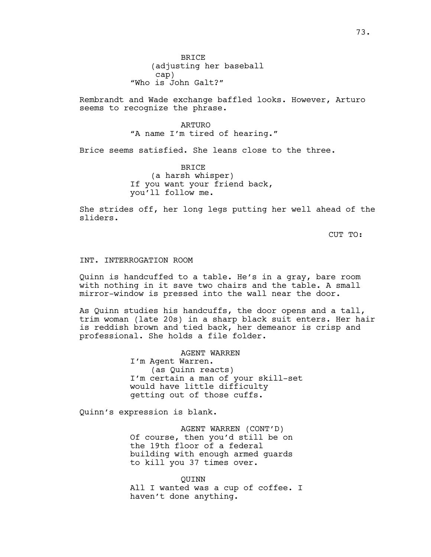Rembrandt and Wade exchange baffled looks. However, Arturo seems to recognize the phrase.

> ARTURO "A name I'm tired of hearing."

Brice seems satisfied. She leans close to the three.

BRICE (a harsh whisper) If you want your friend back, you'll follow me.

She strides off, her long legs putting her well ahead of the sliders.

CUT TO:

## INT. INTERROGATION ROOM

Quinn is handcuffed to a table. He's in a gray, bare room with nothing in it save two chairs and the table. A small mirror-window is pressed into the wall near the door.

As Quinn studies his handcuffs, the door opens and a tall, trim woman (late 20s) in a sharp black suit enters. Her hair is reddish brown and tied back, her demeanor is crisp and professional. She holds a file folder.

> AGENT WARREN I'm Agent Warren. (as Quinn reacts) I'm certain a man of your skill-set would have little difficulty getting out of those cuffs.

Quinn's expression is blank.

AGENT WARREN (CONT'D) Of course, then you'd still be on the 19th floor of a federal building with enough armed guards to kill you 37 times over.

QUINN All I wanted was a cup of coffee. I haven't done anything.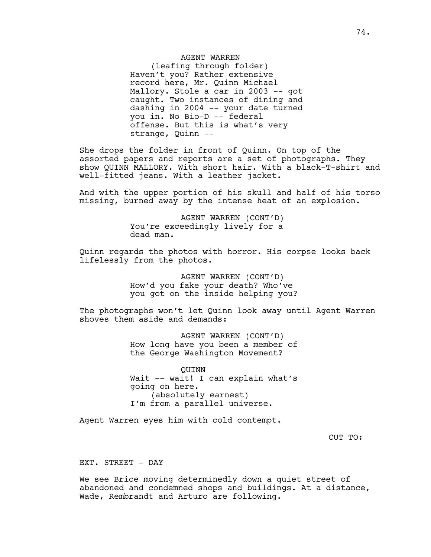## AGENT WARREN

(leafing through folder) Haven't you? Rather extensive record here, Mr. Quinn Michael Mallory. Stole a car in 2003 -- got caught. Two instances of dining and dashing in 2004 -- your date turned you in. No Bio-D -- federal offense. But this is what's very strange, Quinn --

She drops the folder in front of Quinn. On top of the assorted papers and reports are a set of photographs. They show QUINN MALLORY. With short hair. With a black-T-shirt and well-fitted jeans. With a leather jacket.

And with the upper portion of his skull and half of his torso missing, burned away by the intense heat of an explosion.

> AGENT WARREN (CONT'D) You're exceedingly lively for a dead man.

Quinn regards the photos with horror. His corpse looks back lifelessly from the photos.

> AGENT WARREN (CONT'D) How'd you fake your death? Who've you got on the inside helping you?

The photographs won't let Quinn look away until Agent Warren shoves them aside and demands:

> AGENT WARREN (CONT'D) How long have you been a member of the George Washington Movement?

> QUINN Wait -- wait! I can explain what's going on here. (absolutely earnest) I'm from a parallel universe.

Agent Warren eyes him with cold contempt.

CUT TO:

EXT. STREET - DAY

We see Brice moving determinedly down a quiet street of abandoned and condemned shops and buildings. At a distance, Wade, Rembrandt and Arturo are following.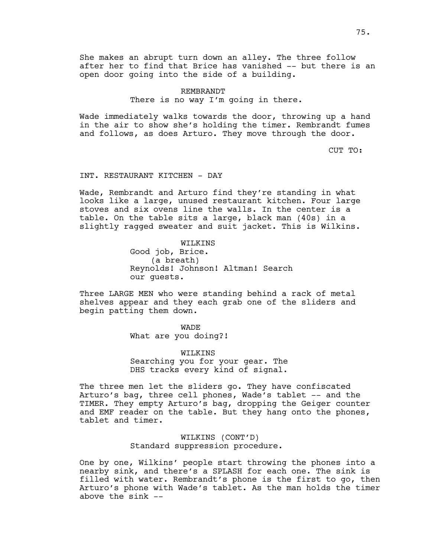She makes an abrupt turn down an alley. The three follow after her to find that Brice has vanished -- but there is an open door going into the side of a building.

#### REMBRANDT

There is no way I'm going in there.

Wade immediately walks towards the door, throwing up a hand in the air to show she's holding the timer. Rembrandt fumes and follows, as does Arturo. They move through the door.

CUT TO:

### INT. RESTAURANT KITCHEN - DAY

Wade, Rembrandt and Arturo find they're standing in what looks like a large, unused restaurant kitchen. Four large stoves and six ovens line the walls. In the center is a table. On the table sits a large, black man (40s) in a slightly ragged sweater and suit jacket. This is Wilkins.

> WILKINS Good job, Brice. (a breath) Reynolds! Johnson! Altman! Search our guests.

Three LARGE MEN who were standing behind a rack of metal shelves appear and they each grab one of the sliders and begin patting them down.

> WADE What are you doing?!

WILKINS Searching you for your gear. The DHS tracks every kind of signal.

The three men let the sliders go. They have confiscated Arturo's bag, three cell phones, Wade's tablet -- and the TIMER. They empty Arturo's bag, dropping the Geiger counter and EMF reader on the table. But they hang onto the phones, tablet and timer.

> WILKINS (CONT'D) Standard suppression procedure.

One by one, Wilkins' people start throwing the phones into a nearby sink, and there's a SPLASH for each one. The sink is filled with water. Rembrandt's phone is the first to go, then Arturo's phone with Wade's tablet. As the man holds the timer above the sink --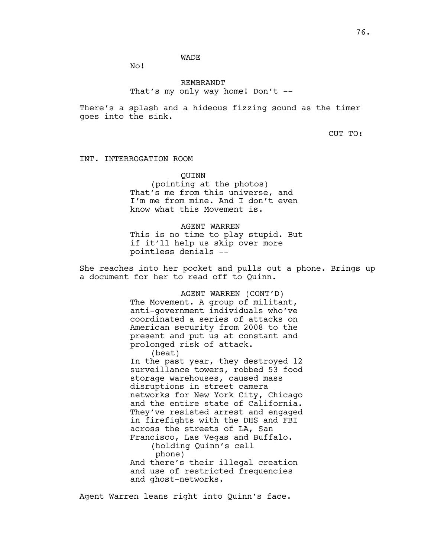# WADE

No!

# REMBRANDT That's my only way home! Don't --

There's a splash and a hideous fizzing sound as the timer goes into the sink.

CUT TO:

INT. INTERROGATION ROOM

QUINN

(pointing at the photos) That's me from this universe, and I'm me from mine. And I don't even know what this Movement is.

AGENT WARREN This is no time to play stupid. But if it'll help us skip over more pointless denials --

She reaches into her pocket and pulls out a phone. Brings up a document for her to read off to Quinn.

> AGENT WARREN (CONT'D) The Movement. A group of militant, anti-government individuals who've coordinated a series of attacks on American security from 2008 to the present and put us at constant and prolonged risk of attack. (beat) In the past year, they destroyed 12 surveillance towers, robbed 53 food storage warehouses, caused mass disruptions in street camera networks for New York City, Chicago and the entire state of California. They've resisted arrest and engaged in firefights with the DHS and FBI across the streets of LA, San Francisco, Las Vegas and Buffalo. (holding Quinn's cell phone) And there's their illegal creation and use of restricted frequencies and ghost-networks.

Agent Warren leans right into Quinn's face.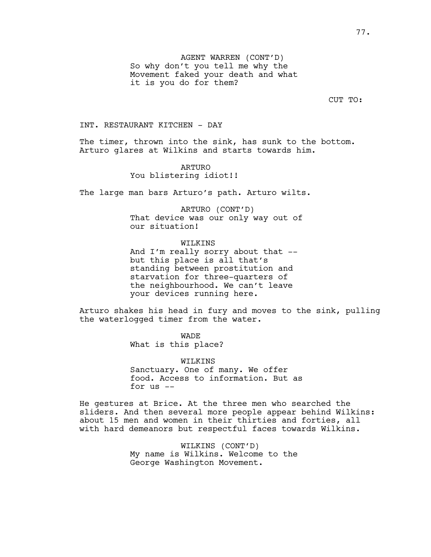CUT TO:

# INT. RESTAURANT KITCHEN - DAY

The timer, thrown into the sink, has sunk to the bottom. Arturo glares at Wilkins and starts towards him.

## ARTURO

You blistering idiot!!

The large man bars Arturo's path. Arturo wilts.

ARTURO (CONT'D) That device was our only way out of our situation!

# WILKINS

And I'm really sorry about that - but this place is all that's standing between prostitution and starvation for three-quarters of the neighbourhood. We can't leave your devices running here.

Arturo shakes his head in fury and moves to the sink, pulling the waterlogged timer from the water.

> WADE What is this place?

WILKINS Sanctuary. One of many. We offer food. Access to information. But as for us --

He gestures at Brice. At the three men who searched the sliders. And then several more people appear behind Wilkins: about 15 men and women in their thirties and forties, all with hard demeanors but respectful faces towards Wilkins.

> WILKINS (CONT'D) My name is Wilkins. Welcome to the George Washington Movement.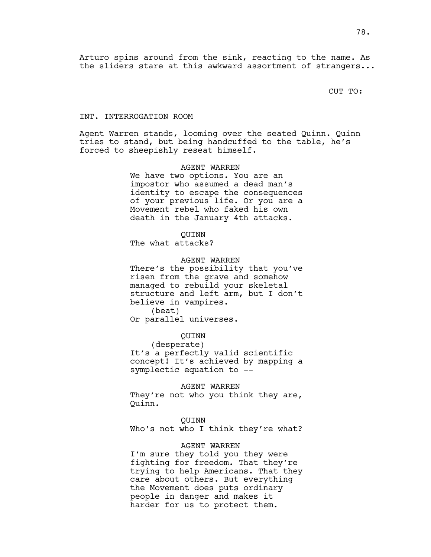Arturo spins around from the sink, reacting to the name. As the sliders stare at this awkward assortment of strangers...

CUT TO:

#### INT. INTERROGATION ROOM

Agent Warren stands, looming over the seated Quinn. Quinn tries to stand, but being handcuffed to the table, he's forced to sheepishly reseat himself.

> AGENT WARREN We have two options. You are an impostor who assumed a dead man's identity to escape the consequences of your previous life. Or you are a Movement rebel who faked his own death in the January 4th attacks.

> > QUINN

The what attacks?

## AGENT WARREN

There's the possibility that you've risen from the grave and somehow managed to rebuild your skeletal structure and left arm, but I don't believe in vampires. (beat)

Or parallel universes.

#### QUINN

(desperate)

It's a perfectly valid scientific concept! It's achieved by mapping a symplectic equation to --

### AGENT WARREN

They're not who you think they are, Quinn.

#### QUINN

Who's not who I think they're what?

### AGENT WARREN

I'm sure they told you they were fighting for freedom. That they're trying to help Americans. That they care about others. But everything the Movement does puts ordinary people in danger and makes it harder for us to protect them.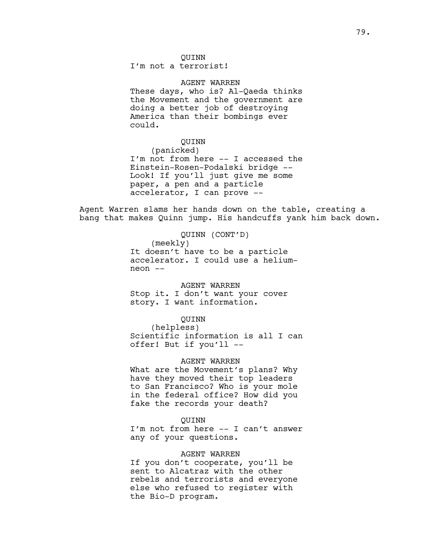# QUINN

I'm not a terrorist!

# AGENT WARREN

These days, who is? Al-Qaeda thinks the Movement and the government are doing a better job of destroying America than their bombings ever could.

## QUINN

(panicked) I'm not from here -- I accessed the Einstein-Rosen-Podalski bridge -- Look! If you'll just give me some paper, a pen and a particle accelerator, I can prove --

Agent Warren slams her hands down on the table, creating a bang that makes Quinn jump. His handcuffs yank him back down.

QUINN (CONT'D)

(meekly)

It doesn't have to be a particle accelerator. I could use a heliumneon --

### AGENT WARREN

Stop it. I don't want your cover story. I want information.

### QUINN

(helpless) Scientific information is all I can offer! But if you'll --

### AGENT WARREN

What are the Movement's plans? Why have they moved their top leaders to San Francisco? Who is your mole in the federal office? How did you fake the records your death?

### QUINN

I'm not from here -- I can't answer any of your questions.

#### AGENT WARREN

If you don't cooperate, you'll be sent to Alcatraz with the other rebels and terrorists and everyone else who refused to register with the Bio-D program.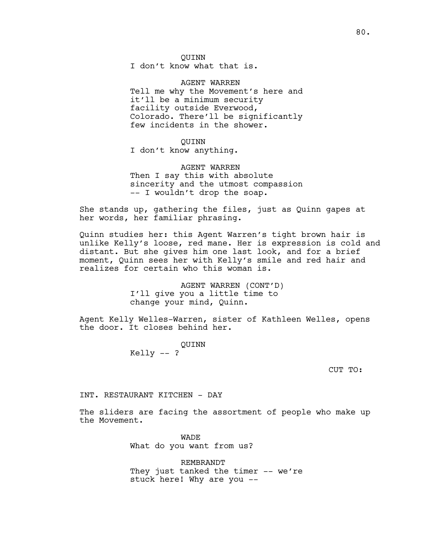QUINN

I don't know what that is.

AGENT WARREN Tell me why the Movement's here and it'll be a minimum security facility outside Everwood, Colorado. There'll be significantly few incidents in the shower.

QUINN I don't know anything.

AGENT WARREN Then I say this with absolute sincerity and the utmost compassion -- I wouldn't drop the soap.

She stands up, gathering the files, just as Quinn gapes at her words, her familiar phrasing.

Quinn studies her: this Agent Warren's tight brown hair is unlike Kelly's loose, red mane. Her is expression is cold and distant. But she gives him one last look, and for a brief moment, Quinn sees her with Kelly's smile and red hair and realizes for certain who this woman is.

> AGENT WARREN (CONT'D) I'll give you a little time to change your mind, Quinn.

Agent Kelly Welles-Warren, sister of Kathleen Welles, opens the door. It closes behind her.

> QUINN Kelly -- ?

> > CUT TO:

INT. RESTAURANT KITCHEN - DAY

The sliders are facing the assortment of people who make up the Movement.

> WADE What do you want from us?

REMBRANDT They just tanked the timer -- we're stuck here! Why are you --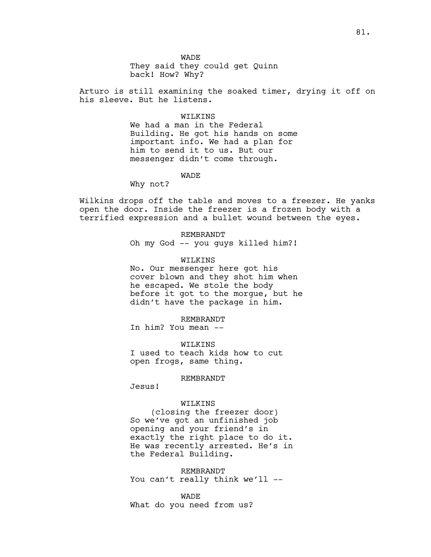WADE

They said they could get Quinn back! How? Why?

Arturo is still examining the soaked timer, drying it off on his sleeve. But he listens.

### WILKINS

We had a man in the Federal Building. He got his hands on some important info. We had a plan for him to send it to us. But our messenger didn't come through.

WADE

Why not?

Wilkins drops off the table and moves to a freezer. He yanks open the door. Inside the freezer is a frozen body with a terrified expression and a bullet wound between the eyes.

> REMBRANDT Oh my God -- you guys killed him?!

## WILKINS

No. Our messenger here got his cover blown and they shot him when he escaped. We stole the body before it got to the morgue, but he didn't have the package in him.

REMBRANDT

In him? You mean --

WILKINS I used to teach kids how to cut open frogs, same thing.

#### REMBRANDT

Jesus!

### WILKINS

(closing the freezer door) So we've got an unfinished job opening and your friend's in exactly the right place to do it. He was recently arrested. He's in the Federal Building.

REMBRANDT You can't really think we'll --

WADE What do you need from us?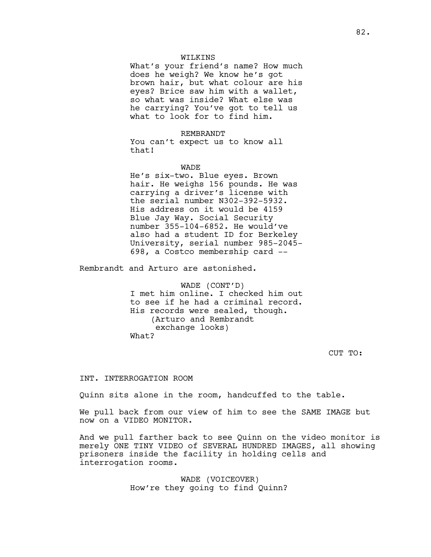### WILKINS

What's your friend's name? How much does he weigh? We know he's got brown hair, but what colour are his eyes? Brice saw him with a wallet, so what was inside? What else was he carrying? You've got to tell us what to look for to find him.

#### REMBRANDT

You can't expect us to know all that!

#### WADE

He's six-two. Blue eyes. Brown hair. He weighs 156 pounds. He was carrying a driver's license with the serial number N302-392-5932. His address on it would be 4159 Blue Jay Way. Social Security number 355-104-6852. He would've also had a student ID for Berkeley University, serial number 985-2045- 698, a Costco membership card --

Rembrandt and Arturo are astonished.

WADE (CONT'D) I met him online. I checked him out to see if he had a criminal record. His records were sealed, though. (Arturo and Rembrandt exchange looks) What?

CUT TO:

### INT. INTERROGATION ROOM

Quinn sits alone in the room, handcuffed to the table.

We pull back from our view of him to see the SAME IMAGE but now on a VIDEO MONITOR.

And we pull farther back to see Quinn on the video monitor is merely ONE TINY VIDEO of SEVERAL HUNDRED IMAGES, all showing prisoners inside the facility in holding cells and interrogation rooms.

> WADE (VOICEOVER) How're they going to find Quinn?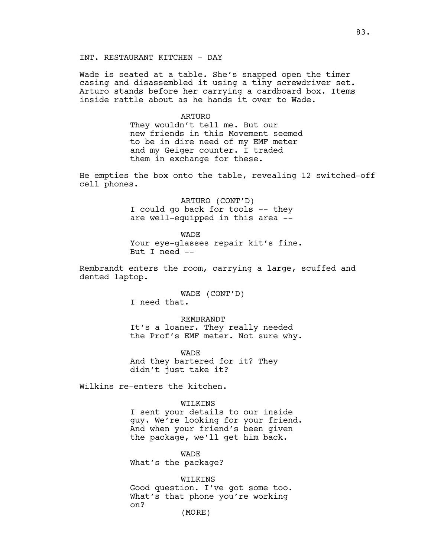INT. RESTAURANT KITCHEN - DAY

Wade is seated at a table. She's snapped open the timer casing and disassembled it using a tiny screwdriver set. Arturo stands before her carrying a cardboard box. Items inside rattle about as he hands it over to Wade.

#### ARTURO

They wouldn't tell me. But our new friends in this Movement seemed to be in dire need of my EMF meter and my Geiger counter. I traded them in exchange for these.

He empties the box onto the table, revealing 12 switched-off cell phones.

> ARTURO (CONT'D) I could go back for tools -- they are well-equipped in this area --

WADE Your eye-glasses repair kit's fine. But I need --

Rembrandt enters the room, carrying a large, scuffed and dented laptop.

> WADE (CONT'D) I need that.

REMBRANDT It's a loaner. They really needed the Prof's EMF meter. Not sure why.

WADE And they bartered for it? They didn't just take it?

Wilkins re-enters the kitchen.

### WILKINS

I sent your details to our inside guy. We're looking for your friend. And when your friend's been given the package, we'll get him back.

WADE What's the package?

WILKINS Good question. I've got some too. What's that phone you're working on? (MORE)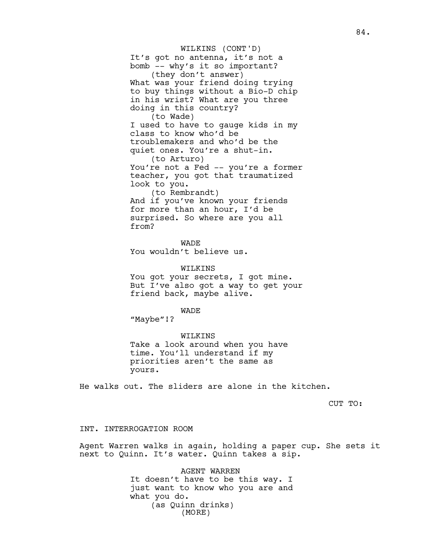### WILKINS (CONT'D)

It's got no antenna, it's not a bomb -- why's it so important? (they don't answer) What was your friend doing trying to buy things without a Bio-D chip in his wrist? What are you three doing in this country? (to Wade) I used to have to gauge kids in my class to know who'd be troublemakers and who'd be the quiet ones. You're a shut-in. (to Arturo) You're not a Fed -- you're a former teacher, you got that traumatized look to you. (to Rembrandt) And if you've known your friends for more than an hour, I'd be surprised. So where are you all from?

WADE You wouldn't believe us.

#### WILKINS

You got your secrets, I got mine. But I've also got a way to get your friend back, maybe alive.

WADE

"Maybe"!?

### WILKINS

Take a look around when you have time. You'll understand if my priorities aren't the same as yours.

He walks out. The sliders are alone in the kitchen.

CUT TO:

### INT. INTERROGATION ROOM

Agent Warren walks in again, holding a paper cup. She sets it next to Quinn. It's water. Quinn takes a sip.

> AGENT WARREN It doesn't have to be this way. I just want to know who you are and what you do. (as Quinn drinks) (MORE)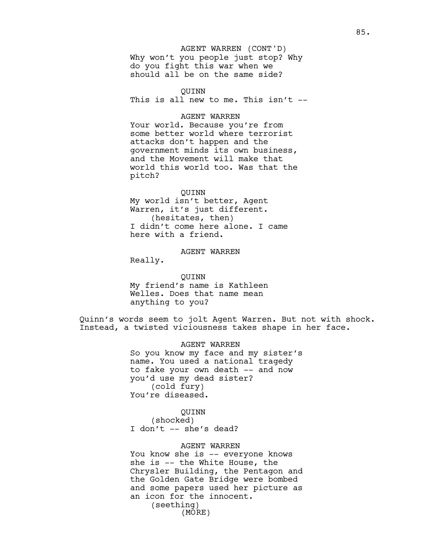### AGENT WARREN (CONT'D)

Why won't you people just stop? Why do you fight this war when we should all be on the same side?

QUINN

This is all new to me. This isn't --

#### AGENT WARREN

Your world. Because you're from some better world where terrorist attacks don't happen and the government minds its own business, and the Movement will make that world this world too. Was that the pitch?

#### QUINN

My world isn't better, Agent Warren, it's just different. (hesitates, then) I didn't come here alone. I came here with a friend.

# AGENT WARREN

Really.

QUINN My friend's name is Kathleen Welles. Does that name mean anything to you?

Quinn's words seem to jolt Agent Warren. But not with shock. Instead, a twisted viciousness takes shape in her face.

## AGENT WARREN

So you know my face and my sister's name. You used a national tragedy to fake your own death -- and now you'd use my dead sister? (cold fury) You're diseased.

### QUINN

(shocked) I don't -- she's dead?

### AGENT WARREN

You know she is -- everyone knows she is -- the White House, the Chrysler Building, the Pentagon and the Golden Gate Bridge were bombed and some papers used her picture as an icon for the innocent. (seething) (MORE)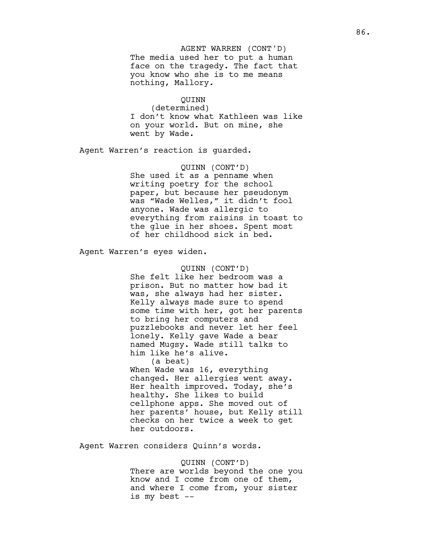The media used her to put a human face on the tragedy. The fact that you know who she is to me means nothing, Mallory. AGENT WARREN (CONT'D)

## QUINN

(determined) I don't know what Kathleen was like on your world. But on mine, she went by Wade.

Agent Warren's reaction is guarded.

QUINN (CONT'D) She used it as a penname when writing poetry for the school paper, but because her pseudonym was "Wade Welles," it didn't fool anyone. Wade was allergic to everything from raisins in toast to the glue in her shoes. Spent most of her childhood sick in bed.

Agent Warren's eyes widen.

# QUINN (CONT'D) She felt like her bedroom was a prison. But no matter how bad it was, she always had her sister. Kelly always made sure to spend some time with her, got her parents to bring her computers and puzzlebooks and never let her feel lonely. Kelly gave Wade a bear named Mugsy. Wade still talks to him like he's alive.

(a beat) When Wade was 16, everything changed. Her allergies went away. Her health improved. Today, she's healthy. She likes to build cellphone apps. She moved out of her parents' house, but Kelly still checks on her twice a week to get her outdoors.

Agent Warren considers Quinn's words.

### QUINN (CONT'D)

There are worlds beyond the one you know and I come from one of them, and where I come from, your sister is my best --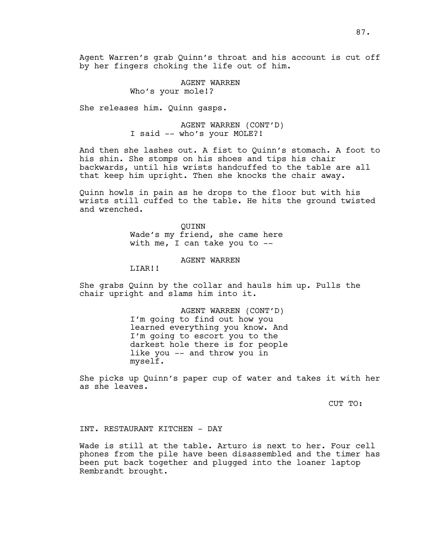Agent Warren's grab Quinn's throat and his account is cut off by her fingers choking the life out of him.

> AGENT WARREN Who's your mole!?

She releases him. Quinn gasps.

AGENT WARREN (CONT'D) I said -- who's your MOLE?!

And then she lashes out. A fist to Quinn's stomach. A foot to his shin. She stomps on his shoes and tips his chair backwards, until his wrists handcuffed to the table are all that keep him upright. Then she knocks the chair away.

Quinn howls in pain as he drops to the floor but with his wrists still cuffed to the table. He hits the ground twisted and wrenched.

> QUINN Wade's my friend, she came here with me, I can take you to --

> > AGENT WARREN

LIAR!!

She grabs Quinn by the collar and hauls him up. Pulls the chair upright and slams him into it.

> AGENT WARREN (CONT'D) I'm going to find out how you learned everything you know. And I'm going to escort you to the darkest hole there is for people like you -- and throw you in myself.

She picks up Quinn's paper cup of water and takes it with her as she leaves.

CUT TO:

## INT. RESTAURANT KITCHEN - DAY

Wade is still at the table. Arturo is next to her. Four cell phones from the pile have been disassembled and the timer has been put back together and plugged into the loaner laptop Rembrandt brought.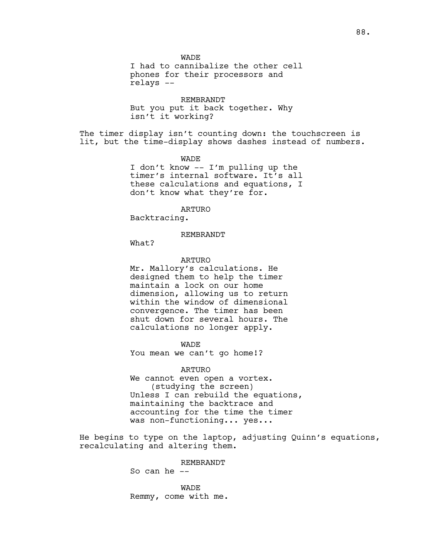**WADE** I had to cannibalize the other cell phones for their processors and relays --

REMBRANDT But you put it back together. Why isn't it working?

The timer display isn't counting down: the touchscreen is lit, but the time-display shows dashes instead of numbers.

WADE

I don't know -- I'm pulling up the timer's internal software. It's all these calculations and equations, I don't know what they're for.

ARTURO

Backtracing.

#### REMBRANDT

What?

### ARTURO

Mr. Mallory's calculations. He designed them to help the timer maintain a lock on our home dimension, allowing us to return within the window of dimensional convergence. The timer has been shut down for several hours. The calculations no longer apply.

WADE

You mean we can't go home!?

ARTURO

We cannot even open a vortex. (studying the screen) Unless I can rebuild the equations, maintaining the backtrace and accounting for the time the timer was non-functioning... yes...

He begins to type on the laptop, adjusting Quinn's equations, recalculating and altering them.

REMBRANDT

So can he --

WADE Remmy, come with me.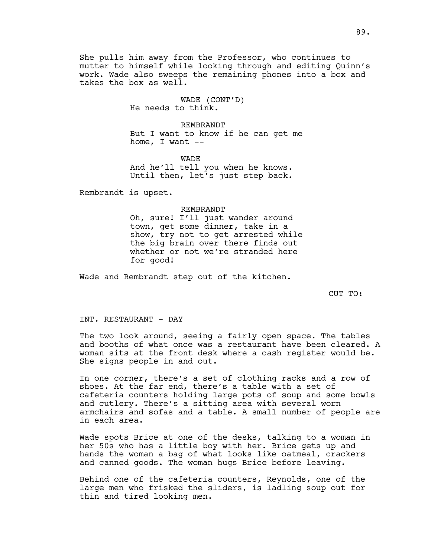She pulls him away from the Professor, who continues to mutter to himself while looking through and editing Quinn's work. Wade also sweeps the remaining phones into a box and takes the box as well.

> WADE (CONT'D) He needs to think.

REMBRANDT But I want to know if he can get me home, I want  $--$ 

WADE And he'll tell you when he knows. Until then, let's just step back.

Rembrandt is upset.

#### REMBRANDT

Oh, sure! I'll just wander around town, get some dinner, take in a show, try not to get arrested while the big brain over there finds out whether or not we're stranded here for good!

Wade and Rembrandt step out of the kitchen.

CUT TO:

#### INT. RESTAURANT - DAY

The two look around, seeing a fairly open space. The tables and booths of what once was a restaurant have been cleared. A woman sits at the front desk where a cash register would be. She signs people in and out.

In one corner, there's a set of clothing racks and a row of shoes. At the far end, there's a table with a set of cafeteria counters holding large pots of soup and some bowls and cutlery. There's a sitting area with several worn armchairs and sofas and a table. A small number of people are in each area.

Wade spots Brice at one of the desks, talking to a woman in her 50s who has a little boy with her. Brice gets up and hands the woman a bag of what looks like oatmeal, crackers and canned goods. The woman hugs Brice before leaving.

Behind one of the cafeteria counters, Reynolds, one of the large men who frisked the sliders, is ladling soup out for thin and tired looking men.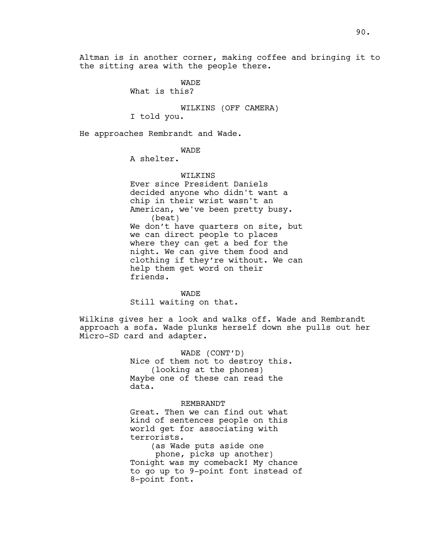Altman is in another corner, making coffee and bringing it to the sitting area with the people there.

**WADE** 

What is this?

WILKINS (OFF CAMERA)

I told you.

He approaches Rembrandt and Wade.

# WADE

A shelter.

### WILKINS

Ever since President Daniels decided anyone who didn't want a chip in their wrist wasn't an American, we've been pretty busy. (beat) We don't have quarters on site, but we can direct people to places where they can get a bed for the night. We can give them food and clothing if they're without. We can help them get word on their friends.

### WADE

Still waiting on that.

Wilkins gives her a look and walks off. Wade and Rembrandt approach a sofa. Wade plunks herself down she pulls out her Micro-SD card and adapter.

> WADE (CONT'D) Nice of them not to destroy this. (looking at the phones) Maybe one of these can read the data.

### REMBRANDT

Great. Then we can find out what kind of sentences people on this world get for associating with terrorists.

(as Wade puts aside one

phone, picks up another) Tonight was my comeback! My chance to go up to 9-point font instead of 8-point font.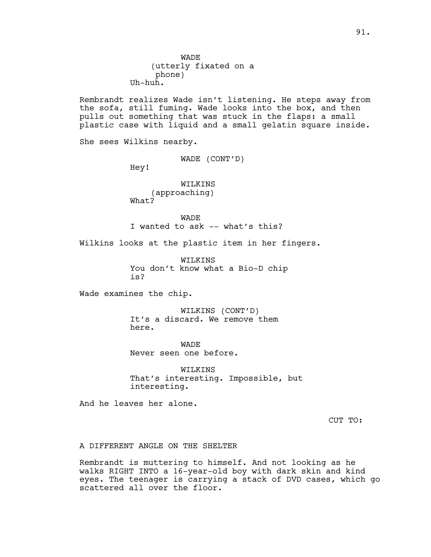Rembrandt realizes Wade isn't listening. He steps away from the sofa, still fuming. Wade looks into the box, and then pulls out something that was stuck in the flaps: a small plastic case with liquid and a small gelatin square inside.

She sees Wilkins nearby.

WADE (CONT'D)

Hey!

WILKINS (approaching) What?

**WADE** I wanted to ask -- what's this?

Wilkins looks at the plastic item in her fingers.

WILKINS You don't know what a Bio-D chip is?

Wade examines the chip.

WILKINS (CONT'D) It's a discard. We remove them here.

**WADE** Never seen one before.

WILKINS That's interesting. Impossible, but interesting.

And he leaves her alone.

CUT TO:

A DIFFERENT ANGLE ON THE SHELTER

Rembrandt is muttering to himself. And not looking as he walks RIGHT INTO a 16-year-old boy with dark skin and kind eyes. The teenager is carrying a stack of DVD cases, which go scattered all over the floor.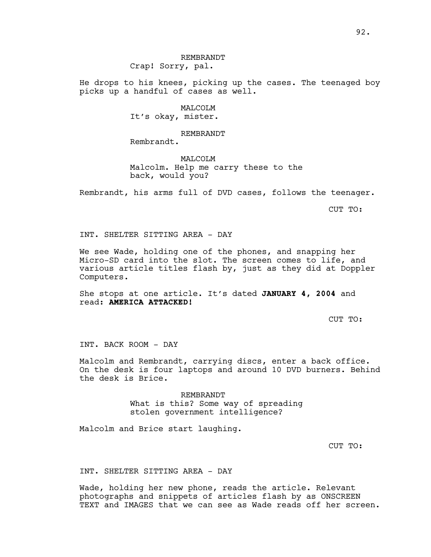# REMBRANDT Crap! Sorry, pal.

He drops to his knees, picking up the cases. The teenaged boy picks up a handful of cases as well.

> MAT<sub>I</sub>COT<sub>I</sub>M It's okay, mister.

> > REMBRANDT

Rembrandt.

# MALCOLM Malcolm. Help me carry these to the back, would you?

Rembrandt, his arms full of DVD cases, follows the teenager.

CUT TO:

INT. SHELTER SITTING AREA - DAY

We see Wade, holding one of the phones, and snapping her Micro-SD card into the slot. The screen comes to life, and various article titles flash by, just as they did at Doppler Computers.

She stops at one article. It's dated **JANUARY 4, 2004** and read: **AMERICA ATTACKED!** 

CUT TO:

INT. BACK ROOM - DAY

Malcolm and Rembrandt, carrying discs, enter a back office. On the desk is four laptops and around 10 DVD burners. Behind the desk is Brice.

> REMBRANDT What is this? Some way of spreading stolen government intelligence?

Malcolm and Brice start laughing.

CUT TO:

INT. SHELTER SITTING AREA - DAY

Wade, holding her new phone, reads the article. Relevant photographs and snippets of articles flash by as ONSCREEN TEXT and IMAGES that we can see as Wade reads off her screen.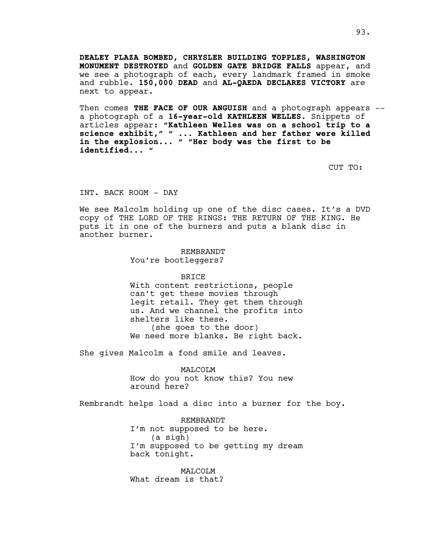**DEALEY PLAZA BOMBED, CHRYSLER BUILDING TOPPLES, WASHINGTON MONUMENT DESTROYED** and **GOLDEN GATE BRIDGE FALLS** appear, and we see a photograph of each, every landmark framed in smoke and rubble. **150,000 DEAD** and **AL-QAEDA DECLARES VICTORY** are next to appear.

Then comes **THE FACE OF OUR ANGUISH** and a photograph appears - a photograph of a **16-year-old KATHLEEN WELLES**. Snippets of articles appear: **"Kathleen Welles was on a school trip to a science exhibit," " ... Kathleen and her father were killed in the explosion... " "Her body was the first to be identified... "**

CUT TO:

INT. BACK ROOM - DAY

We see Malcolm holding up one of the disc cases. It's a DVD copy of THE LORD OF THE RINGS: THE RETURN OF THE KING. He puts it in one of the burners and puts a blank disc in another burner.

> REMBRANDT You're bootleggers?

> > BRICE

With content restrictions, people can't get these movies through legit retail. They get them through us. And we channel the profits into shelters like these. (she goes to the door) We need more blanks. Be right back.

She gives Malcolm a fond smile and leaves.

MALCOLM

How do you not know this? You new around here?

Rembrandt helps load a disc into a burner for the boy.

REMBRANDT I'm not supposed to be here. (a sigh) I'm supposed to be getting my dream back tonight.

MALCOLM What dream is that?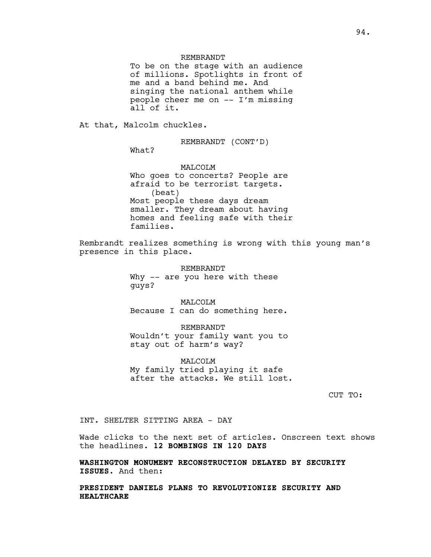#### REMBRANDT

To be on the stage with an audience of millions. Spotlights in front of me and a band behind me. And singing the national anthem while people cheer me on -- I'm missing all of it.

At that, Malcolm chuckles.

REMBRANDT (CONT'D)

What?

MALCOLM Who goes to concerts? People are afraid to be terrorist targets. (beat) Most people these days dream smaller. They dream about having homes and feeling safe with their families.

Rembrandt realizes something is wrong with this young man's presence in this place.

> REMBRANDT Why -- are you here with these guys?

MALCOLM Because I can do something here.

REMBRANDT Wouldn't your family want you to stay out of harm's way?

MALCOLM My family tried playing it safe after the attacks. We still lost.

CUT TO:

INT. SHELTER SITTING AREA - DAY

Wade clicks to the next set of articles. Onscreen text shows the headlines. **12 BOMBINGS IN 120 DAYS** 

**WASHINGTON MONUMENT RECONSTRUCTION DELAYED BY SECURITY ISSUES.** And then:

**PRESIDENT DANIELS PLANS TO REVOLUTIONIZE SECURITY AND HEALTHCARE**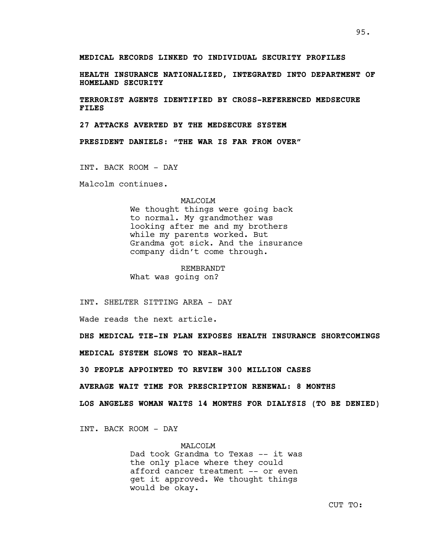**MEDICAL RECORDS LINKED TO INDIVIDUAL SECURITY PROFILES**

**HEALTH INSURANCE NATIONALIZED, INTEGRATED INTO DEPARTMENT OF HOMELAND SECURITY**

**TERRORIST AGENTS IDENTIFIED BY CROSS-REFERENCED MEDSECURE FILES**

**27 ATTACKS AVERTED BY THE MEDSECURE SYSTEM**

**PRESIDENT DANIELS: "THE WAR IS FAR FROM OVER"**

INT. BACK ROOM - DAY

Malcolm continues.

## MALCOLM

We thought things were going back to normal. My grandmother was looking after me and my brothers while my parents worked. But Grandma got sick. And the insurance company didn't come through.

REMBRANDT What was going on?

INT. SHELTER SITTING AREA - DAY

Wade reads the next article.

**DHS MEDICAL TIE-IN PLAN EXPOSES HEALTH INSURANCE SHORTCOMINGS**

**MEDICAL SYSTEM SLOWS TO NEAR-HALT**

**30 PEOPLE APPOINTED TO REVIEW 300 MILLION CASES**

**AVERAGE WAIT TIME FOR PRESCRIPTION RENEWAL: 8 MONTHS**

**LOS ANGELES WOMAN WAITS 14 MONTHS FOR DIALYSIS (TO BE DENIED)**

INT. BACK ROOM - DAY

MALCOLM Dad took Grandma to Texas -- it was the only place where they could afford cancer treatment -- or even get it approved. We thought things would be okay.

CUT TO: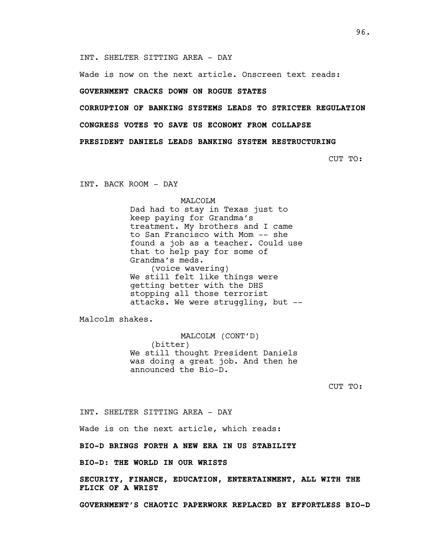INT. SHELTER SITTING AREA - DAY

Wade is now on the next article. Onscreen text reads:

## **GOVERNMENT CRACKS DOWN ON ROGUE STATES**

**CORRUPTION OF BANKING SYSTEMS LEADS TO STRICTER REGULATION**

**CONGRESS VOTES TO SAVE US ECONOMY FROM COLLAPSE**

**PRESIDENT DANIELS LEADS BANKING SYSTEM RESTRUCTURING**

CUT TO:

INT. BACK ROOM - DAY

MALCOLM

Dad had to stay in Texas just to keep paying for Grandma's treatment. My brothers and I came to San Francisco with Mom -- she found a job as a teacher. Could use that to help pay for some of Grandma's meds. (voice wavering) We still felt like things were getting better with the DHS stopping all those terrorist attacks. We were struggling, but --

Malcolm shakes.

MALCOLM (CONT'D) (bitter) We still thought President Daniels was doing a great job. And then he announced the Bio-D.

CUT TO:

INT. SHELTER SITTING AREA - DAY

Wade is on the next article, which reads:

**BIO-D BRINGS FORTH A NEW ERA IN US STABILITY** 

**BIO-D: THE WORLD IN OUR WRISTS** 

**SECURITY, FINANCE, EDUCATION, ENTERTAINMENT, ALL WITH THE FLICK OF A WRIST** 

**GOVERNMENT'S CHAOTIC PAPERWORK REPLACED BY EFFORTLESS BIO-D**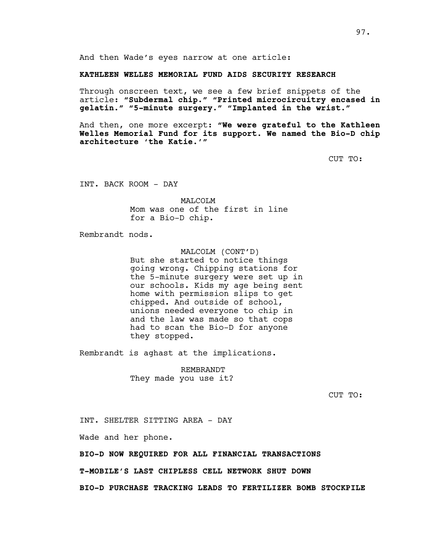And then Wade's eyes narrow at one article:

**KATHLEEN WELLES MEMORIAL FUND AIDS SECURITY RESEARCH**

Through onscreen text, we see a few brief snippets of the article: **"Subdermal chip." "Printed microcircuitry encased in gelatin." "5-minute surgery." "Implanted in the wrist."**

And then, one more excerpt: **"We were grateful to the Kathleen Welles Memorial Fund for its support. We named the Bio-D chip architecture 'the Katie.'"**

CUT TO:

INT. BACK ROOM - DAY

MAT<sub>I</sub>COT<sub>I</sub>M Mom was one of the first in line for a Bio-D chip.

Rembrandt nods.

MALCOLM (CONT'D) But she started to notice things going wrong. Chipping stations for the 5-minute surgery were set up in our schools. Kids my age being sent home with permission slips to get chipped. And outside of school, unions needed everyone to chip in and the law was made so that cops had to scan the Bio-D for anyone they stopped.

Rembrandt is aghast at the implications.

REMBRANDT They made you use it?

CUT TO:

INT. SHELTER SITTING AREA - DAY

Wade and her phone.

**BIO-D NOW REQUIRED FOR ALL FINANCIAL TRANSACTIONS**

**T-MOBILE'S LAST CHIPLESS CELL NETWORK SHUT DOWN**

**BIO-D PURCHASE TRACKING LEADS TO FERTILIZER BOMB STOCKPILE**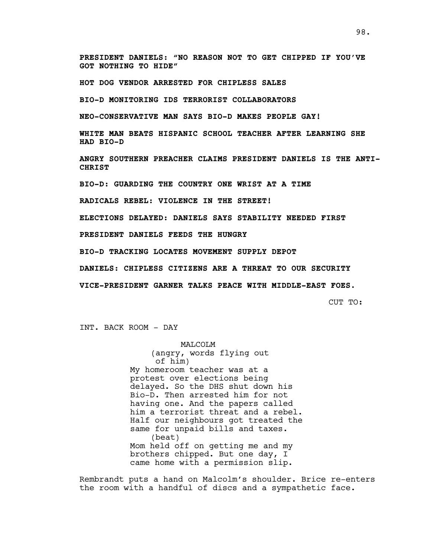**PRESIDENT DANIELS: "NO REASON NOT TO GET CHIPPED IF YOU'VE GOT NOTHING TO HIDE"**

**HOT DOG VENDOR ARRESTED FOR CHIPLESS SALES**

**BIO-D MONITORING IDS TERRORIST COLLABORATORS**

**NEO-CONSERVATIVE MAN SAYS BIO-D MAKES PEOPLE GAY!** 

**WHITE MAN BEATS HISPANIC SCHOOL TEACHER AFTER LEARNING SHE HAD BIO-D**

**ANGRY SOUTHERN PREACHER CLAIMS PRESIDENT DANIELS IS THE ANTI-CHRIST** 

**BIO-D: GUARDING THE COUNTRY ONE WRIST AT A TIME**

**RADICALS REBEL: VIOLENCE IN THE STREET!** 

**ELECTIONS DELAYED: DANIELS SAYS STABILITY NEEDED FIRST**

**PRESIDENT DANIELS FEEDS THE HUNGRY** 

**BIO-D TRACKING LOCATES MOVEMENT SUPPLY DEPOT**

**DANIELS: CHIPLESS CITIZENS ARE A THREAT TO OUR SECURITY**

**VICE-PRESIDENT GARNER TALKS PEACE WITH MIDDLE-EAST FOES.**

CUT TO:

INT. BACK ROOM - DAY

MALCOLM (angry, words flying out of him) My homeroom teacher was at a protest over elections being delayed. So the DHS shut down his Bio-D. Then arrested him for not having one. And the papers called him a terrorist threat and a rebel. Half our neighbours got treated the same for unpaid bills and taxes. (beat) Mom held off on getting me and my brothers chipped. But one day, I came home with a permission slip.

Rembrandt puts a hand on Malcolm's shoulder. Brice re-enters the room with a handful of discs and a sympathetic face.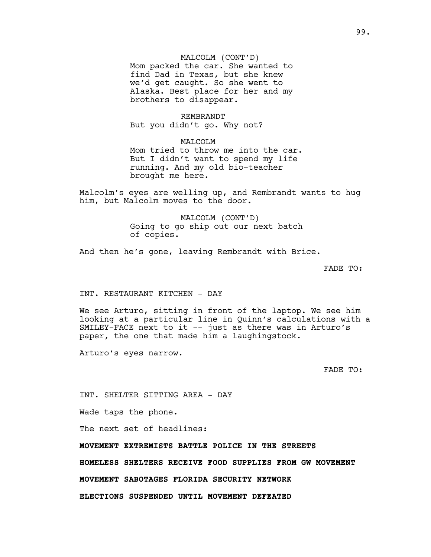# MALCOLM (CONT'D)

Mom packed the car. She wanted to find Dad in Texas, but she knew we'd get caught. So she went to Alaska. Best place for her and my brothers to disappear.

#### REMBRANDT

But you didn't go. Why not?

# MALCOLM Mom tried to throw me into the car. But I didn't want to spend my life running. And my old bio-teacher brought me here.

Malcolm's eyes are welling up, and Rembrandt wants to hug him, but Malcolm moves to the door.

> MALCOLM (CONT'D) Going to go ship out our next batch of copies.

And then he's gone, leaving Rembrandt with Brice.

FADE TO:

# INT. RESTAURANT KITCHEN - DAY

We see Arturo, sitting in front of the laptop. We see him looking at a particular line in Quinn's calculations with a SMILEY-FACE next to it -- just as there was in Arturo's paper, the one that made him a laughingstock.

Arturo's eyes narrow.

FADE TO:

INT. SHELTER SITTING AREA - DAY

Wade taps the phone.

The next set of headlines:

**MOVEMENT EXTREMISTS BATTLE POLICE IN THE STREETS** 

**HOMELESS SHELTERS RECEIVE FOOD SUPPLIES FROM GW MOVEMENT**

**MOVEMENT SABOTAGES FLORIDA SECURITY NETWORK**

**ELECTIONS SUSPENDED UNTIL MOVEMENT DEFEATED**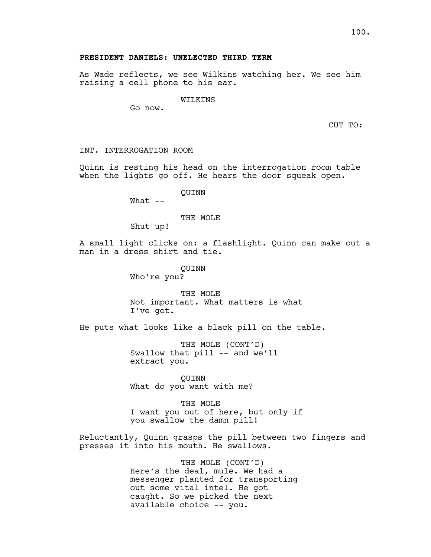## **PRESIDENT DANIELS: UNELECTED THIRD TERM**

As Wade reflects, we see Wilkins watching her. We see him raising a cell phone to his ear.

#### WILKINS

Go now.

CUT TO:

INT. INTERROGATION ROOM

Quinn is resting his head on the interrogation room table when the lights go off. He hears the door squeak open.

QUINN

What --

THE MOLE

Shut up!

A small light clicks on: a flashlight. Quinn can make out a man in a dress shirt and tie.

> QUINN Who're you?

THE MOLE Not important. What matters is what I've got.

He puts what looks like a black pill on the table.

THE MOLE (CONT'D) Swallow that pill -- and we'll extract you.

QUINN What do you want with me?

THE MOLE I want you out of here, but only if you swallow the damn pill!

Reluctantly, Quinn grasps the pill between two fingers and presses it into his mouth. He swallows.

> THE MOLE (CONT'D) Here's the deal, mule. We had a messenger planted for transporting out some vital intel. He got caught. So we picked the next available choice -- you.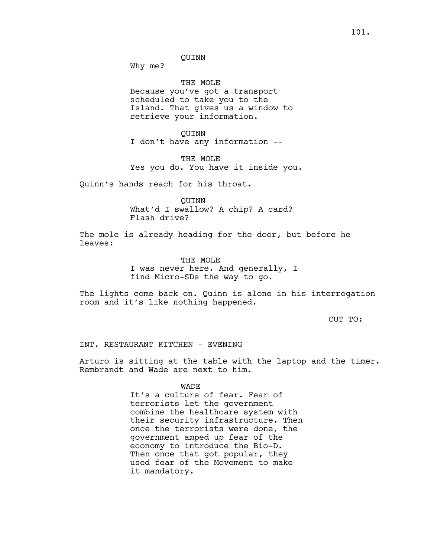Why me?

THE MOLE Because you've got a transport scheduled to take you to the Island. That gives us a window to retrieve your information.

QUINN I don't have any information --

THE MOLE Yes you do. You have it inside you.

Quinn's hands reach for his throat.

QUINN What'd I swallow? A chip? A card? Flash drive?

The mole is already heading for the door, but before he leaves:

> THE MOLE I was never here. And generally, I find Micro-SDs the way to go.

The lights come back on. Quinn is alone in his interrogation room and it's like nothing happened.

CUT TO:

INT. RESTAURANT KITCHEN - EVENING

Arturo is sitting at the table with the laptop and the timer. Rembrandt and Wade are next to him.

**WADE** 

It's a culture of fear. Fear of terrorists let the government combine the healthcare system with their security infrastructure. Then once the terrorists were done, the government amped up fear of the economy to introduce the Bio-D. Then once that got popular, they used fear of the Movement to make it mandatory.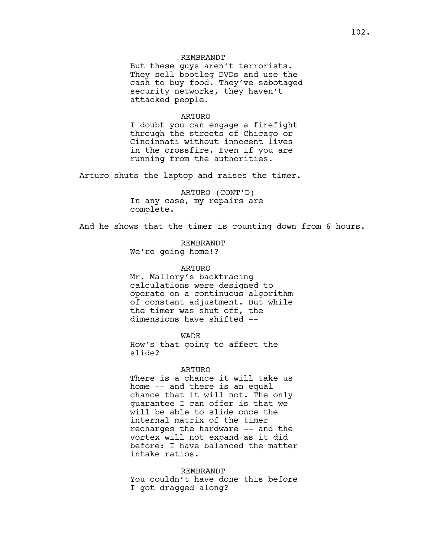### REMBRANDT

But these guys aren't terrorists. They sell bootleg DVDs and use the cash to buy food. They've sabotaged security networks, they haven't attacked people.

#### ARTURO

I doubt you can engage a firefight through the streets of Chicago or Cincinnati without innocent lives in the crossfire. Even if you are running from the authorities.

Arturo shuts the laptop and raises the timer.

ARTURO (CONT'D) In any case, my repairs are complete.

And he shows that the timer is counting down from 6 hours.

REMBRANDT We're going home!?

#### ARTURO

Mr. Mallory's backtracing calculations were designed to operate on a continuous algorithm of constant adjustment. But while the timer was shut off, the dimensions have shifted --

WADE

How's that going to affect the slide?

#### ARTURO

There is a chance it will take us home -- and there is an equal chance that it will not. The only guarantee I can offer is that we will be able to slide once the internal matrix of the timer recharges the hardware -- and the vortex will not expand as it did before: I have balanced the matter intake ratios.

## REMBRANDT

You couldn't have done this before I got dragged along?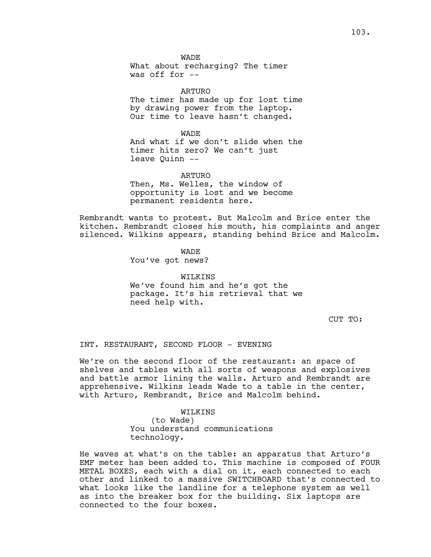WADE

What about recharging? The timer was off for --

ARTURO

The timer has made up for lost time by drawing power from the laptop. Our time to leave hasn't changed.

WADE And what if we don't slide when the timer hits zero? We can't just leave Quinn --

ARTURO Then, Ms. Welles, the window of

opportunity is lost and we become permanent residents here.

Rembrandt wants to protest. But Malcolm and Brice enter the kitchen. Rembrandt closes his mouth, his complaints and anger silenced. Wilkins appears, standing behind Brice and Malcolm.

WADE

You've got news?

WILKINS We've found him and he's got the package. It's his retrieval that we need help with.

CUT TO:

INT. RESTAURANT, SECOND FLOOR - EVENING

We're on the second floor of the restaurant: an space of shelves and tables with all sorts of weapons and explosives and battle armor lining the walls. Arturo and Rembrandt are apprehensive. Wilkins leads Wade to a table in the center, with Arturo, Rembrandt, Brice and Malcolm behind.

WILKINS

(to Wade) You understand communications technology.

He waves at what's on the table: an apparatus that Arturo's EMF meter has been added to. This machine is composed of FOUR METAL BOXES, each with a dial on it, each connected to each other and linked to a massive SWITCHBOARD that's connected to what looks like the landline for a telephone system as well as into the breaker box for the building. Six laptops are connected to the four boxes.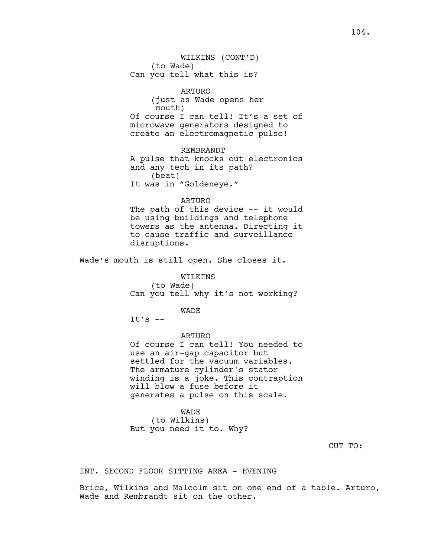ARTURO (just as Wade opens her mouth) Of course I can tell! It's a set of microwave generators designed to create an electromagnetic pulse!

### REMBRANDT

A pulse that knocks out electronics and any tech in its path? (beat) It was in "Goldeneye."

### ARTURO

The path of this device -- it would be using buildings and telephone towers as the antenna. Directing it to cause traffic and surveillance disruptions.

Wade's mouth is still open. She closes it.

WILKINS (to Wade) Can you tell why it's not working?

WADE

It's  $--$ 

#### ARTURO

Of course I can tell! You needed to use an air-gap capacitor but settled for the vacuum variables. The armature cylinder's stator winding is a joke. This contraption will blow a fuse before it generates a pulse on this scale.

#### WADE

(to Wilkins) But you need it to. Why?

CUT TO:

INT. SECOND FLOOR SITTING AREA - EVENING

Brice, Wilkins and Malcolm sit on one end of a table. Arturo, Wade and Rembrandt sit on the other.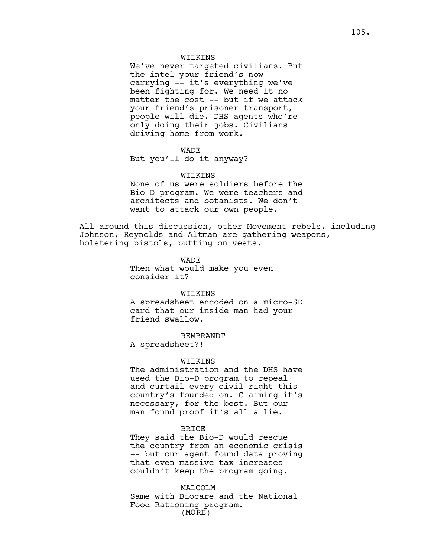### WILKINS

We've never targeted civilians. But the intel your friend's now carrying -- it's everything we've been fighting for. We need it no matter the cost -- but if we attack your friend's prisoner transport, people will die. DHS agents who're only doing their jobs. Civilians driving home from work.

## **WADE**

But you'll do it anyway?

#### WILKINS

None of us were soldiers before the Bio-D program. We were teachers and architects and botanists. We don't want to attack our own people.

All around this discussion, other Movement rebels, including Johnson, Reynolds and Altman are gathering weapons, holstering pistols, putting on vests.

> WADE Then what would make you even consider it?

### WILKINS

A spreadsheet encoded on a micro-SD card that our inside man had your friend swallow.

REMBRANDT

A spreadsheet?!

#### WILKINS

The administration and the DHS have used the Bio-D program to repeal and curtail every civil right this country's founded on. Claiming it's necessary, for the best. But our man found proof it's all a lie.

### BRICE

They said the Bio-D would rescue the country from an economic crisis -- but our agent found data proving that even massive tax increases couldn't keep the program going.

#### MALCOLM

Same with Biocare and the National Food Rationing program. (MORE)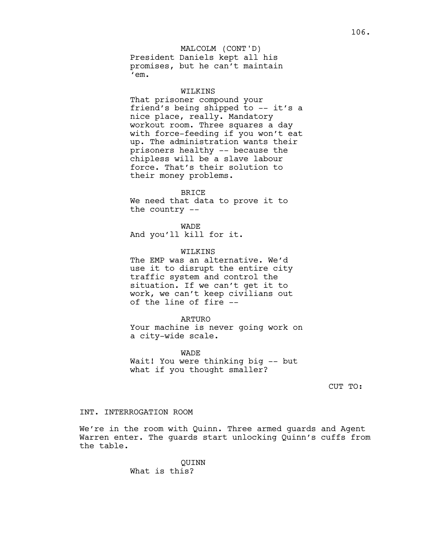### MALCOLM (CONT'D)

President Daniels kept all his promises, but he can't maintain 'em.

#### WILKINS

That prisoner compound your friend's being shipped to -- it's a nice place, really. Mandatory workout room. Three squares a day with force-feeding if you won't eat up. The administration wants their prisoners healthy -- because the chipless will be a slave labour force. That's their solution to their money problems.

#### BRICE

We need that data to prove it to the country --

**WADE** And you'll kill for it.

#### WILKINS

The EMP was an alternative. We'd use it to disrupt the entire city traffic system and control the situation. If we can't get it to work, we can't keep civilians out of the line of fire --

### ARTURO

Your machine is never going work on a city-wide scale.

WADE Wait! You were thinking big -- but what if you thought smaller?

CUT TO:

## INT. INTERROGATION ROOM

We're in the room with Quinn. Three armed guards and Agent Warren enter. The guards start unlocking Quinn's cuffs from the table.

> QUINN What is this?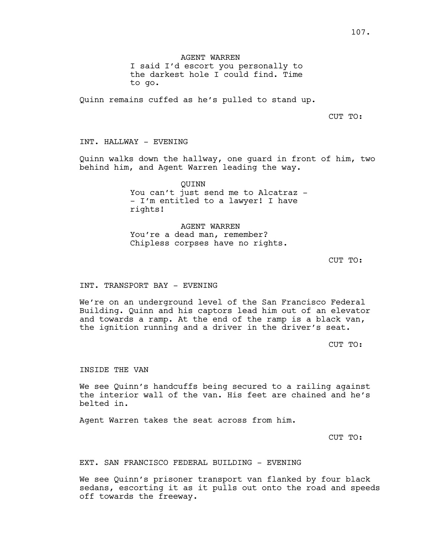AGENT WARREN

I said I'd escort you personally to the darkest hole I could find. Time to go.

Quinn remains cuffed as he's pulled to stand up.

CUT TO:

INT. HALLWAY - EVENING

Quinn walks down the hallway, one guard in front of him, two behind him, and Agent Warren leading the way.

> QUINN You can't just send me to Alcatraz -- I'm entitled to a lawyer! I have rights!

AGENT WARREN You're a dead man, remember? Chipless corpses have no rights.

CUT TO:

### INT. TRANSPORT BAY - EVENING

We're on an underground level of the San Francisco Federal Building. Quinn and his captors lead him out of an elevator and towards a ramp. At the end of the ramp is a black van, the ignition running and a driver in the driver's seat.

CUT TO:

INSIDE THE VAN

We see Quinn's handcuffs being secured to a railing against the interior wall of the van. His feet are chained and he's belted in.

Agent Warren takes the seat across from him.

CUT TO:

EXT. SAN FRANCISCO FEDERAL BUILDING - EVENING

We see Quinn's prisoner transport van flanked by four black sedans, escorting it as it pulls out onto the road and speeds off towards the freeway.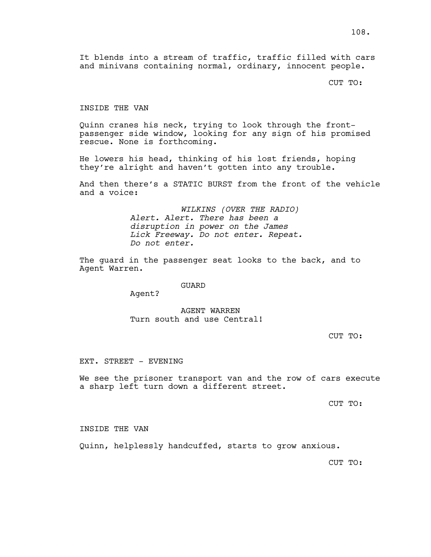It blends into a stream of traffic, traffic filled with cars and minivans containing normal, ordinary, innocent people.

CUT TO:

# INSIDE THE VAN

Quinn cranes his neck, trying to look through the frontpassenger side window, looking for any sign of his promised rescue. None is forthcoming.

He lowers his head, thinking of his lost friends, hoping they're alright and haven't gotten into any trouble.

And then there's a STATIC BURST from the front of the vehicle and a voice:

> *WILKINS (OVER THE RADIO) Alert. Alert. There has been a disruption in power on the James Lick Freeway. Do not enter. Repeat. Do not enter.*

The guard in the passenger seat looks to the back, and to Agent Warren.

#### GUARD

Agent?

# AGENT WARREN Turn south and use Central!

CUT TO:

#### EXT. STREET - EVENING

We see the prisoner transport van and the row of cars execute a sharp left turn down a different street.

CUT TO:

#### INSIDE THE VAN

Quinn, helplessly handcuffed, starts to grow anxious.

CUT TO: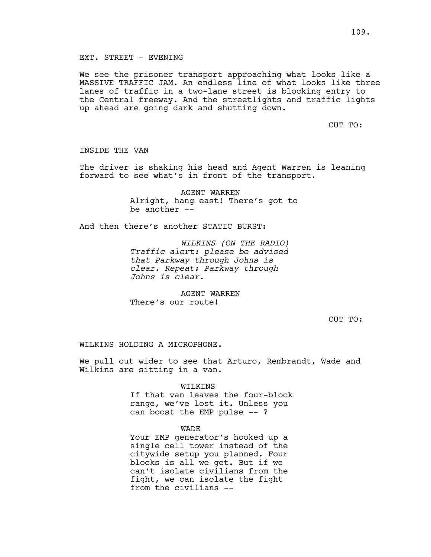## EXT. STREET - EVENING

We see the prisoner transport approaching what looks like a MASSIVE TRAFFIC JAM. An endless line of what looks like three lanes of traffic in a two-lane street is blocking entry to the Central freeway. And the streetlights and traffic lights up ahead are going dark and shutting down.

CUT TO:

### INSIDE THE VAN

The driver is shaking his head and Agent Warren is leaning forward to see what's in front of the transport.

> AGENT WARREN Alright, hang east! There's got to be another --

And then there's another STATIC BURST:

*WILKINS (ON THE RADIO) Traffic alert: please be advised that Parkway through Johns is clear. Repeat: Parkway through Johns is clear.*

AGENT WARREN There's our route!

CUT TO:

WILKINS HOLDING A MICROPHONE.

We pull out wider to see that Arturo, Rembrandt, Wade and Wilkins are sitting in a van.

WILKINS

If that van leaves the four-block range, we've lost it. Unless you can boost the EMP pulse -- ?

#### WADE

Your EMP generator's hooked up a single cell tower instead of the citywide setup you planned. Four blocks is all we get. But if we can't isolate civilians from the fight, we can isolate the fight from the civilians --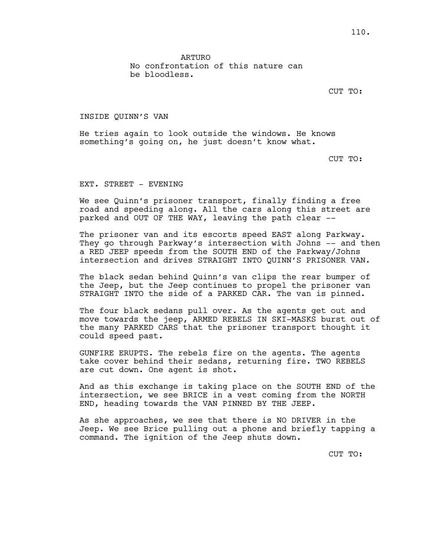ARTURO

No confrontation of this nature can be bloodless.

CUT TO:

INSIDE QUINN'S VAN

He tries again to look outside the windows. He knows something's going on, he just doesn't know what.

CUT TO:

EXT. STREET - EVENING

We see Quinn's prisoner transport, finally finding a free road and speeding along. All the cars along this street are parked and OUT OF THE WAY, leaving the path clear --

The prisoner van and its escorts speed EAST along Parkway. They go through Parkway's intersection with Johns -- and then a RED JEEP speeds from the SOUTH END of the Parkway/Johns intersection and drives STRAIGHT INTO QUINN'S PRISONER VAN.

The black sedan behind Quinn's van clips the rear bumper of the Jeep, but the Jeep continues to propel the prisoner van STRAIGHT INTO the side of a PARKED CAR. The van is pinned.

The four black sedans pull over. As the agents get out and move towards the jeep, ARMED REBELS IN SKI-MASKS burst out of the many PARKED CARS that the prisoner transport thought it could speed past.

GUNFIRE ERUPTS. The rebels fire on the agents. The agents take cover behind their sedans, returning fire. TWO REBELS are cut down. One agent is shot.

And as this exchange is taking place on the SOUTH END of the intersection, we see BRICE in a vest coming from the NORTH END, heading towards the VAN PINNED BY THE JEEP.

As she approaches, we see that there is NO DRIVER in the Jeep. We see Brice pulling out a phone and briefly tapping a command. The ignition of the Jeep shuts down.

CUT TO: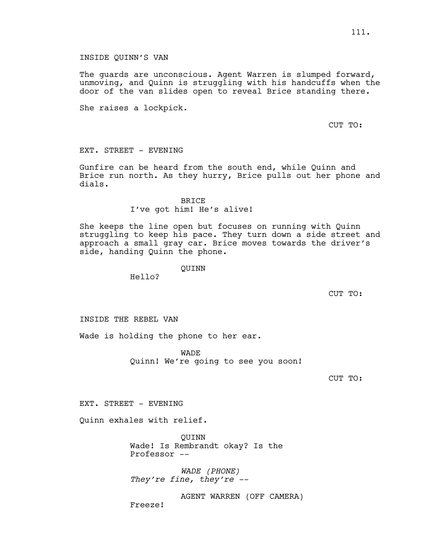## INSIDE QUINN'S VAN

The guards are unconscious. Agent Warren is slumped forward, unmoving, and Quinn is struggling with his handcuffs when the door of the van slides open to reveal Brice standing there.

She raises a lockpick.

CUT TO:

EXT. STREET - EVENING

Gunfire can be heard from the south end, while Quinn and Brice run north. As they hurry, Brice pulls out her phone and dials.

# BRICE I've got him! He's alive!

She keeps the line open but focuses on running with Quinn struggling to keep his pace. They turn down a side street and approach a small gray car. Brice moves towards the driver's side, handing Quinn the phone.

QUINN

Hello?

CUT TO:

INSIDE THE REBEL VAN

Wade is holding the phone to her ear.

WADE Quinn! We're going to see you soon!

CUT TO:

EXT. STREET - EVENING

Quinn exhales with relief.

QUINN Wade! Is Rembrandt okay? Is the Professor --

*WADE (PHONE) They're fine, they're --*

AGENT WARREN (OFF CAMERA) Freeze!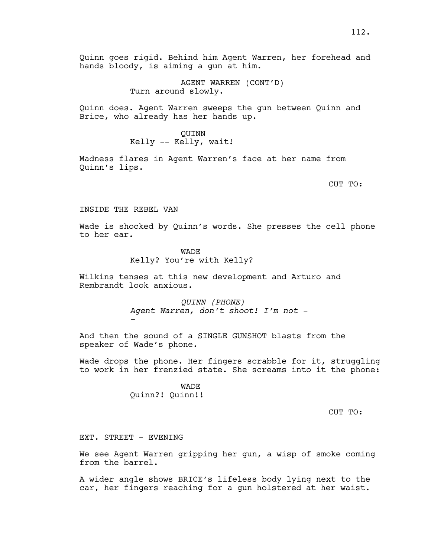Quinn goes rigid. Behind him Agent Warren, her forehead and hands bloody, is aiming a gun at him.

> AGENT WARREN (CONT'D) Turn around slowly.

Quinn does. Agent Warren sweeps the gun between Quinn and Brice, who already has her hands up.

## QUINN

Kelly -- Kelly, wait!

Madness flares in Agent Warren's face at her name from Quinn's lips.

CUT TO:

INSIDE THE REBEL VAN

Wade is shocked by Quinn's words. She presses the cell phone to her ear.

#### WADE

Kelly? You're with Kelly?

Wilkins tenses at this new development and Arturo and Rembrandt look anxious.

> *QUINN (PHONE) Agent Warren, don't shoot! I'm not - -*

And then the sound of a SINGLE GUNSHOT blasts from the speaker of Wade's phone.

Wade drops the phone. Her fingers scrabble for it, struggling to work in her frenzied state. She screams into it the phone:

> **WADE** Quinn?! Quinn!!

> > CUT TO:

EXT. STREET - EVENING

We see Agent Warren gripping her gun, a wisp of smoke coming from the barrel.

A wider angle shows BRICE's lifeless body lying next to the car, her fingers reaching for a gun holstered at her waist.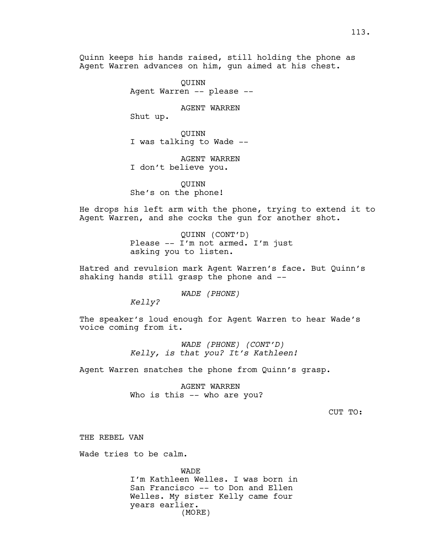Quinn keeps his hands raised, still holding the phone as Agent Warren advances on him, gun aimed at his chest.

> QUINN Agent Warren -- please --

> > AGENT WARREN

Shut up.

QUINN I was talking to Wade --

AGENT WARREN I don't believe you.

QUINN She's on the phone!

He drops his left arm with the phone, trying to extend it to Agent Warren, and she cocks the gun for another shot.

> QUINN (CONT'D) Please -- I'm not armed. I'm just asking you to listen.

Hatred and revulsion mark Agent Warren's face. But Quinn's shaking hands still grasp the phone and --

*WADE (PHONE)*

*Kelly?*

The speaker's loud enough for Agent Warren to hear Wade's voice coming from it.

> *WADE (PHONE) (CONT'D) Kelly, is that you? It's Kathleen!*

Agent Warren snatches the phone from Quinn's grasp.

AGENT WARREN Who is this -- who are you?

CUT TO:

THE REBEL VAN

Wade tries to be calm.

WADE I'm Kathleen Welles. I was born in San Francisco -- to Don and Ellen Welles. My sister Kelly came four years earlier. (MORE)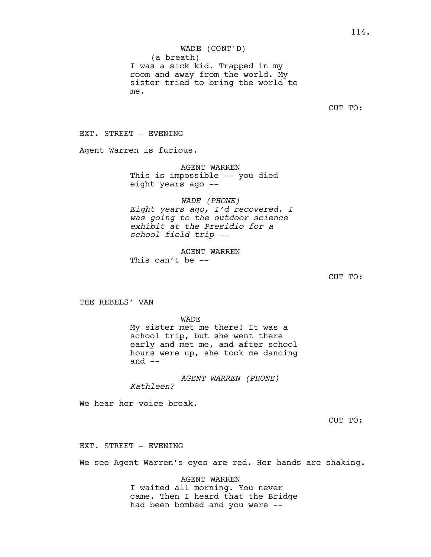(a breath) I was a sick kid. Trapped in my room and away from the world. My sister tried to bring the world to me. WADE (CONT'D)

CUT TO:

EXT. STREET - EVENING

Agent Warren is furious.

AGENT WARREN

This is impossible -- you died eight years ago --

*WADE (PHONE)*

*Eight years ago, I'd recovered. I was going to the outdoor science exhibit at the Presidio for a school field trip --*

AGENT WARREN This can't be  $-$ 

CUT TO:

THE REBELS' VAN

WADE My sister met me there! It was a school trip, but she went there early and met me, and after school hours were up, she took me dancing and  $--$ 

*AGENT WARREN (PHONE) Kathleen?*

We hear her voice break.

CUT TO:

EXT. STREET - EVENING

We see Agent Warren's eyes are red. Her hands are shaking.

AGENT WARREN I waited all morning. You never came. Then I heard that the Bridge had been bombed and you were --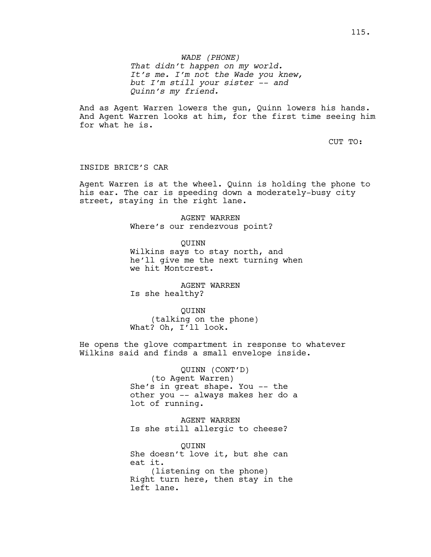# *WADE (PHONE)*

*That didn't happen on my world. It's me. I'm not the Wade you knew, but I'm still your sister -- and Quinn's my friend.*

And as Agent Warren lowers the gun, Quinn lowers his hands. And Agent Warren looks at him, for the first time seeing him for what he is.

CUT TO:

#### INSIDE BRICE'S CAR

Agent Warren is at the wheel. Quinn is holding the phone to his ear. The car is speeding down a moderately-busy city street, staying in the right lane.

> AGENT WARREN Where's our rendezvous point?

QUINN Wilkins says to stay north, and he'll give me the next turning when we hit Montcrest.

AGENT WARREN Is she healthy?

QUINN (talking on the phone) What? Oh, I'll look.

He opens the glove compartment in response to whatever Wilkins said and finds a small envelope inside.

> QUINN (CONT'D) (to Agent Warren) She's in great shape. You -- the other you -- always makes her do a lot of running.

AGENT WARREN Is she still allergic to cheese?

QUINN She doesn't love it, but she can eat it. (listening on the phone) Right turn here, then stay in the left lane.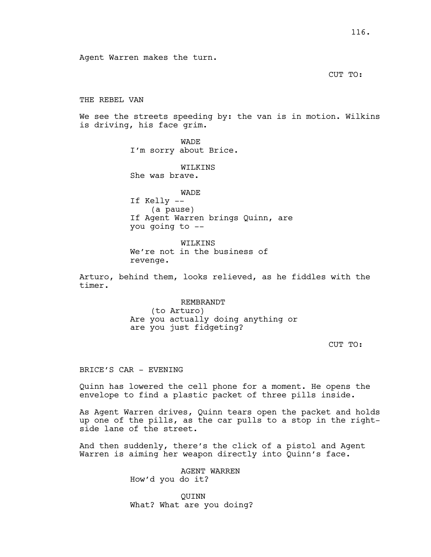Agent Warren makes the turn.

CUT TO:

THE REBEL VAN

We see the streets speeding by: the van is in motion. Wilkins is driving, his face grim.

> WADE I'm sorry about Brice.

WILKINS She was brave.

WADE If Kelly -- (a pause) If Agent Warren brings Quinn, are you going to --

WILKINS We're not in the business of revenge.

Arturo, behind them, looks relieved, as he fiddles with the timer.

> REMBRANDT (to Arturo) Are you actually doing anything or are you just fidgeting?

> > CUT TO:

BRICE'S CAR - EVENING

Quinn has lowered the cell phone for a moment. He opens the envelope to find a plastic packet of three pills inside.

As Agent Warren drives, Quinn tears open the packet and holds up one of the pills, as the car pulls to a stop in the rightside lane of the street.

And then suddenly, there's the click of a pistol and Agent Warren is aiming her weapon directly into Quinn's face.

> AGENT WARREN How'd you do it?

QUINN What? What are you doing?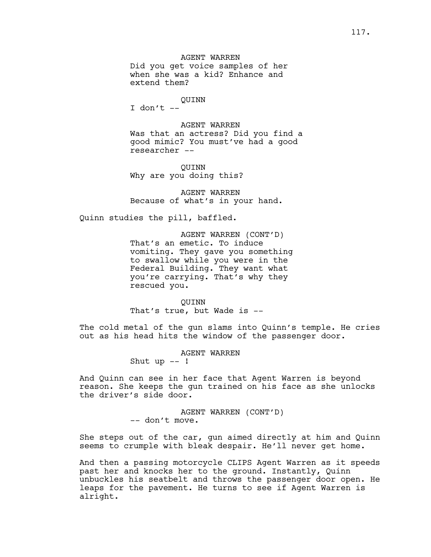## AGENT WARREN

Did you get voice samples of her when she was a kid? Enhance and extend them?

## QUINN

 $I$  don't  $-$ 

AGENT WARREN Was that an actress? Did you find a good mimic? You must've had a good researcher --

QUINN Why are you doing this?

AGENT WARREN Because of what's in your hand.

Quinn studies the pill, baffled.

AGENT WARREN (CONT'D) That's an emetic. To induce vomiting. They gave you something to swallow while you were in the Federal Building. They want what you're carrying. That's why they rescued you.

QUINN That's true, but Wade is --

The cold metal of the gun slams into Quinn's temple. He cries out as his head hits the window of the passenger door.

AGENT WARREN

Shut up  $--$  !

And Quinn can see in her face that Agent Warren is beyond reason. She keeps the gun trained on his face as she unlocks the driver's side door.

> AGENT WARREN (CONT'D) -- don't move.

She steps out of the car, gun aimed directly at him and Quinn seems to crumple with bleak despair. He'll never get home.

And then a passing motorcycle CLIPS Agent Warren as it speeds past her and knocks her to the ground. Instantly, Quinn unbuckles his seatbelt and throws the passenger door open. He leaps for the pavement. He turns to see if Agent Warren is alright.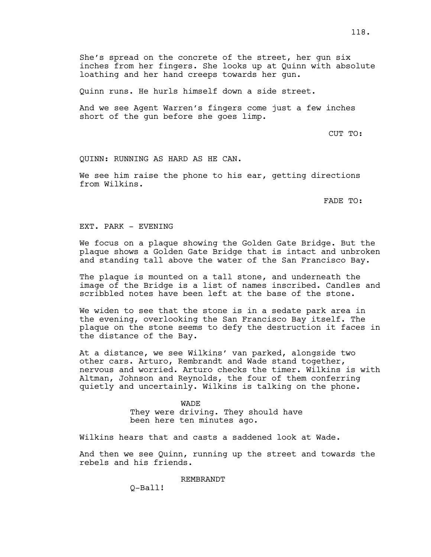She's spread on the concrete of the street, her gun six inches from her fingers. She looks up at Quinn with absolute loathing and her hand creeps towards her gun.

Quinn runs. He hurls himself down a side street.

And we see Agent Warren's fingers come just a few inches short of the gun before she goes limp.

CUT TO:

QUINN: RUNNING AS HARD AS HE CAN.

We see him raise the phone to his ear, getting directions from Wilkins.

FADE TO:

EXT. PARK - EVENING

We focus on a plaque showing the Golden Gate Bridge. But the plaque shows a Golden Gate Bridge that is intact and unbroken and standing tall above the water of the San Francisco Bay.

The plaque is mounted on a tall stone, and underneath the image of the Bridge is a list of names inscribed. Candles and scribbled notes have been left at the base of the stone.

We widen to see that the stone is in a sedate park area in the evening, overlooking the San Francisco Bay itself. The plaque on the stone seems to defy the destruction it faces in the distance of the Bay.

At a distance, we see Wilkins' van parked, alongside two other cars. Arturo, Rembrandt and Wade stand together, nervous and worried. Arturo checks the timer. Wilkins is with Altman, Johnson and Reynolds, the four of them conferring quietly and uncertainly. Wilkins is talking on the phone.

> WADE They were driving. They should have been here ten minutes ago.

Wilkins hears that and casts a saddened look at Wade.

And then we see Quinn, running up the street and towards the rebels and his friends.

REMBRANDT

Q-Ball!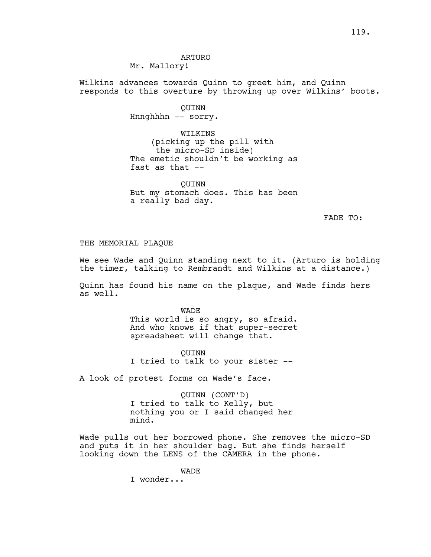ARTURO Mr. Mallory!

Wilkins advances towards Quinn to greet him, and Quinn responds to this overture by throwing up over Wilkins' boots.

> QUINN Hnnghhhn -- sorry.

WILKINS (picking up the pill with the micro-SD inside) The emetic shouldn't be working as fast as that --

QUINN But my stomach does. This has been a really bad day.

FADE TO:

## THE MEMORIAL PLAQUE

We see Wade and Quinn standing next to it. (Arturo is holding the timer, talking to Rembrandt and Wilkins at a distance.)

Quinn has found his name on the plaque, and Wade finds hers as well.

> WADE This world is so angry, so afraid. And who knows if that super-secret spreadsheet will change that.

QUINN I tried to talk to your sister --

A look of protest forms on Wade's face.

QUINN (CONT'D) I tried to talk to Kelly, but nothing you or I said changed her mind.

Wade pulls out her borrowed phone. She removes the micro-SD and puts it in her shoulder bag. But she finds herself looking down the LENS of the CAMERA in the phone.

WADE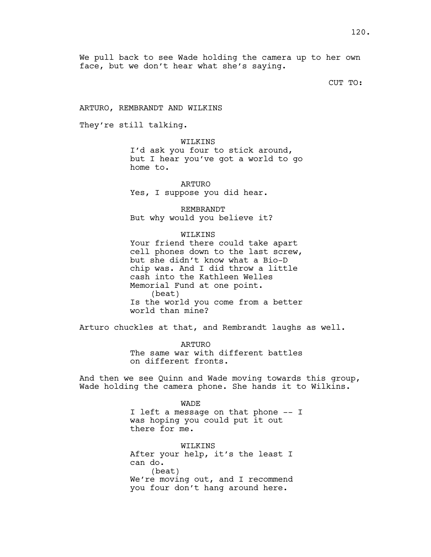We pull back to see Wade holding the camera up to her own face, but we don't hear what she's saying.

CUT TO:

ARTURO, REMBRANDT AND WILKINS

They're still talking.

WILKINS

I'd ask you four to stick around, but I hear you've got a world to go home to.

ARTURO Yes, I suppose you did hear.

REMBRANDT But why would you believe it?

WILKINS

Your friend there could take apart cell phones down to the last screw, but she didn't know what a Bio-D chip was. And I did throw a little cash into the Kathleen Welles Memorial Fund at one point. (beat) Is the world you come from a better world than mine?

Arturo chuckles at that, and Rembrandt laughs as well.

ARTURO The same war with different battles on different fronts.

And then we see Quinn and Wade moving towards this group, Wade holding the camera phone. She hands it to Wilkins.

WADE

I left a message on that phone -- I was hoping you could put it out there for me.

WILKINS After your help, it's the least I can do. (beat) We're moving out, and I recommend you four don't hang around here.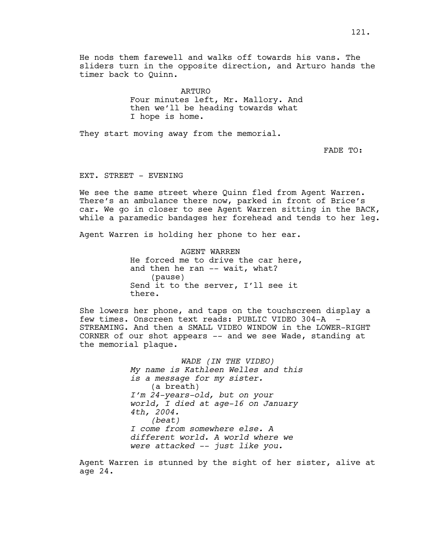He nods them farewell and walks off towards his vans. The sliders turn in the opposite direction, and Arturo hands the timer back to Quinn.

ARTURO

Four minutes left, Mr. Mallory. And then we'll be heading towards what I hope is home.

They start moving away from the memorial.

FADE TO:

## EXT. STREET - EVENING

We see the same street where Quinn fled from Agent Warren. There's an ambulance there now, parked in front of Brice's car. We go in closer to see Agent Warren sitting in the BACK, while a paramedic bandages her forehead and tends to her leg.

Agent Warren is holding her phone to her ear.

AGENT WARREN He forced me to drive the car here, and then he ran -- wait, what? (pause) Send it to the server, I'll see it there.

She lowers her phone, and taps on the touchscreen display a few times. Onscreen text reads: PUBLIC VIDEO 304-A STREAMING. And then a SMALL VIDEO WINDOW in the LOWER-RIGHT CORNER of our shot appears -- and we see Wade, standing at the memorial plaque.

> *WADE (IN THE VIDEO) My name is Kathleen Welles and this is a message for my sister.* (a breath) *I'm 24-years-old, but on your world, I died at age-16 on January 4th, 2004. (beat) I come from somewhere else. A different world. A world where we were attacked -- just like you.*

Agent Warren is stunned by the sight of her sister, alive at age 24.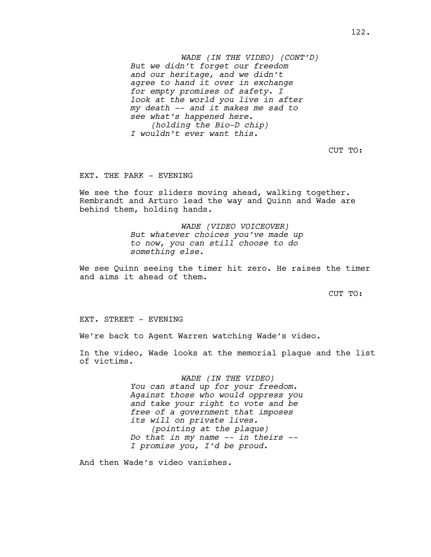*WADE (IN THE VIDEO) (CONT'D) But we didn't forget our freedom and our heritage, and we didn't agree to hand it over in exchange for empty promises of safety. I look at the world you live in after my death -- and it makes me sad to see what's happened here. (holding the Bio-D chip) I wouldn't ever want this.*

CUT TO:

## EXT. THE PARK - EVENING

We see the four sliders moving ahead, walking together. Rembrandt and Arturo lead the way and Quinn and Wade are behind them, holding hands.

> *WADE (VIDEO VOICEOVER) But whatever choices you've made up to now, you can still choose to do something else.*

We see Quinn seeing the timer hit zero. He raises the timer and aims it ahead of them.

CUT TO:

EXT. STREET - EVENING

We're back to Agent Warren watching Wade's video.

In the video, Wade looks at the memorial plaque and the list of victims.

> *WADE (IN THE VIDEO) You can stand up for your freedom. Against those who would oppress you and take your right to vote and be free of a government that imposes its will on private lives. (pointing at the plaque) Do that in my name -- in theirs -- I promise you, I'd be proud.*

And then Wade's video vanishes.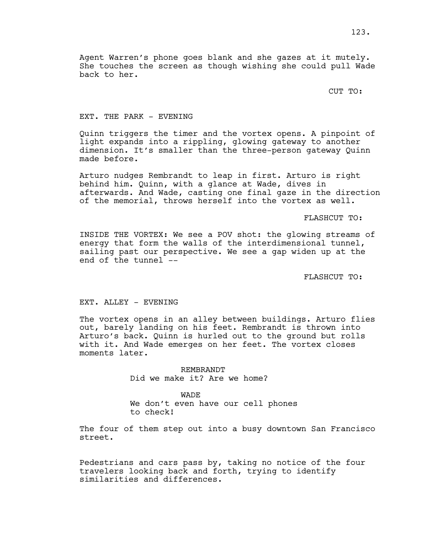Agent Warren's phone goes blank and she gazes at it mutely. She touches the screen as though wishing she could pull Wade back to her.

CUT TO:

## EXT. THE PARK - EVENING

Quinn triggers the timer and the vortex opens. A pinpoint of light expands into a rippling, glowing gateway to another dimension. It's smaller than the three-person gateway Quinn made before.

Arturo nudges Rembrandt to leap in first. Arturo is right behind him. Quinn, with a glance at Wade, dives in afterwards. And Wade, casting one final gaze in the direction of the memorial, throws herself into the vortex as well.

## FLASHCUT TO:

INSIDE THE VORTEX: We see a POV shot: the glowing streams of energy that form the walls of the interdimensional tunnel, sailing past our perspective. We see a gap widen up at the end of the tunnel --

FLASHCUT TO:

## EXT. ALLEY - EVENING

The vortex opens in an alley between buildings. Arturo flies out, barely landing on his feet. Rembrandt is thrown into Arturo's back. Quinn is hurled out to the ground but rolls with it. And Wade emerges on her feet. The vortex closes moments later.

> REMBRANDT Did we make it? Are we home?

WADE We don't even have our cell phones to check!

The four of them step out into a busy downtown San Francisco street.

Pedestrians and cars pass by, taking no notice of the four travelers looking back and forth, trying to identify similarities and differences.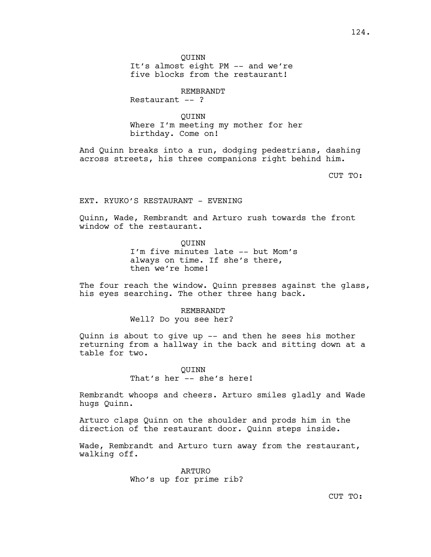QUINN It's almost eight PM -- and we're five blocks from the restaurant!

REMBRANDT

Restaurant  $--$  ?

QUINN Where I'm meeting my mother for her birthday. Come on!

And Quinn breaks into a run, dodging pedestrians, dashing across streets, his three companions right behind him.

CUT TO:

EXT. RYUKO'S RESTAURANT - EVENING

Quinn, Wade, Rembrandt and Arturo rush towards the front window of the restaurant.

QUINN

I'm five minutes late -- but Mom's always on time. If she's there, then we're home!

The four reach the window. Quinn presses against the glass, his eyes searching. The other three hang back.

REMBRANDT

Well? Do you see her?

Quinn is about to give up -- and then he sees his mother returning from a hallway in the back and sitting down at a table for two.

> QUINN That's her -- she's here!

Rembrandt whoops and cheers. Arturo smiles gladly and Wade hugs Quinn.

Arturo claps Quinn on the shoulder and prods him in the direction of the restaurant door. Quinn steps inside.

Wade, Rembrandt and Arturo turn away from the restaurant, walking off.

> ARTURO Who's up for prime rib?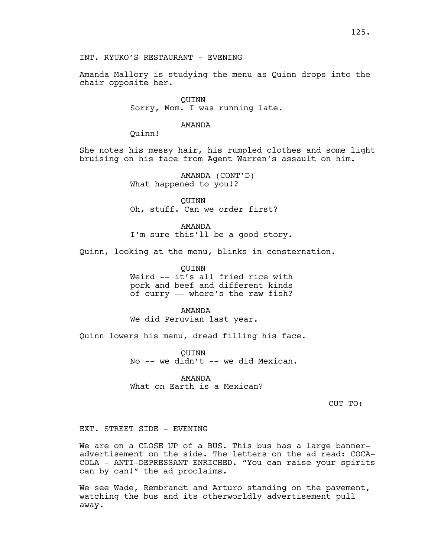INT. RYUKO'S RESTAURANT - EVENING

Amanda Mallory is studying the menu as Quinn drops into the chair opposite her.

> QUINN Sorry, Mom. I was running late.

#### AMANDA

Quinn!

She notes his messy hair, his rumpled clothes and some light bruising on his face from Agent Warren's assault on him.

> AMANDA (CONT'D) What happened to you!?

QUINN Oh, stuff. Can we order first?

AMANDA I'm sure this'll be a good story.

Quinn, looking at the menu, blinks in consternation.

QUINN

Weird -- it's all fried rice with pork and beef and different kinds of curry -- where's the raw fish?

AMANDA

We did Peruvian last year.

Quinn lowers his menu, dread filling his face.

QUINN No -- we didn't -- we did Mexican.

AMANDA What on Earth is a Mexican?

CUT TO:

### EXT. STREET SIDE - EVENING

We are on a CLOSE UP of a BUS. This bus has a large banneradvertisement on the side. The letters on the ad read: COCA-COLA - ANTI-DEPRESSANT ENRICHED. "You can raise your spirits can by can!" the ad proclaims.

We see Wade, Rembrandt and Arturo standing on the pavement, watching the bus and its otherworldly advertisement pull away.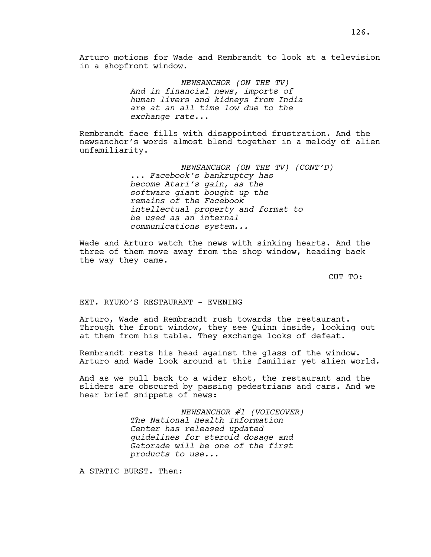*NEWSANCHOR (ON THE TV) And in financial news, imports of human livers and kidneys from India are at an all time low due to the exchange rate...*

Rembrandt face fills with disappointed frustration. And the newsanchor's words almost blend together in a melody of alien unfamiliarity.

> *NEWSANCHOR (ON THE TV) (CONT'D) ... Facebook's bankruptcy has become Atari's gain, as the software giant bought up the remains of the Facebook intellectual property and format to be used as an internal communications system...*

Wade and Arturo watch the news with sinking hearts. And the three of them move away from the shop window, heading back the way they came.

CUT TO:

EXT. RYUKO'S RESTAURANT - EVENING

Arturo, Wade and Rembrandt rush towards the restaurant. Through the front window, they see Quinn inside, looking out at them from his table. They exchange looks of defeat.

Rembrandt rests his head against the glass of the window. Arturo and Wade look around at this familiar yet alien world.

And as we pull back to a wider shot, the restaurant and the sliders are obscured by passing pedestrians and cars. And we hear brief snippets of news:

> *NEWSANCHOR #1 (VOICEOVER) The National Health Information Center has released updated guidelines for steroid dosage and Gatorade will be one of the first products to use...*

A STATIC BURST. Then: